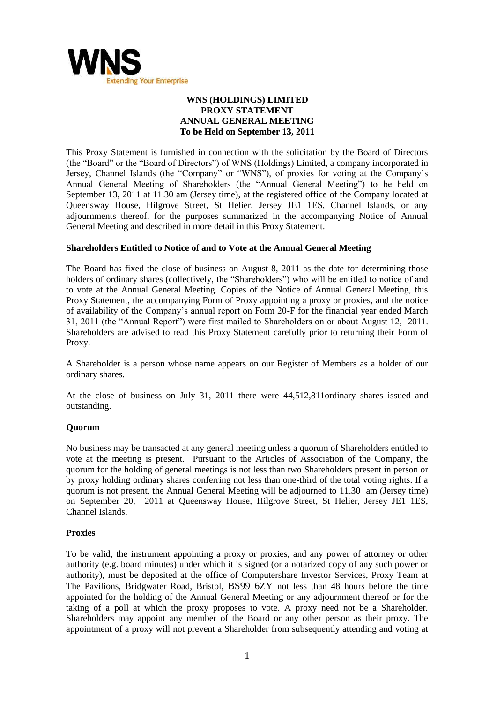

# **WNS (HOLDINGS) LIMITED PROXY STATEMENT ANNUAL GENERAL MEETING To be Held on September 13, 2011**

This Proxy Statement is furnished in connection with the solicitation by the Board of Directors (the "Board" or the "Board of Directors") of WNS (Holdings) Limited, a company incorporated in Jersey, Channel Islands (the "Company" or "WNS"), of proxies for voting at the Company's Annual General Meeting of Shareholders (the "Annual General Meeting") to be held on September 13, 2011 at 11.30 am (Jersey time), at the registered office of the Company located at Queensway House, Hilgrove Street, St Helier, Jersey JE1 1ES, Channel Islands, or any adjournments thereof, for the purposes summarized in the accompanying Notice of Annual General Meeting and described in more detail in this Proxy Statement.

# **Shareholders Entitled to Notice of and to Vote at the Annual General Meeting**

The Board has fixed the close of business on August 8, 2011 as the date for determining those holders of ordinary shares (collectively, the "Shareholders") who will be entitled to notice of and to vote at the Annual General Meeting. Copies of the Notice of Annual General Meeting, this Proxy Statement, the accompanying Form of Proxy appointing a proxy or proxies, and the notice of availability of the Company's annual report on Form 20-F for the financial year ended March 31, 2011 (the "Annual Report") were first mailed to Shareholders on or about August 12, 2011. Shareholders are advised to read this Proxy Statement carefully prior to returning their Form of Proxy.

A Shareholder is a person whose name appears on our Register of Members as a holder of our ordinary shares.

At the close of business on July 31, 2011 there were 44,512,811ordinary shares issued and outstanding.

## **Quorum**

No business may be transacted at any general meeting unless a quorum of Shareholders entitled to vote at the meeting is present. Pursuant to the Articles of Association of the Company, the quorum for the holding of general meetings is not less than two Shareholders present in person or by proxy holding ordinary shares conferring not less than one-third of the total voting rights. If a quorum is not present, the Annual General Meeting will be adjourned to 11.30 am (Jersey time) on September 20, 2011 at Queensway House, Hilgrove Street, St Helier, Jersey JE1 1ES, Channel Islands.

## **Proxies**

To be valid, the instrument appointing a proxy or proxies, and any power of attorney or other authority (e.g. board minutes) under which it is signed (or a notarized copy of any such power or authority), must be deposited at the office of Computershare Investor Services, Proxy Team at The Pavilions, Bridgwater Road, Bristol, BS99 6ZY not less than 48 hours before the time appointed for the holding of the Annual General Meeting or any adjournment thereof or for the taking of a poll at which the proxy proposes to vote. A proxy need not be a Shareholder. Shareholders may appoint any member of the Board or any other person as their proxy. The appointment of a proxy will not prevent a Shareholder from subsequently attending and voting at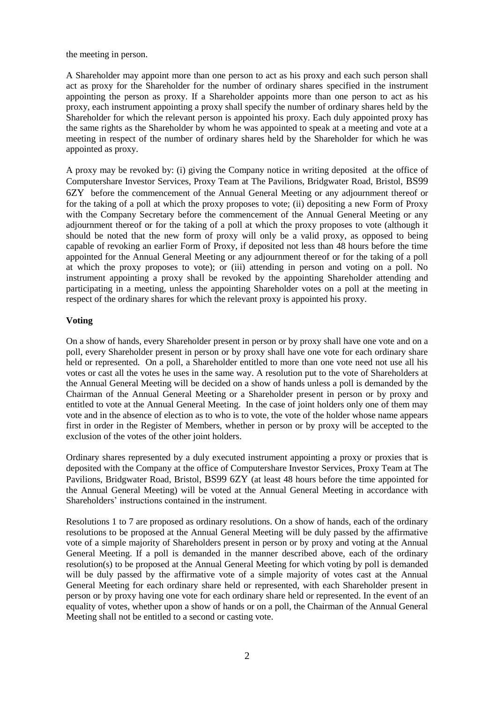the meeting in person.

A Shareholder may appoint more than one person to act as his proxy and each such person shall act as proxy for the Shareholder for the number of ordinary shares specified in the instrument appointing the person as proxy. If a Shareholder appoints more than one person to act as his proxy, each instrument appointing a proxy shall specify the number of ordinary shares held by the Shareholder for which the relevant person is appointed his proxy. Each duly appointed proxy has the same rights as the Shareholder by whom he was appointed to speak at a meeting and vote at a meeting in respect of the number of ordinary shares held by the Shareholder for which he was appointed as proxy.

A proxy may be revoked by: (i) giving the Company notice in writing deposited at the office of Computershare Investor Services, Proxy Team at The Pavilions, Bridgwater Road, Bristol, BS99 6ZY before the commencement of the Annual General Meeting or any adjournment thereof or for the taking of a poll at which the proxy proposes to vote; (ii) depositing a new Form of Proxy with the Company Secretary before the commencement of the Annual General Meeting or any adjournment thereof or for the taking of a poll at which the proxy proposes to vote (although it should be noted that the new form of proxy will only be a valid proxy, as opposed to being capable of revoking an earlier Form of Proxy, if deposited not less than 48 hours before the time appointed for the Annual General Meeting or any adjournment thereof or for the taking of a poll at which the proxy proposes to vote); or (iii) attending in person and voting on a poll. No instrument appointing a proxy shall be revoked by the appointing Shareholder attending and participating in a meeting, unless the appointing Shareholder votes on a poll at the meeting in respect of the ordinary shares for which the relevant proxy is appointed his proxy.

# **Voting**

On a show of hands, every Shareholder present in person or by proxy shall have one vote and on a poll, every Shareholder present in person or by proxy shall have one vote for each ordinary share held or represented. On a poll, a Shareholder entitled to more than one vote need not use all his votes or cast all the votes he uses in the same way. A resolution put to the vote of Shareholders at the Annual General Meeting will be decided on a show of hands unless a poll is demanded by the Chairman of the Annual General Meeting or a Shareholder present in person or by proxy and entitled to vote at the Annual General Meeting. In the case of joint holders only one of them may vote and in the absence of election as to who is to vote, the vote of the holder whose name appears first in order in the Register of Members, whether in person or by proxy will be accepted to the exclusion of the votes of the other joint holders.

Ordinary shares represented by a duly executed instrument appointing a proxy or proxies that is deposited with the Company at the office of Computershare Investor Services, Proxy Team at The Pavilions, Bridgwater Road, Bristol, BS99 6ZY (at least 48 hours before the time appointed for the Annual General Meeting) will be voted at the Annual General Meeting in accordance with Shareholders' instructions contained in the instrument.

Resolutions 1 to 7 are proposed as ordinary resolutions. On a show of hands, each of the ordinary resolutions to be proposed at the Annual General Meeting will be duly passed by the affirmative vote of a simple majority of Shareholders present in person or by proxy and voting at the Annual General Meeting. If a poll is demanded in the manner described above, each of the ordinary resolution(s) to be proposed at the Annual General Meeting for which voting by poll is demanded will be duly passed by the affirmative vote of a simple majority of votes cast at the Annual General Meeting for each ordinary share held or represented, with each Shareholder present in person or by proxy having one vote for each ordinary share held or represented. In the event of an equality of votes, whether upon a show of hands or on a poll, the Chairman of the Annual General Meeting shall not be entitled to a second or casting vote.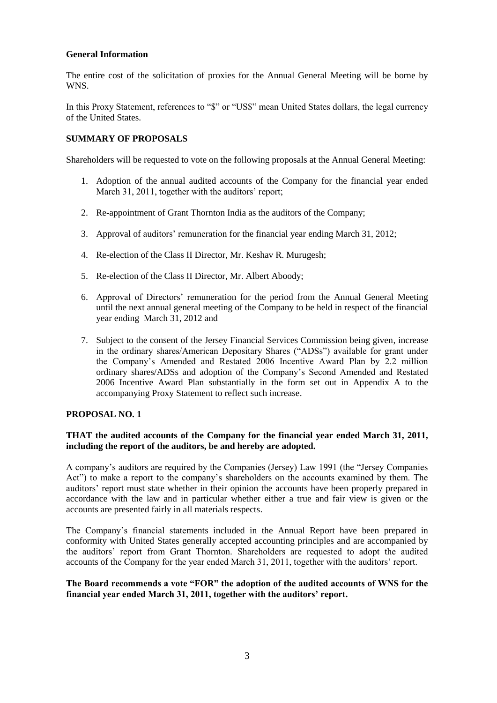# **General Information**

The entire cost of the solicitation of proxies for the Annual General Meeting will be borne by WNS.

In this Proxy Statement, references to "\$" or "US\$" mean United States dollars, the legal currency of the United States.

# **SUMMARY OF PROPOSALS**

Shareholders will be requested to vote on the following proposals at the Annual General Meeting:

- 1. Adoption of the annual audited accounts of the Company for the financial year ended March 31, 2011, together with the auditors' report;
- 2. Re-appointment of Grant Thornton India as the auditors of the Company;
- 3. Approval of auditors' remuneration for the financial year ending March 31, 2012;
- 4. Re-election of the Class II Director, Mr. Keshav R. Murugesh;
- 5. Re-election of the Class II Director, Mr. Albert Aboody;
- 6. Approval of Directors' remuneration for the period from the Annual General Meeting until the next annual general meeting of the Company to be held in respect of the financial year ending March 31, 2012 and
- 7. Subject to the consent of the Jersey Financial Services Commission being given, increase in the ordinary shares/American Depositary Shares ("ADSs") available for grant under the Company's Amended and Restated 2006 Incentive Award Plan by 2.2 million ordinary shares/ADSs and adoption of the Company's Second Amended and Restated 2006 Incentive Award Plan substantially in the form set out in Appendix A to the accompanying Proxy Statement to reflect such increase.

## **PROPOSAL NO. 1**

## **THAT the audited accounts of the Company for the financial year ended March 31, 2011, including the report of the auditors, be and hereby are adopted.**

A company's auditors are required by the Companies (Jersey) Law 1991 (the "Jersey Companies" Act") to make a report to the company's shareholders on the accounts examined by them. The auditors' report must state whether in their opinion the accounts have been properly prepared in accordance with the law and in particular whether either a true and fair view is given or the accounts are presented fairly in all materials respects.

The Company's financial statements included in the Annual Report have been prepared in conformity with United States generally accepted accounting principles and are accompanied by the auditors' report from Grant Thornton. Shareholders are requested to adopt the audited accounts of the Company for the year ended March 31, 2011, together with the auditors' report.

## **The Board recommends a vote "FOR" the adoption of the audited accounts of WNS for the financial year ended March 31, 2011, together with the auditors" report.**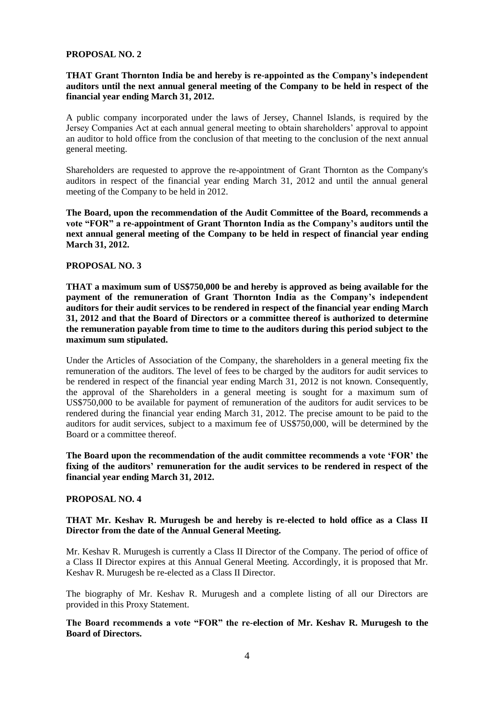#### **PROPOSAL NO. 2**

# **THAT Grant Thornton India be and hereby is re-appointed as the Company"s independent auditors until the next annual general meeting of the Company to be held in respect of the financial year ending March 31, 2012.**

A public company incorporated under the laws of Jersey, Channel Islands, is required by the Jersey Companies Act at each annual general meeting to obtain shareholders' approval to appoint an auditor to hold office from the conclusion of that meeting to the conclusion of the next annual general meeting.

Shareholders are requested to approve the re-appointment of Grant Thornton as the Company's auditors in respect of the financial year ending March 31, 2012 and until the annual general meeting of the Company to be held in 2012.

**The Board, upon the recommendation of the Audit Committee of the Board, recommends a vote "FOR" a re-appointment of Grant Thornton India as the Company"s auditors until the next annual general meeting of the Company to be held in respect of financial year ending March 31, 2012.**

#### **PROPOSAL NO. 3**

**THAT a maximum sum of US\$750,000 be and hereby is approved as being available for the payment of the remuneration of Grant Thornton India as the Company"s independent auditors for their audit services to be rendered in respect of the financial year ending March 31, 2012 and that the Board of Directors or a committee thereof is authorized to determine the remuneration payable from time to time to the auditors during this period subject to the maximum sum stipulated.** 

Under the Articles of Association of the Company, the shareholders in a general meeting fix the remuneration of the auditors. The level of fees to be charged by the auditors for audit services to be rendered in respect of the financial year ending March 31, 2012 is not known. Consequently, the approval of the Shareholders in a general meeting is sought for a maximum sum of US\$750,000 to be available for payment of remuneration of the auditors for audit services to be rendered during the financial year ending March 31, 2012. The precise amount to be paid to the auditors for audit services, subject to a maximum fee of US\$750,000, will be determined by the Board or a committee thereof.

**The Board upon the recommendation of the audit committee recommends a vote "FOR" the fixing of the auditors" remuneration for the audit services to be rendered in respect of the financial year ending March 31, 2012.**

#### **PROPOSAL NO. 4**

## **THAT Mr. Keshav R. Murugesh be and hereby is re-elected to hold office as a Class II Director from the date of the Annual General Meeting.**

Mr. Keshav R. Murugesh is currently a Class II Director of the Company. The period of office of a Class II Director expires at this Annual General Meeting. Accordingly, it is proposed that Mr. Keshav R. Murugesh be re-elected as a Class II Director.

The biography of Mr. Keshav R. Murugesh and a complete listing of all our Directors are provided in this Proxy Statement.

## **The Board recommends a vote "FOR" the re-election of Mr. Keshav R. Murugesh to the Board of Directors.**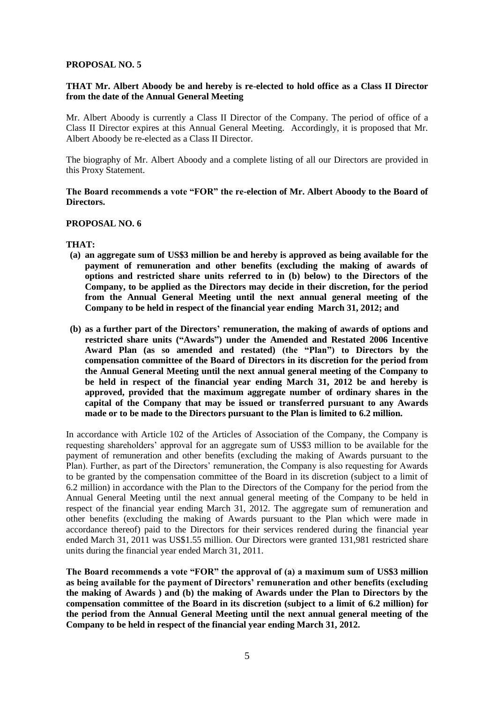## **PROPOSAL NO. 5**

# **THAT Mr. Albert Aboody be and hereby is re-elected to hold office as a Class II Director from the date of the Annual General Meeting**

Mr. Albert Aboody is currently a Class II Director of the Company. The period of office of a Class II Director expires at this Annual General Meeting. Accordingly, it is proposed that Mr. Albert Aboody be re-elected as a Class II Director.

The biography of Mr. Albert Aboody and a complete listing of all our Directors are provided in this Proxy Statement.

#### **The Board recommends a vote "FOR" the re-election of Mr. Albert Aboody to the Board of Directors.**

#### **PROPOSAL NO. 6**

#### **THAT:**

- **(a) an aggregate sum of US\$3 million be and hereby is approved as being available for the payment of remuneration and other benefits (excluding the making of awards of options and restricted share units referred to in (b) below) to the Directors of the Company, to be applied as the Directors may decide in their discretion, for the period from the Annual General Meeting until the next annual general meeting of the Company to be held in respect of the financial year ending March 31, 2012; and**
- **(b) as a further part of the Directors" remuneration, the making of awards of options and restricted share units ("Awards") under the Amended and Restated 2006 Incentive Award Plan (as so amended and restated) (the "Plan") to Directors by the compensation committee of the Board of Directors in its discretion for the period from the Annual General Meeting until the next annual general meeting of the Company to be held in respect of the financial year ending March 31, 2012 be and hereby is approved, provided that the maximum aggregate number of ordinary shares in the capital of the Company that may be issued or transferred pursuant to any Awards made or to be made to the Directors pursuant to the Plan is limited to 6.2 million.**

In accordance with Article 102 of the Articles of Association of the Company, the Company is requesting shareholders' approval for an aggregate sum of US\$3 million to be available for the payment of remuneration and other benefits (excluding the making of Awards pursuant to the Plan). Further, as part of the Directors' remuneration, the Company is also requesting for Awards to be granted by the compensation committee of the Board in its discretion (subject to a limit of 6.2 million) in accordance with the Plan to the Directors of the Company for the period from the Annual General Meeting until the next annual general meeting of the Company to be held in respect of the financial year ending March 31, 2012. The aggregate sum of remuneration and other benefits (excluding the making of Awards pursuant to the Plan which were made in accordance thereof) paid to the Directors for their services rendered during the financial year ended March 31, 2011 was US\$1.55 million. Our Directors were granted 131,981 restricted share units during the financial year ended March 31, 2011.

**The Board recommends a vote "FOR" the approval of (a) a maximum sum of US\$3 million as being available for the payment of Directors" remuneration and other benefits (excluding the making of Awards ) and (b) the making of Awards under the Plan to Directors by the compensation committee of the Board in its discretion (subject to a limit of 6.2 million) for the period from the Annual General Meeting until the next annual general meeting of the Company to be held in respect of the financial year ending March 31, 2012.**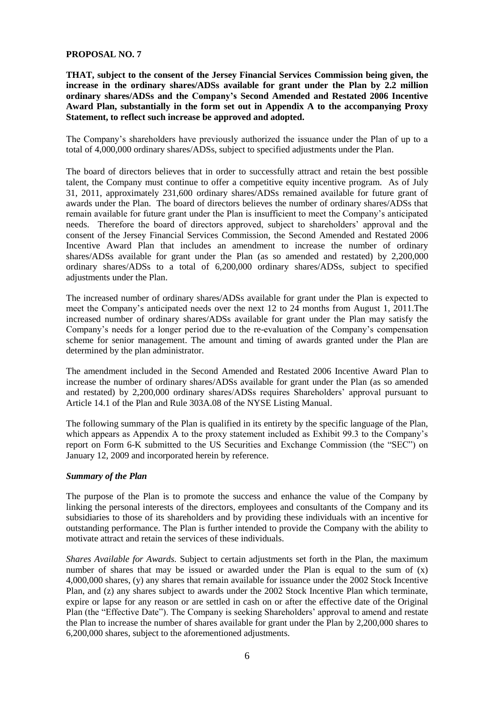## **PROPOSAL NO. 7**

**THAT, subject to the consent of the Jersey Financial Services Commission being given, the increase in the ordinary shares/ADSs available for grant under the Plan by 2.2 million ordinary shares/ADSs and the Company"s Second Amended and Restated 2006 Incentive Award Plan, substantially in the form set out in Appendix A to the accompanying Proxy Statement, to reflect such increase be approved and adopted.**

The Company's shareholders have previously authorized the issuance under the Plan of up to a total of 4,000,000 ordinary shares/ADSs, subject to specified adjustments under the Plan.

The board of directors believes that in order to successfully attract and retain the best possible talent, the Company must continue to offer a competitive equity incentive program. As of July 31, 2011, approximately 231,600 ordinary shares/ADSs remained available for future grant of awards under the Plan. The board of directors believes the number of ordinary shares/ADSs that remain available for future grant under the Plan is insufficient to meet the Company's anticipated needs. Therefore the board of directors approved, subject to shareholders' approval and the consent of the Jersey Financial Services Commission, the Second Amended and Restated 2006 Incentive Award Plan that includes an amendment to increase the number of ordinary shares/ADSs available for grant under the Plan (as so amended and restated) by 2,200,000 ordinary shares/ADSs to a total of 6,200,000 ordinary shares/ADSs, subject to specified adjustments under the Plan.

The increased number of ordinary shares/ADSs available for grant under the Plan is expected to meet the Company's anticipated needs over the next 12 to 24 months from August 1, 2011.The increased number of ordinary shares/ADSs available for grant under the Plan may satisfy the Company's needs for a longer period due to the re-evaluation of the Company's compensation scheme for senior management. The amount and timing of awards granted under the Plan are determined by the plan administrator.

The amendment included in the Second Amended and Restated 2006 Incentive Award Plan to increase the number of ordinary shares/ADSs available for grant under the Plan (as so amended and restated) by 2,200,000 ordinary shares/ADSs requires Shareholders' approval pursuant to Article 14.1 of the Plan and Rule 303A.08 of the NYSE Listing Manual.

The following summary of the Plan is qualified in its entirety by the specific language of the Plan, which appears as Appendix A to the proxy statement included as Exhibit 99.3 to the Company's report on Form 6-K submitted to the US Securities and Exchange Commission (the "SEC") on January 12, 2009 and incorporated herein by reference.

#### *Summary of the Plan*

The purpose of the Plan is to promote the success and enhance the value of the Company by linking the personal interests of the directors, employees and consultants of the Company and its subsidiaries to those of its shareholders and by providing these individuals with an incentive for outstanding performance. The Plan is further intended to provide the Company with the ability to motivate attract and retain the services of these individuals.

*Shares Available for Awards.* Subject to certain adjustments set forth in the Plan, the maximum number of shares that may be issued or awarded under the Plan is equal to the sum of  $(x)$ 4,000,000 shares, (y) any shares that remain available for issuance under the 2002 Stock Incentive Plan, and (z) any shares subject to awards under the 2002 Stock Incentive Plan which terminate, expire or lapse for any reason or are settled in cash on or after the effective date of the Original Plan (the "Effective Date"). The Company is seeking Shareholders' approval to amend and restate the Plan to increase the number of shares available for grant under the Plan by 2,200,000 shares to 6,200,000 shares, subject to the aforementioned adjustments.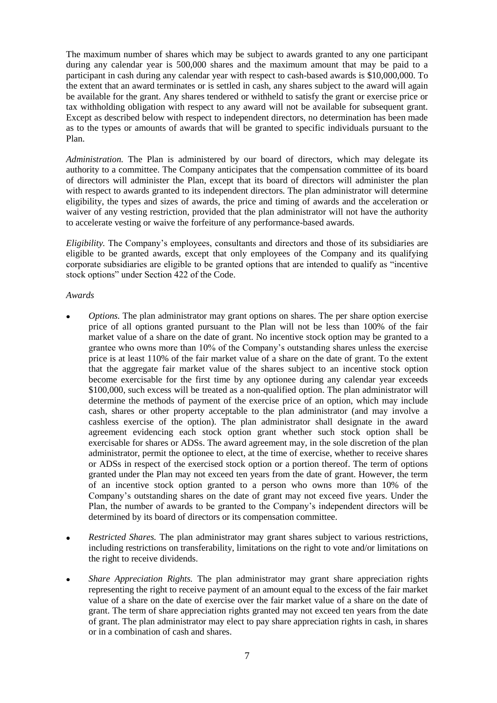The maximum number of shares which may be subject to awards granted to any one participant during any calendar year is 500,000 shares and the maximum amount that may be paid to a participant in cash during any calendar year with respect to cash-based awards is \$10,000,000. To the extent that an award terminates or is settled in cash, any shares subject to the award will again be available for the grant. Any shares tendered or withheld to satisfy the grant or exercise price or tax withholding obligation with respect to any award will not be available for subsequent grant. Except as described below with respect to independent directors, no determination has been made as to the types or amounts of awards that will be granted to specific individuals pursuant to the Plan.

*Administration.* The Plan is administered by our board of directors, which may delegate its authority to a committee. The Company anticipates that the compensation committee of its board of directors will administer the Plan, except that its board of directors will administer the plan with respect to awards granted to its independent directors. The plan administrator will determine eligibility, the types and sizes of awards, the price and timing of awards and the acceleration or waiver of any vesting restriction, provided that the plan administrator will not have the authority to accelerate vesting or waive the forfeiture of any performance-based awards.

*Eligibility.* The Company's employees, consultants and directors and those of its subsidiaries are eligible to be granted awards, except that only employees of the Company and its qualifying corporate subsidiaries are eligible to be granted options that are intended to qualify as "incentive" stock options" under Section 422 of the Code.

*Awards*

- *Options*. The plan administrator may grant options on shares. The per share option exercise price of all options granted pursuant to the Plan will not be less than 100% of the fair market value of a share on the date of grant. No incentive stock option may be granted to a grantee who owns more than 10% of the Company's outstanding shares unless the exercise price is at least 110% of the fair market value of a share on the date of grant. To the extent that the aggregate fair market value of the shares subject to an incentive stock option become exercisable for the first time by any optionee during any calendar year exceeds \$100,000, such excess will be treated as a non-qualified option. The plan administrator will determine the methods of payment of the exercise price of an option, which may include cash, shares or other property acceptable to the plan administrator (and may involve a cashless exercise of the option). The plan administrator shall designate in the award agreement evidencing each stock option grant whether such stock option shall be exercisable for shares or ADSs. The award agreement may, in the sole discretion of the plan administrator, permit the optionee to elect, at the time of exercise, whether to receive shares or ADSs in respect of the exercised stock option or a portion thereof. The term of options granted under the Plan may not exceed ten years from the date of grant. However, the term of an incentive stock option granted to a person who owns more than 10% of the Company's outstanding shares on the date of grant may not exceed five years. Under the Plan, the number of awards to be granted to the Company's independent directors will be determined by its board of directors or its compensation committee.
- *Restricted Shares.* The plan administrator may grant shares subject to various restrictions, including restrictions on transferability, limitations on the right to vote and/or limitations on the right to receive dividends.
- *Share Appreciation Rights.* The plan administrator may grant share appreciation rights representing the right to receive payment of an amount equal to the excess of the fair market value of a share on the date of exercise over the fair market value of a share on the date of grant. The term of share appreciation rights granted may not exceed ten years from the date of grant. The plan administrator may elect to pay share appreciation rights in cash, in shares or in a combination of cash and shares.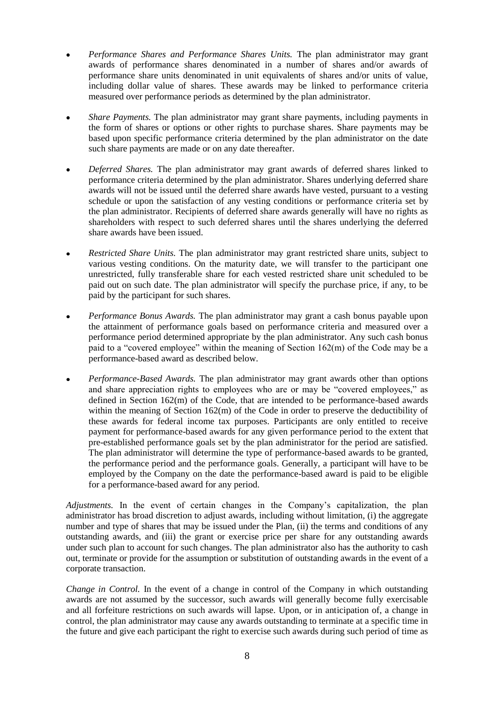- *Performance Shares and Performance Shares Units.* The plan administrator may grant awards of performance shares denominated in a number of shares and/or awards of performance share units denominated in unit equivalents of shares and/or units of value, including dollar value of shares. These awards may be linked to performance criteria measured over performance periods as determined by the plan administrator.
- *Share Payments.* The plan administrator may grant share payments, including payments in the form of shares or options or other rights to purchase shares. Share payments may be based upon specific performance criteria determined by the plan administrator on the date such share payments are made or on any date thereafter.
- *Deferred Shares.* The plan administrator may grant awards of deferred shares linked to performance criteria determined by the plan administrator. Shares underlying deferred share awards will not be issued until the deferred share awards have vested, pursuant to a vesting schedule or upon the satisfaction of any vesting conditions or performance criteria set by the plan administrator. Recipients of deferred share awards generally will have no rights as shareholders with respect to such deferred shares until the shares underlying the deferred share awards have been issued.
- *Restricted Share Units.* The plan administrator may grant restricted share units, subject to various vesting conditions. On the maturity date, we will transfer to the participant one unrestricted, fully transferable share for each vested restricted share unit scheduled to be paid out on such date. The plan administrator will specify the purchase price, if any, to be paid by the participant for such shares.
- *Performance Bonus Awards.* The plan administrator may grant a cash bonus payable upon the attainment of performance goals based on performance criteria and measured over a performance period determined appropriate by the plan administrator. Any such cash bonus paid to a "covered employee" within the meaning of Section  $162(m)$  of the Code may be a performance-based award as described below.
- *Performance-Based Awards.* The plan administrator may grant awards other than options and share appreciation rights to employees who are or may be "covered employees," as defined in Section 162(m) of the Code, that are intended to be performance-based awards within the meaning of Section 162(m) of the Code in order to preserve the deductibility of these awards for federal income tax purposes. Participants are only entitled to receive payment for performance-based awards for any given performance period to the extent that pre-established performance goals set by the plan administrator for the period are satisfied. The plan administrator will determine the type of performance-based awards to be granted, the performance period and the performance goals. Generally, a participant will have to be employed by the Company on the date the performance-based award is paid to be eligible for a performance-based award for any period.

*Adjustments.* In the event of certain changes in the Company's capitalization, the plan administrator has broad discretion to adjust awards, including without limitation, (i) the aggregate number and type of shares that may be issued under the Plan, (ii) the terms and conditions of any outstanding awards, and (iii) the grant or exercise price per share for any outstanding awards under such plan to account for such changes. The plan administrator also has the authority to cash out, terminate or provide for the assumption or substitution of outstanding awards in the event of a corporate transaction.

*Change in Control.* In the event of a change in control of the Company in which outstanding awards are not assumed by the successor, such awards will generally become fully exercisable and all forfeiture restrictions on such awards will lapse. Upon, or in anticipation of, a change in control, the plan administrator may cause any awards outstanding to terminate at a specific time in the future and give each participant the right to exercise such awards during such period of time as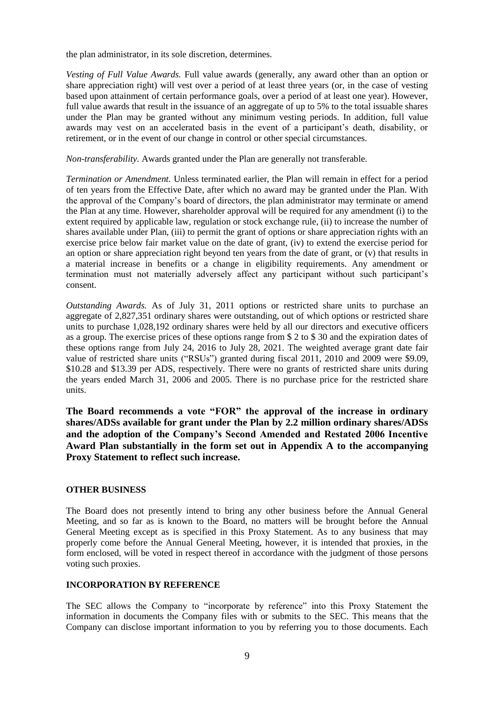the plan administrator, in its sole discretion, determines.

*Vesting of Full Value Awards.* Full value awards (generally, any award other than an option or share appreciation right) will vest over a period of at least three years (or, in the case of vesting based upon attainment of certain performance goals, over a period of at least one year). However, full value awards that result in the issuance of an aggregate of up to 5% to the total issuable shares under the Plan may be granted without any minimum vesting periods. In addition, full value awards may vest on an accelerated basis in the event of a participant's death, disability, or retirement, or in the event of our change in control or other special circumstances.

*Non-transferability.* Awards granted under the Plan are generally not transferable.

*Termination or Amendment.* Unless terminated earlier, the Plan will remain in effect for a period of ten years from the Effective Date, after which no award may be granted under the Plan. With the approval of the Company's board of directors, the plan administrator may terminate or amend the Plan at any time. However, shareholder approval will be required for any amendment (i) to the extent required by applicable law, regulation or stock exchange rule, (ii) to increase the number of shares available under Plan, (iii) to permit the grant of options or share appreciation rights with an exercise price below fair market value on the date of grant, (iv) to extend the exercise period for an option or share appreciation right beyond ten years from the date of grant, or (v) that results in a material increase in benefits or a change in eligibility requirements. Any amendment or termination must not materially adversely affect any participant without such participant's consent.

*Outstanding Awards.* As of July 31, 2011 options or restricted share units to purchase an aggregate of 2,827,351 ordinary shares were outstanding, out of which options or restricted share units to purchase 1,028,192 ordinary shares were held by all our directors and executive officers as a group. The exercise prices of these options range from \$ 2 to \$ 30 and the expiration dates of these options range from July 24, 2016 to July 28, 2021. The weighted average grant date fair value of restricted share units ("RSUs") granted during fiscal 2011, 2010 and 2009 were \$9.09, \$10.28 and \$13.39 per ADS, respectively. There were no grants of restricted share units during the years ended March 31, 2006 and 2005. There is no purchase price for the restricted share units.

**The Board recommends a vote "FOR" the approval of the increase in ordinary shares/ADSs available for grant under the Plan by 2.2 million ordinary shares/ADSs and the adoption of the Company"s Second Amended and Restated 2006 Incentive Award Plan substantially in the form set out in Appendix A to the accompanying Proxy Statement to reflect such increase.**

## **OTHER BUSINESS**

The Board does not presently intend to bring any other business before the Annual General Meeting, and so far as is known to the Board, no matters will be brought before the Annual General Meeting except as is specified in this Proxy Statement. As to any business that may properly come before the Annual General Meeting, however, it is intended that proxies, in the form enclosed, will be voted in respect thereof in accordance with the judgment of those persons voting such proxies.

# **INCORPORATION BY REFERENCE**

The SEC allows the Company to "incorporate by reference" into this Proxy Statement the information in documents the Company files with or submits to the SEC. This means that the Company can disclose important information to you by referring you to those documents. Each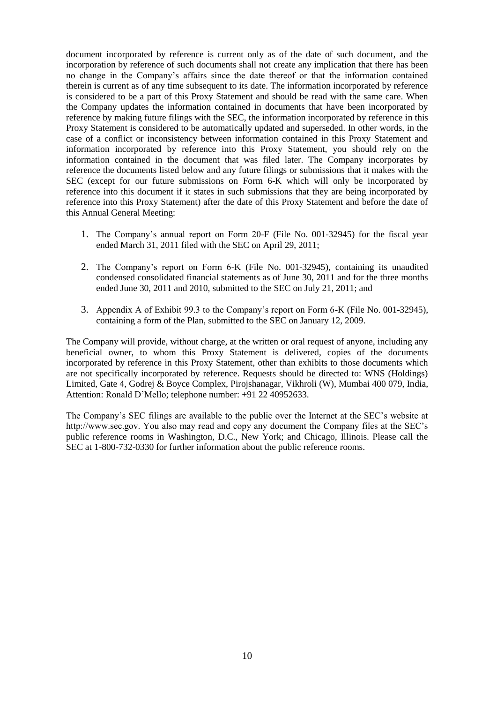document incorporated by reference is current only as of the date of such document, and the incorporation by reference of such documents shall not create any implication that there has been no change in the Company's affairs since the date thereof or that the information contained therein is current as of any time subsequent to its date. The information incorporated by reference is considered to be a part of this Proxy Statement and should be read with the same care. When the Company updates the information contained in documents that have been incorporated by reference by making future filings with the SEC, the information incorporated by reference in this Proxy Statement is considered to be automatically updated and superseded. In other words, in the case of a conflict or inconsistency between information contained in this Proxy Statement and information incorporated by reference into this Proxy Statement, you should rely on the information contained in the document that was filed later. The Company incorporates by reference the documents listed below and any future filings or submissions that it makes with the SEC (except for our future submissions on Form 6-K which will only be incorporated by reference into this document if it states in such submissions that they are being incorporated by reference into this Proxy Statement) after the date of this Proxy Statement and before the date of this Annual General Meeting:

- 1. The Company's annual report on Form 20-F (File No. 001-32945) for the fiscal year ended March 31, 2011 filed with the SEC on April 29, 2011;
- 2. The Company's report on Form 6-K (File No. 001-32945), containing its unaudited condensed consolidated financial statements as of June 30, 2011 and for the three months ended June 30, 2011 and 2010, submitted to the SEC on July 21, 2011; and
- 3. Appendix A of Exhibit 99.3 to the Company's report on Form 6-K (File No. 001-32945), containing a form of the Plan, submitted to the SEC on January 12, 2009.

The Company will provide, without charge, at the written or oral request of anyone, including any beneficial owner, to whom this Proxy Statement is delivered, copies of the documents incorporated by reference in this Proxy Statement, other than exhibits to those documents which are not specifically incorporated by reference. Requests should be directed to: WNS (Holdings) Limited, Gate 4, Godrej & Boyce Complex, Pirojshanagar, Vikhroli (W), Mumbai 400 079, India, Attention: Ronald D'Mello; telephone number: +91 22 40952633.

The Company's SEC filings are available to the public over the Internet at the SEC's website at http://www.sec.gov. You also may read and copy any document the Company files at the SEC's public reference rooms in Washington, D.C., New York; and Chicago, Illinois. Please call the SEC at 1-800-732-0330 for further information about the public reference rooms.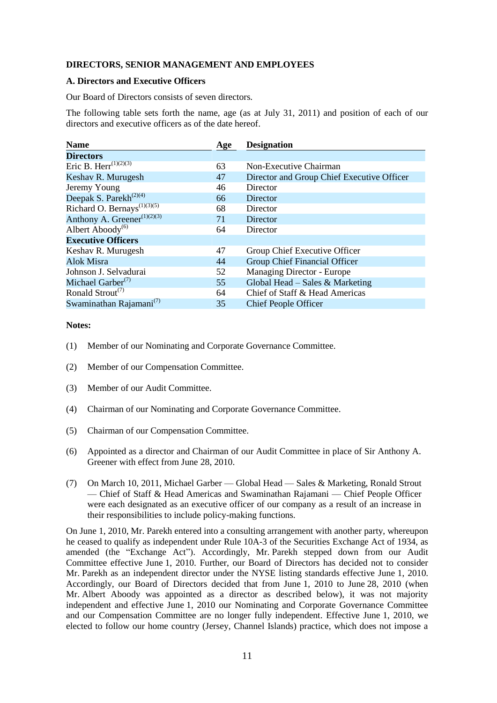## **DIRECTORS, SENIOR MANAGEMENT AND EMPLOYEES**

#### **A. Directors and Executive Officers**

Our Board of Directors consists of seven directors.

The following table sets forth the name, age (as at July 31, 2011) and position of each of our directors and executive officers as of the date hereof.

| <b>Name</b>                                          | Age | <b>Designation</b>                         |
|------------------------------------------------------|-----|--------------------------------------------|
| <b>Directors</b>                                     |     |                                            |
| Eric B. Herr <sup><math>(1)(2)(3)</math></sup>       | 63  | Non-Executive Chairman                     |
| Keshav R. Murugesh                                   | 47  | Director and Group Chief Executive Officer |
| Jeremy Young                                         | 46  | Director                                   |
| Deepak S. Parekh <sup><math>(2)(4)</math></sup>      | 66  | Director                                   |
| Richard O. Bernays <sup><math>(1)(3)(5)</math></sup> | 68  | Director                                   |
| Anthony A. Greener <sup>(1)(2)(3)</sup>              | 71  | Director                                   |
| Albert Aboody <sup>(6)</sup>                         | 64  | Director                                   |
| <b>Executive Officers</b>                            |     |                                            |
| Keshav R. Murugesh                                   | 47  | Group Chief Executive Officer              |
| <b>Alok Misra</b>                                    | 44  | Group Chief Financial Officer              |
| Johnson J. Selvadurai                                | 52  | Managing Director - Europe                 |
| Michael Garber <sup>(7)</sup>                        | 55  | Global Head – Sales & Marketing            |
| Ronald Strout <sup>(7)</sup>                         | 64  | Chief of Staff & Head Americas             |
| Swaminathan Rajamani <sup>(7)</sup>                  | 35  | <b>Chief People Officer</b>                |

# **Notes:**

- (1) Member of our Nominating and Corporate Governance Committee.
- (2) Member of our Compensation Committee.
- (3) Member of our Audit Committee.
- (4) Chairman of our Nominating and Corporate Governance Committee.
- (5) Chairman of our Compensation Committee.
- (6) Appointed as a director and Chairman of our Audit Committee in place of Sir Anthony A. Greener with effect from June 28, 2010.
- (7) On March 10, 2011, Michael Garber Global Head Sales & Marketing, Ronald Strout — Chief of Staff & Head Americas and Swaminathan Rajamani — Chief People Officer were each designated as an executive officer of our company as a result of an increase in their responsibilities to include policy-making functions.

On June 1, 2010, Mr. Parekh entered into a consulting arrangement with another party, whereupon he ceased to qualify as independent under Rule 10A-3 of the Securities Exchange Act of 1934, as amended (the "Exchange Act"). Accordingly, Mr. Parekh stepped down from our Audit Committee effective June 1, 2010. Further, our Board of Directors has decided not to consider Mr. Parekh as an independent director under the NYSE listing standards effective June 1, 2010. Accordingly, our Board of Directors decided that from June 1, 2010 to June 28, 2010 (when Mr. Albert Aboody was appointed as a director as described below), it was not majority independent and effective June 1, 2010 our Nominating and Corporate Governance Committee and our Compensation Committee are no longer fully independent. Effective June 1, 2010, we elected to follow our home country (Jersey, Channel Islands) practice, which does not impose a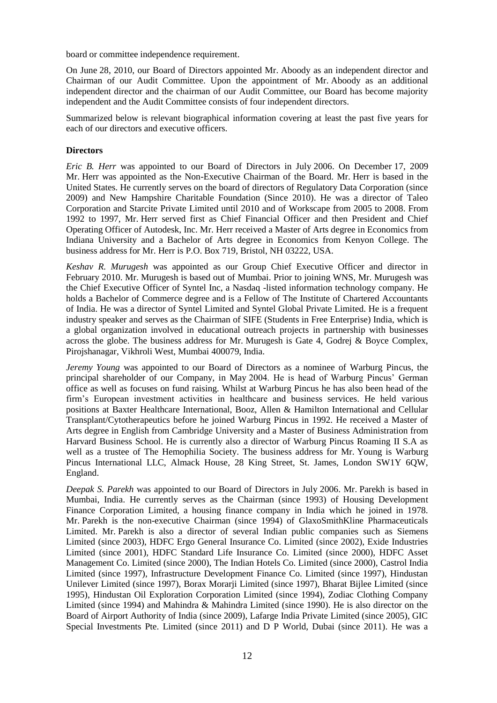board or committee independence requirement.

On June 28, 2010, our Board of Directors appointed Mr. Aboody as an independent director and Chairman of our Audit Committee. Upon the appointment of Mr. Aboody as an additional independent director and the chairman of our Audit Committee, our Board has become majority independent and the Audit Committee consists of four independent directors.

Summarized below is relevant biographical information covering at least the past five years for each of our directors and executive officers.

# **Directors**

*Eric B. Herr* was appointed to our Board of Directors in July 2006. On December 17, 2009 Mr. Herr was appointed as the Non-Executive Chairman of the Board. Mr. Herr is based in the United States. He currently serves on the board of directors of Regulatory Data Corporation (since 2009) and New Hampshire Charitable Foundation (Since 2010). He was a director of Taleo Corporation and Starcite Private Limited until 2010 and of Workscape from 2005 to 2008. From 1992 to 1997, Mr. Herr served first as Chief Financial Officer and then President and Chief Operating Officer of Autodesk, Inc. Mr. Herr received a Master of Arts degree in Economics from Indiana University and a Bachelor of Arts degree in Economics from Kenyon College. The business address for Mr. Herr is P.O. Box 719, Bristol, NH 03222, USA.

*Keshav R. Murugesh* was appointed as our Group Chief Executive Officer and director in February 2010. Mr. Murugesh is based out of Mumbai. Prior to joining WNS, Mr. Murugesh was the Chief Executive Officer of Syntel Inc, a Nasdaq -listed information technology company. He holds a Bachelor of Commerce degree and is a Fellow of The Institute of Chartered Accountants of India. He was a director of Syntel Limited and Syntel Global Private Limited. He is a frequent industry speaker and serves as the Chairman of SIFE (Students in Free Enterprise) India, which is a global organization involved in educational outreach projects in partnership with businesses across the globe. The business address for Mr. Murugesh is Gate 4, Godrej & Boyce Complex, Pirojshanagar, Vikhroli West, Mumbai 400079, India.

*Jeremy Young* was appointed to our Board of Directors as a nominee of Warburg Pincus, the principal shareholder of our Company, in May 2004. He is head of Warburg Pincus' German office as well as focuses on fund raising. Whilst at Warburg Pincus he has also been head of the firm's European investment activities in healthcare and business services. He held various positions at Baxter Healthcare International, Booz, Allen & Hamilton International and Cellular Transplant/Cytotherapeutics before he joined Warburg Pincus in 1992. He received a Master of Arts degree in English from Cambridge University and a Master of Business Administration from Harvard Business School. He is currently also a director of Warburg Pincus Roaming II S.A as well as a trustee of The Hemophilia Society. The business address for Mr. Young is Warburg Pincus International LLC, Almack House, 28 King Street, St. James, London SW1Y 6QW, England.

*Deepak S. Parekh* was appointed to our Board of Directors in July 2006. Mr. Parekh is based in Mumbai, India. He currently serves as the Chairman (since 1993) of Housing Development Finance Corporation Limited, a housing finance company in India which he joined in 1978. Mr. Parekh is the non-executive Chairman (since 1994) of GlaxoSmithKline Pharmaceuticals Limited. Mr. Parekh is also a director of several Indian public companies such as Siemens Limited (since 2003), HDFC Ergo General Insurance Co. Limited (since 2002), Exide Industries Limited (since 2001), HDFC Standard Life Insurance Co. Limited (since 2000), HDFC Asset Management Co. Limited (since 2000), The Indian Hotels Co. Limited (since 2000), Castrol India Limited (since 1997), Infrastructure Development Finance Co. Limited (since 1997), Hindustan Unilever Limited (since 1997), Borax Morarji Limited (since 1997), Bharat Bijlee Limited (since 1995), Hindustan Oil Exploration Corporation Limited (since 1994), Zodiac Clothing Company Limited (since 1994) and Mahindra & Mahindra Limited (since 1990). He is also director on the Board of Airport Authority of India (since 2009), Lafarge India Private Limited (since 2005), GIC Special Investments Pte. Limited (since 2011) and D P World, Dubai (since 2011). He was a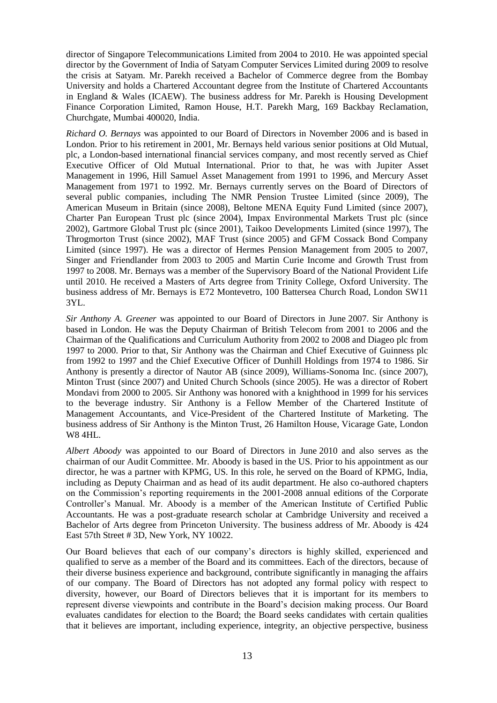director of Singapore Telecommunications Limited from 2004 to 2010. He was appointed special director by the Government of India of Satyam Computer Services Limited during 2009 to resolve the crisis at Satyam. Mr. Parekh received a Bachelor of Commerce degree from the Bombay University and holds a Chartered Accountant degree from the Institute of Chartered Accountants in England & Wales (ICAEW). The business address for Mr. Parekh is Housing Development Finance Corporation Limited, Ramon House, H.T. Parekh Marg, 169 Backbay Reclamation, Churchgate, Mumbai 400020, India.

*Richard O. Bernays* was appointed to our Board of Directors in November 2006 and is based in London. Prior to his retirement in 2001, Mr. Bernays held various senior positions at Old Mutual, plc, a London-based international financial services company, and most recently served as Chief Executive Officer of Old Mutual International. Prior to that, he was with Jupiter Asset Management in 1996, Hill Samuel Asset Management from 1991 to 1996, and Mercury Asset Management from 1971 to 1992. Mr. Bernays currently serves on the Board of Directors of several public companies, including The NMR Pension Trustee Limited (since 2009), The American Museum in Britain (since 2008), Beltone MENA Equity Fund Limited (since 2007), Charter Pan European Trust plc (since 2004), Impax Environmental Markets Trust plc (since 2002), Gartmore Global Trust plc (since 2001), Taikoo Developments Limited (since 1997), The Throgmorton Trust (since 2002), MAF Trust (since 2005) and GFM Cossack Bond Company Limited (since 1997). He was a director of Hermes Pension Management from 2005 to 2007, Singer and Friendlander from 2003 to 2005 and Martin Curie Income and Growth Trust from 1997 to 2008. Mr. Bernays was a member of the Supervisory Board of the National Provident Life until 2010. He received a Masters of Arts degree from Trinity College, Oxford University. The business address of Mr. Bernays is E72 Montevetro, 100 Battersea Church Road, London SW11 3YL.

*Sir Anthony A. Greener* was appointed to our Board of Directors in June 2007. Sir Anthony is based in London. He was the Deputy Chairman of British Telecom from 2001 to 2006 and the Chairman of the Qualifications and Curriculum Authority from 2002 to 2008 and Diageo plc from 1997 to 2000. Prior to that, Sir Anthony was the Chairman and Chief Executive of Guinness plc from 1992 to 1997 and the Chief Executive Officer of Dunhill Holdings from 1974 to 1986. Sir Anthony is presently a director of Nautor AB (since 2009), Williams-Sonoma Inc. (since 2007), Minton Trust (since 2007) and United Church Schools (since 2005). He was a director of Robert Mondavi from 2000 to 2005. Sir Anthony was honored with a knighthood in 1999 for his services to the beverage industry. Sir Anthony is a Fellow Member of the Chartered Institute of Management Accountants, and Vice-President of the Chartered Institute of Marketing. The business address of Sir Anthony is the Minton Trust, 26 Hamilton House, Vicarage Gate, London W8 4HL.

*Albert Aboody* was appointed to our Board of Directors in June 2010 and also serves as the chairman of our Audit Committee. Mr. Aboody is based in the US. Prior to his appointment as our director, he was a partner with KPMG, US. In this role, he served on the Board of KPMG, India, including as Deputy Chairman and as head of its audit department. He also co-authored chapters on the Commission's reporting requirements in the 2001-2008 annual editions of the Corporate Controller's Manual. Mr. Aboody is a member of the American Institute of Certified Public Accountants. He was a post-graduate research scholar at Cambridge University and received a Bachelor of Arts degree from Princeton University. The business address of Mr. Aboody is 424 East 57th Street # 3D, New York, NY 10022.

Our Board believes that each of our company's directors is highly skilled, experienced and qualified to serve as a member of the Board and its committees. Each of the directors, because of their diverse business experience and background, contribute significantly in managing the affairs of our company. The Board of Directors has not adopted any formal policy with respect to diversity, however, our Board of Directors believes that it is important for its members to represent diverse viewpoints and contribute in the Board's decision making process. Our Board evaluates candidates for election to the Board; the Board seeks candidates with certain qualities that it believes are important, including experience, integrity, an objective perspective, business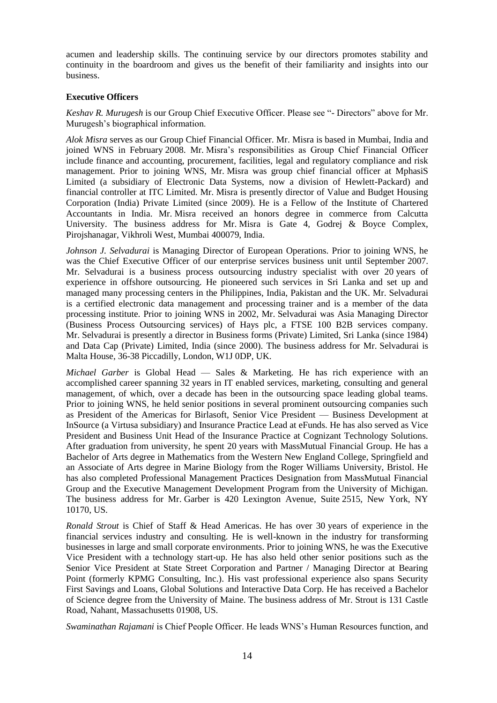acumen and leadership skills. The continuing service by our directors promotes stability and continuity in the boardroom and gives us the benefit of their familiarity and insights into our business.

# **Executive Officers**

*Keshav R. Murugesh* is our Group Chief Executive Officer. Please see "- Directors" above for Mr. Murugesh's biographical information.

*Alok Misra* serves as our Group Chief Financial Officer. Mr. Misra is based in Mumbai, India and joined WNS in February 2008. Mr. Misra's responsibilities as Group Chief Financial Officer include finance and accounting, procurement, facilities, legal and regulatory compliance and risk management. Prior to joining WNS, Mr. Misra was group chief financial officer at MphasiS Limited (a subsidiary of Electronic Data Systems, now a division of Hewlett-Packard) and financial controller at ITC Limited. Mr. Misra is presently director of Value and Budget Housing Corporation (India) Private Limited (since 2009). He is a Fellow of the Institute of Chartered Accountants in India. Mr. Misra received an honors degree in commerce from Calcutta University. The business address for Mr. Misra is Gate 4, Godrej & Boyce Complex, Pirojshanagar, Vikhroli West, Mumbai 400079, India.

*Johnson J. Selvadurai* is Managing Director of European Operations. Prior to joining WNS, he was the Chief Executive Officer of our enterprise services business unit until September 2007. Mr. Selvadurai is a business process outsourcing industry specialist with over 20 years of experience in offshore outsourcing. He pioneered such services in Sri Lanka and set up and managed many processing centers in the Philippines, India, Pakistan and the UK. Mr. Selvadurai is a certified electronic data management and processing trainer and is a member of the data processing institute. Prior to joining WNS in 2002, Mr. Selvadurai was Asia Managing Director (Business Process Outsourcing services) of Hays plc, a FTSE 100 B2B services company. Mr. Selvadurai is presently a director in Business forms (Private) Limited, Sri Lanka (since 1984) and Data Cap (Private) Limited, India (since 2000). The business address for Mr. Selvadurai is Malta House, 36-38 Piccadilly, London, W1J 0DP, UK.

*Michael Garber* is Global Head — Sales & Marketing. He has rich experience with an accomplished career spanning 32 years in IT enabled services, marketing, consulting and general management, of which, over a decade has been in the outsourcing space leading global teams. Prior to joining WNS, he held senior positions in several prominent outsourcing companies such as President of the Americas for Birlasoft, Senior Vice President — Business Development at InSource (a Virtusa subsidiary) and Insurance Practice Lead at eFunds. He has also served as Vice President and Business Unit Head of the Insurance Practice at Cognizant Technology Solutions. After graduation from university, he spent 20 years with MassMutual Financial Group. He has a Bachelor of Arts degree in Mathematics from the Western New England College, Springfield and an Associate of Arts degree in Marine Biology from the Roger Williams University, Bristol. He has also completed Professional Management Practices Designation from MassMutual Financial Group and the Executive Management Development Program from the University of Michigan. The business address for Mr. Garber is 420 Lexington Avenue, Suite 2515, New York, NY 10170, US.

*Ronald Strout* is Chief of Staff & Head Americas. He has over 30 years of experience in the financial services industry and consulting. He is well-known in the industry for transforming businesses in large and small corporate environments. Prior to joining WNS, he was the Executive Vice President with a technology start-up. He has also held other senior positions such as the Senior Vice President at State Street Corporation and Partner / Managing Director at Bearing Point (formerly KPMG Consulting, Inc.). His vast professional experience also spans Security First Savings and Loans, Global Solutions and Interactive Data Corp. He has received a Bachelor of Science degree from the University of Maine. The business address of Mr. Strout is 131 Castle Road, Nahant, Massachusetts 01908, US.

*Swaminathan Rajamani* is Chief People Officer. He leads WNS's Human Resources function, and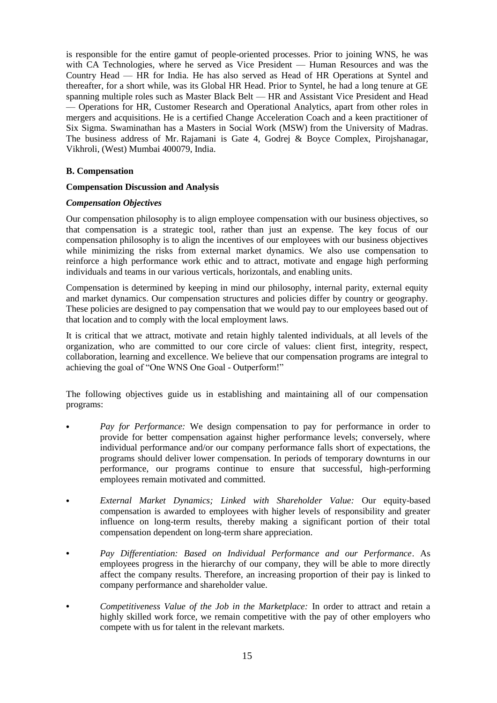is responsible for the entire gamut of people-oriented processes. Prior to joining WNS, he was with CA Technologies, where he served as Vice President — Human Resources and was the Country Head — HR for India. He has also served as Head of HR Operations at Syntel and thereafter, for a short while, was its Global HR Head. Prior to Syntel, he had a long tenure at GE spanning multiple roles such as Master Black Belt — HR and Assistant Vice President and Head — Operations for HR, Customer Research and Operational Analytics, apart from other roles in mergers and acquisitions. He is a certified Change Acceleration Coach and a keen practitioner of Six Sigma. Swaminathan has a Masters in Social Work (MSW) from the University of Madras. The business address of Mr. Rajamani is Gate 4, Godrej & Boyce Complex, Pirojshanagar, Vikhroli, (West) Mumbai 400079, India.

### **B. Compensation**

#### **Compensation Discussion and Analysis**

#### *Compensation Objectives*

Our compensation philosophy is to align employee compensation with our business objectives, so that compensation is a strategic tool, rather than just an expense. The key focus of our compensation philosophy is to align the incentives of our employees with our business objectives while minimizing the risks from external market dynamics. We also use compensation to reinforce a high performance work ethic and to attract, motivate and engage high performing individuals and teams in our various verticals, horizontals, and enabling units.

Compensation is determined by keeping in mind our philosophy, internal parity, external equity and market dynamics. Our compensation structures and policies differ by country or geography. These policies are designed to pay compensation that we would pay to our employees based out of that location and to comply with the local employment laws.

It is critical that we attract, motivate and retain highly talented individuals, at all levels of the organization, who are committed to our core circle of values: client first, integrity, respect, collaboration, learning and excellence. We believe that our compensation programs are integral to achieving the goal of "One WNS One Goal - Outperform!"

The following objectives guide us in establishing and maintaining all of our compensation programs:

- **•** *Pay for Performance:* We design compensation to pay for performance in order to provide for better compensation against higher performance levels; conversely, where individual performance and/or our company performance falls short of expectations, the programs should deliver lower compensation. In periods of temporary downturns in our performance, our programs continue to ensure that successful, high-performing employees remain motivated and committed.
- **•** *External Market Dynamics; Linked with Shareholder Value:* Our equity-based compensation is awarded to employees with higher levels of responsibility and greater influence on long-term results, thereby making a significant portion of their total compensation dependent on long-term share appreciation.
- **•** *Pay Differentiation: Based on Individual Performance and our Performance*. As employees progress in the hierarchy of our company, they will be able to more directly affect the company results. Therefore, an increasing proportion of their pay is linked to company performance and shareholder value.
- **•** *Competitiveness Value of the Job in the Marketplace:* In order to attract and retain a highly skilled work force, we remain competitive with the pay of other employers who compete with us for talent in the relevant markets.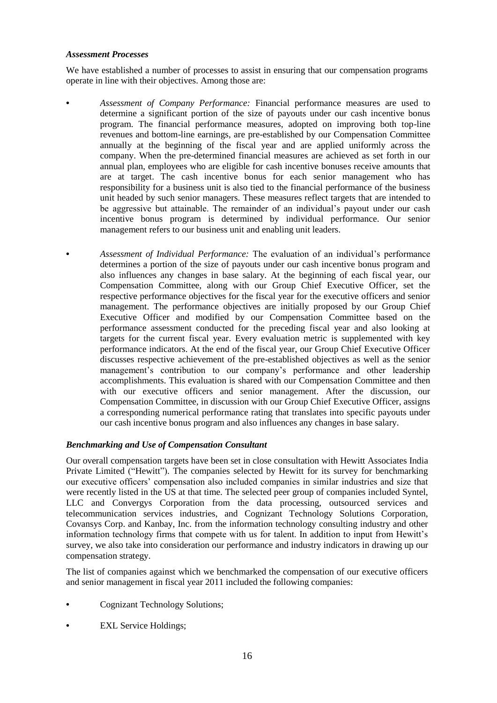# *Assessment Processes*

We have established a number of processes to assist in ensuring that our compensation programs operate in line with their objectives. Among those are:

- **•** *Assessment of Company Performance:* Financial performance measures are used to determine a significant portion of the size of payouts under our cash incentive bonus program. The financial performance measures, adopted on improving both top-line revenues and bottom-line earnings, are pre-established by our Compensation Committee annually at the beginning of the fiscal year and are applied uniformly across the company. When the pre-determined financial measures are achieved as set forth in our annual plan, employees who are eligible for cash incentive bonuses receive amounts that are at target. The cash incentive bonus for each senior management who has responsibility for a business unit is also tied to the financial performance of the business unit headed by such senior managers. These measures reflect targets that are intended to be aggressive but attainable. The remainder of an individual's payout under our cash incentive bonus program is determined by individual performance. Our senior management refers to our business unit and enabling unit leaders.
	- **•** *Assessment of Individual Performance:* The evaluation of an individual's performance determines a portion of the size of payouts under our cash incentive bonus program and also influences any changes in base salary. At the beginning of each fiscal year, our Compensation Committee, along with our Group Chief Executive Officer, set the respective performance objectives for the fiscal year for the executive officers and senior management. The performance objectives are initially proposed by our Group Chief Executive Officer and modified by our Compensation Committee based on the performance assessment conducted for the preceding fiscal year and also looking at targets for the current fiscal year. Every evaluation metric is supplemented with key performance indicators. At the end of the fiscal year, our Group Chief Executive Officer discusses respective achievement of the pre-established objectives as well as the senior management's contribution to our company's performance and other leadership accomplishments. This evaluation is shared with our Compensation Committee and then with our executive officers and senior management. After the discussion, our Compensation Committee, in discussion with our Group Chief Executive Officer, assigns a corresponding numerical performance rating that translates into specific payouts under our cash incentive bonus program and also influences any changes in base salary.

# *Benchmarking and Use of Compensation Consultant*

Our overall compensation targets have been set in close consultation with Hewitt Associates India Private Limited ("Hewitt"). The companies selected by Hewitt for its survey for benchmarking our executive officers' compensation also included companies in similar industries and size that were recently listed in the US at that time. The selected peer group of companies included Syntel, LLC and Convergys Corporation from the data processing, outsourced services and telecommunication services industries, and Cognizant Technology Solutions Corporation, Covansys Corp. and Kanbay, Inc. from the information technology consulting industry and other information technology firms that compete with us for talent. In addition to input from Hewitt's survey, we also take into consideration our performance and industry indicators in drawing up our compensation strategy.

The list of companies against which we benchmarked the compensation of our executive officers and senior management in fiscal year 2011 included the following companies:

- **•** Cognizant Technology Solutions;
- **EXL Service Holdings;**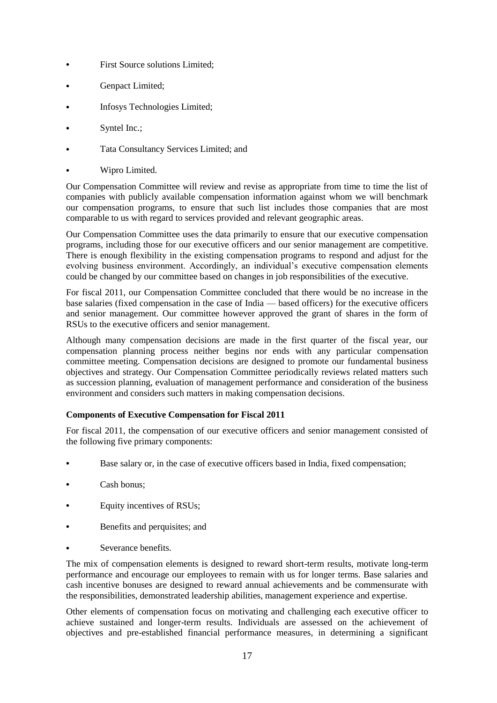- **•** First Source solutions Limited;
- **•** Genpact Limited;
- **•** Infosys Technologies Limited;
- **•** Syntel Inc.;
- **•** Tata Consultancy Services Limited; and
- **•** Wipro Limited.

Our Compensation Committee will review and revise as appropriate from time to time the list of companies with publicly available compensation information against whom we will benchmark our compensation programs, to ensure that such list includes those companies that are most comparable to us with regard to services provided and relevant geographic areas.

Our Compensation Committee uses the data primarily to ensure that our executive compensation programs, including those for our executive officers and our senior management are competitive. There is enough flexibility in the existing compensation programs to respond and adjust for the evolving business environment. Accordingly, an individual's executive compensation elements could be changed by our committee based on changes in job responsibilities of the executive.

For fiscal 2011, our Compensation Committee concluded that there would be no increase in the base salaries (fixed compensation in the case of India — based officers) for the executive officers and senior management. Our committee however approved the grant of shares in the form of RSUs to the executive officers and senior management.

Although many compensation decisions are made in the first quarter of the fiscal year, our compensation planning process neither begins nor ends with any particular compensation committee meeting. Compensation decisions are designed to promote our fundamental business objectives and strategy. Our Compensation Committee periodically reviews related matters such as succession planning, evaluation of management performance and consideration of the business environment and considers such matters in making compensation decisions.

# **Components of Executive Compensation for Fiscal 2011**

For fiscal 2011, the compensation of our executive officers and senior management consisted of the following five primary components:

- **•** Base salary or, in the case of executive officers based in India, fixed compensation;
- **•** Cash bonus;
- **•** Equity incentives of RSUs;
- **•** Benefits and perquisites; and
- **•** Severance benefits.

The mix of compensation elements is designed to reward short-term results, motivate long-term performance and encourage our employees to remain with us for longer terms. Base salaries and cash incentive bonuses are designed to reward annual achievements and be commensurate with the responsibilities, demonstrated leadership abilities, management experience and expertise.

Other elements of compensation focus on motivating and challenging each executive officer to achieve sustained and longer-term results. Individuals are assessed on the achievement of objectives and pre-established financial performance measures, in determining a significant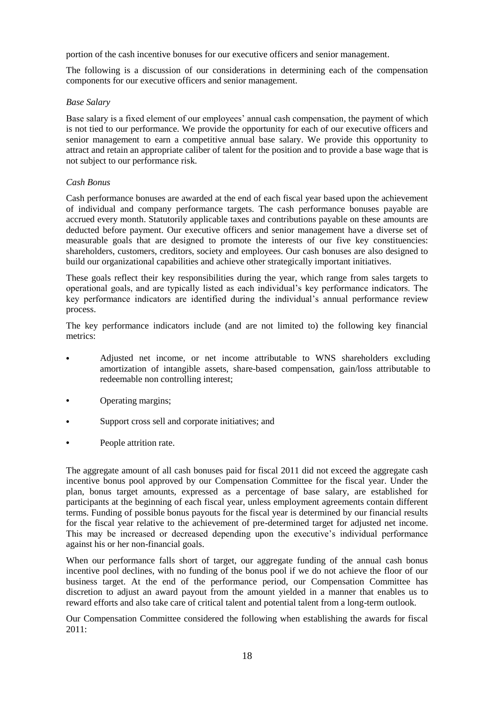portion of the cash incentive bonuses for our executive officers and senior management.

The following is a discussion of our considerations in determining each of the compensation components for our executive officers and senior management.

## *Base Salary*

Base salary is a fixed element of our employees' annual cash compensation, the payment of which is not tied to our performance. We provide the opportunity for each of our executive officers and senior management to earn a competitive annual base salary. We provide this opportunity to attract and retain an appropriate caliber of talent for the position and to provide a base wage that is not subject to our performance risk.

# *Cash Bonus*

Cash performance bonuses are awarded at the end of each fiscal year based upon the achievement of individual and company performance targets. The cash performance bonuses payable are accrued every month. Statutorily applicable taxes and contributions payable on these amounts are deducted before payment. Our executive officers and senior management have a diverse set of measurable goals that are designed to promote the interests of our five key constituencies: shareholders, customers, creditors, society and employees. Our cash bonuses are also designed to build our organizational capabilities and achieve other strategically important initiatives.

These goals reflect their key responsibilities during the year, which range from sales targets to operational goals, and are typically listed as each individual's key performance indicators. The key performance indicators are identified during the individual's annual performance review process.

The key performance indicators include (and are not limited to) the following key financial metrics:

- **•** Adjusted net income, or net income attributable to WNS shareholders excluding amortization of intangible assets, share-based compensation, gain/loss attributable to redeemable non controlling interest;
- **•** Operating margins;
- **•** Support cross sell and corporate initiatives; and
- **•** People attrition rate.

The aggregate amount of all cash bonuses paid for fiscal 2011 did not exceed the aggregate cash incentive bonus pool approved by our Compensation Committee for the fiscal year. Under the plan, bonus target amounts, expressed as a percentage of base salary, are established for participants at the beginning of each fiscal year, unless employment agreements contain different terms. Funding of possible bonus payouts for the fiscal year is determined by our financial results for the fiscal year relative to the achievement of pre-determined target for adjusted net income. This may be increased or decreased depending upon the executive's individual performance against his or her non-financial goals.

When our performance falls short of target, our aggregate funding of the annual cash bonus incentive pool declines, with no funding of the bonus pool if we do not achieve the floor of our business target. At the end of the performance period, our Compensation Committee has discretion to adjust an award payout from the amount yielded in a manner that enables us to reward efforts and also take care of critical talent and potential talent from a long-term outlook.

Our Compensation Committee considered the following when establishing the awards for fiscal  $2011$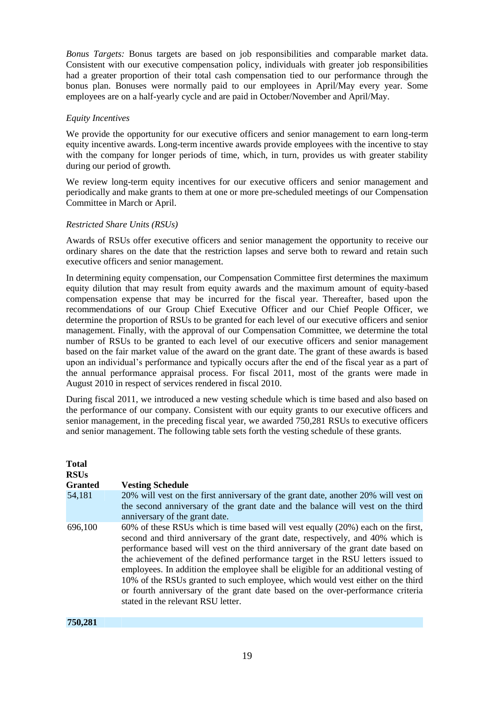*Bonus Targets:* Bonus targets are based on job responsibilities and comparable market data. Consistent with our executive compensation policy, individuals with greater job responsibilities had a greater proportion of their total cash compensation tied to our performance through the bonus plan. Bonuses were normally paid to our employees in April/May every year. Some employees are on a half-yearly cycle and are paid in October/November and April/May.

#### *Equity Incentives*

We provide the opportunity for our executive officers and senior management to earn long-term equity incentive awards. Long-term incentive awards provide employees with the incentive to stay with the company for longer periods of time, which, in turn, provides us with greater stability during our period of growth.

We review long-term equity incentives for our executive officers and senior management and periodically and make grants to them at one or more pre-scheduled meetings of our Compensation Committee in March or April.

## *Restricted Share Units (RSUs)*

Awards of RSUs offer executive officers and senior management the opportunity to receive our ordinary shares on the date that the restriction lapses and serve both to reward and retain such executive officers and senior management.

In determining equity compensation, our Compensation Committee first determines the maximum equity dilution that may result from equity awards and the maximum amount of equity-based compensation expense that may be incurred for the fiscal year. Thereafter, based upon the recommendations of our Group Chief Executive Officer and our Chief People Officer, we determine the proportion of RSUs to be granted for each level of our executive officers and senior management. Finally, with the approval of our Compensation Committee, we determine the total number of RSUs to be granted to each level of our executive officers and senior management based on the fair market value of the award on the grant date. The grant of these awards is based upon an individual's performance and typically occurs after the end of the fiscal year as a part of the annual performance appraisal process. For fiscal 2011, most of the grants were made in August 2010 in respect of services rendered in fiscal 2010.

During fiscal 2011, we introduced a new vesting schedule which is time based and also based on the performance of our company. Consistent with our equity grants to our executive officers and senior management, in the preceding fiscal year, we awarded 750,281 RSUs to executive officers and senior management. The following table sets forth the vesting schedule of these grants.

| Total<br>RSUs<br>Granted | <b>Vesting Schedule</b>                                                                                                                                                                                                                                                                                                                                                                                                                                                                                                                                                                                                                 |
|--------------------------|-----------------------------------------------------------------------------------------------------------------------------------------------------------------------------------------------------------------------------------------------------------------------------------------------------------------------------------------------------------------------------------------------------------------------------------------------------------------------------------------------------------------------------------------------------------------------------------------------------------------------------------------|
| 54,181                   | 20% will vest on the first anniversary of the grant date, another 20% will vest on<br>the second anniversary of the grant date and the balance will vest on the third<br>anniversary of the grant date.                                                                                                                                                                                                                                                                                                                                                                                                                                 |
| 696,100                  | 60% of these RSUs which is time based will vest equally (20%) each on the first,<br>second and third anniversary of the grant date, respectively, and 40% which is<br>performance based will vest on the third anniversary of the grant date based on<br>the achievement of the defined performance target in the RSU letters issued to<br>employees. In addition the employee shall be eligible for an additional vesting of<br>10% of the RSUs granted to such employee, which would vest either on the third<br>or fourth anniversary of the grant date based on the over-performance criteria<br>stated in the relevant RSU letter. |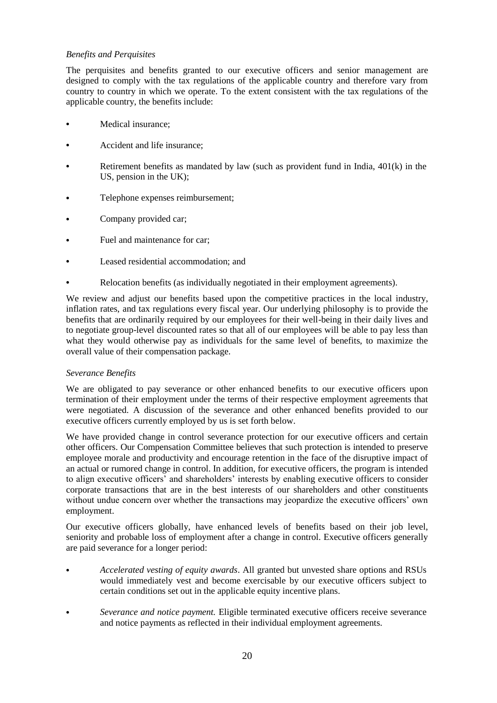# *Benefits and Perquisites*

The perquisites and benefits granted to our executive officers and senior management are designed to comply with the tax regulations of the applicable country and therefore vary from country to country in which we operate. To the extent consistent with the tax regulations of the applicable country, the benefits include:

- **•** Medical insurance;
- **•** Accident and life insurance;
- **•** Retirement benefits as mandated by law (such as provident fund in India, 401(k) in the US, pension in the UK);
- **•** Telephone expenses reimbursement;
- **•** Company provided car;
- Fuel and maintenance for car;
- **•** Leased residential accommodation; and
- **•** Relocation benefits (as individually negotiated in their employment agreements).

We review and adjust our benefits based upon the competitive practices in the local industry, inflation rates, and tax regulations every fiscal year. Our underlying philosophy is to provide the benefits that are ordinarily required by our employees for their well-being in their daily lives and to negotiate group-level discounted rates so that all of our employees will be able to pay less than what they would otherwise pay as individuals for the same level of benefits, to maximize the overall value of their compensation package.

# *Severance Benefits*

We are obligated to pay severance or other enhanced benefits to our executive officers upon termination of their employment under the terms of their respective employment agreements that were negotiated. A discussion of the severance and other enhanced benefits provided to our executive officers currently employed by us is set forth below.

We have provided change in control severance protection for our executive officers and certain other officers. Our Compensation Committee believes that such protection is intended to preserve employee morale and productivity and encourage retention in the face of the disruptive impact of an actual or rumored change in control. In addition, for executive officers, the program is intended to align executive officers' and shareholders' interests by enabling executive officers to consider corporate transactions that are in the best interests of our shareholders and other constituents without undue concern over whether the transactions may jeopardize the executive officers' own employment.

Our executive officers globally, have enhanced levels of benefits based on their job level, seniority and probable loss of employment after a change in control. Executive officers generally are paid severance for a longer period:

- **•** *Accelerated vesting of equity awards*. All granted but unvested share options and RSUs would immediately vest and become exercisable by our executive officers subject to certain conditions set out in the applicable equity incentive plans.
- **•** *Severance and notice payment.* Eligible terminated executive officers receive severance and notice payments as reflected in their individual employment agreements.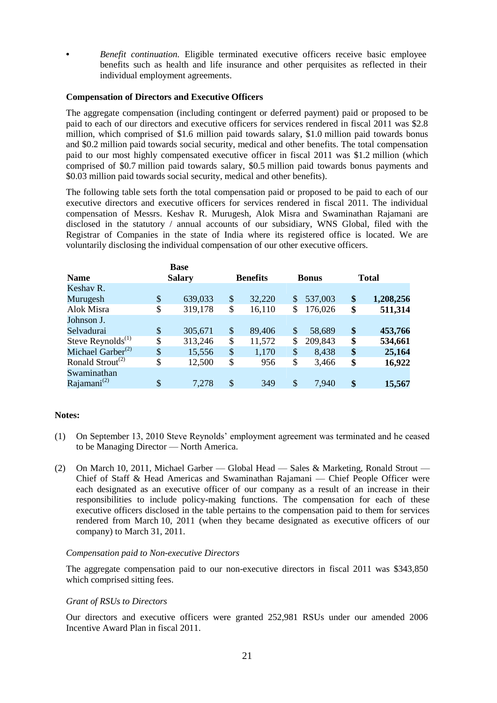**•** *Benefit continuation.* Eligible terminated executive officers receive basic employee benefits such as health and life insurance and other perquisites as reflected in their individual employment agreements.

## **Compensation of Directors and Executive Officers**

The aggregate compensation (including contingent or deferred payment) paid or proposed to be paid to each of our directors and executive officers for services rendered in fiscal 2011 was \$2.8 million, which comprised of \$1.6 million paid towards salary, \$1.0 million paid towards bonus and \$0.2 million paid towards social security, medical and other benefits. The total compensation paid to our most highly compensated executive officer in fiscal 2011 was \$1.2 million (which comprised of \$0.7 million paid towards salary, \$0.5 million paid towards bonus payments and \$0.03 million paid towards social security, medical and other benefits).

The following table sets forth the total compensation paid or proposed to be paid to each of our executive directors and executive officers for services rendered in fiscal 2011. The individual compensation of Messrs. Keshav R. Murugesh, Alok Misra and Swaminathan Rajamani are disclosed in the statutory / annual accounts of our subsidiary, WNS Global, filed with the Registrar of Companies in the state of India where its registered office is located. We are voluntarily disclosing the individual compensation of our other executive officers.

|                                           |    | <b>Base</b> |                 |        |               |         |              |           |
|-------------------------------------------|----|-------------|-----------------|--------|---------------|---------|--------------|-----------|
| <b>Salary</b><br><b>Name</b>              |    |             | <b>Benefits</b> |        | <b>Bonus</b>  |         | <b>Total</b> |           |
| Keshav R.                                 |    |             |                 |        |               |         |              |           |
| Murugesh                                  | \$ | 639,033     | \$              | 32,220 | \$            | 537,003 | \$           | 1,208,256 |
| Alok Misra                                | \$ | 319,178     | \$              | 16,110 | \$            | 176,026 | \$           | 511,314   |
| Johnson J.                                |    |             |                 |        |               |         |              |           |
| Selvadurai                                | \$ | 305,671     | \$              | 89,406 | \$            | 58,689  | \$           | 453,766   |
| Steve Reynolds <sup>(1)</sup>             | \$ | 313,246     | \$              | 11,572 | \$            | 209,843 | \$           | 534,661   |
| Michael Garber <sup>(2)</sup>             | \$ | 15,556      | \$              | 1,170  | \$            | 8,438   | \$           | 25,164    |
| Ronald Strout <sup><math>(2)</math></sup> | \$ | 12,500      | \$              | 956    | \$            | 3,466   | \$           | 16,922    |
| Swaminathan                               |    |             |                 |        |               |         |              |           |
| Rajamani $^{(2)}$                         | \$ | 7,278       | $\mathcal{S}$   | 349    | $\mathcal{S}$ | 7.940   | \$           | 15,567    |

# **Notes:**

- (1) On September 13, 2010 Steve Reynolds' employment agreement was terminated and he ceased to be Managing Director — North America.
- (2) On March 10, 2011, Michael Garber Global Head Sales & Marketing, Ronald Strout Chief of Staff & Head Americas and Swaminathan Rajamani — Chief People Officer were each designated as an executive officer of our company as a result of an increase in their responsibilities to include policy-making functions. The compensation for each of these executive officers disclosed in the table pertains to the compensation paid to them for services rendered from March 10, 2011 (when they became designated as executive officers of our company) to March 31, 2011.

#### *Compensation paid to Non-executive Directors*

The aggregate compensation paid to our non-executive directors in fiscal 2011 was \$343,850 which comprised sitting fees.

#### *Grant of RSUs to Directors*

Our directors and executive officers were granted 252,981 RSUs under our amended 2006 Incentive Award Plan in fiscal 2011.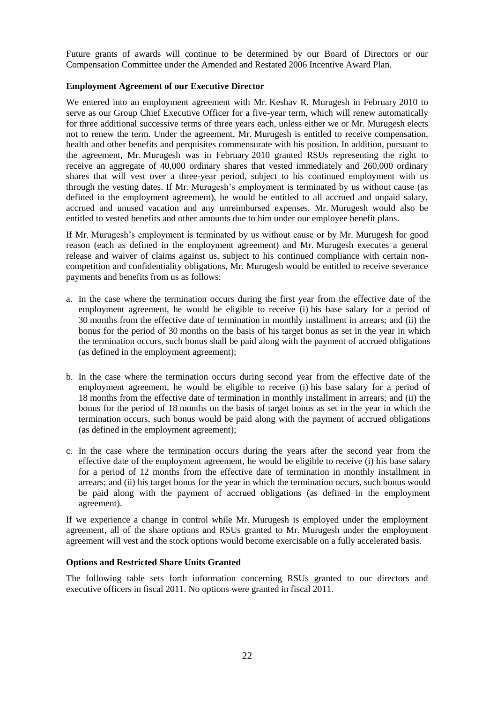Future grants of awards will continue to be determined by our Board of Directors or our Compensation Committee under the Amended and Restated 2006 Incentive Award Plan.

# **Employment Agreement of our Executive Director**

We entered into an employment agreement with Mr. Keshav R. Murugesh in February 2010 to serve as our Group Chief Executive Officer for a five-year term, which will renew automatically for three additional successive terms of three years each, unless either we or Mr. Murugesh elects not to renew the term. Under the agreement, Mr. Murugesh is entitled to receive compensation, health and other benefits and perquisites commensurate with his position. In addition, pursuant to the agreement, Mr. Murugesh was in February 2010 granted RSUs representing the right to receive an aggregate of 40,000 ordinary shares that vested immediately and 260,000 ordinary shares that will vest over a three-year period, subject to his continued employment with us through the vesting dates. If Mr. Murugesh's employment is terminated by us without cause (as defined in the employment agreement), he would be entitled to all accrued and unpaid salary, accrued and unused vacation and any unreimbursed expenses. Mr. Murugesh would also be entitled to vested benefits and other amounts due to him under our employee benefit plans.

If Mr. Murugesh's employment is terminated by us without cause or by Mr. Murugesh for good reason (each as defined in the employment agreement) and Mr. Murugesh executes a general release and waiver of claims against us, subject to his continued compliance with certain noncompetition and confidentiality obligations, Mr. Murugesh would be entitled to receive severance payments and benefits from us as follows:

- a. In the case where the termination occurs during the first year from the effective date of the employment agreement, he would be eligible to receive (i) his base salary for a period of 30 months from the effective date of termination in monthly installment in arrears; and (ii) the bonus for the period of 30 months on the basis of his target bonus as set in the year in which the termination occurs, such bonus shall be paid along with the payment of accrued obligations (as defined in the employment agreement);
- b. In the case where the termination occurs during second year from the effective date of the employment agreement, he would be eligible to receive (i) his base salary for a period of 18 months from the effective date of termination in monthly installment in arrears; and (ii) the bonus for the period of 18 months on the basis of target bonus as set in the year in which the termination occurs, such bonus would be paid along with the payment of accrued obligations (as defined in the employment agreement);
- c. In the case where the termination occurs during the years after the second year from the effective date of the employment agreement, he would be eligible to receive (i) his base salary for a period of 12 months from the effective date of termination in monthly installment in arrears; and (ii) his target bonus for the year in which the termination occurs, such bonus would be paid along with the payment of accrued obligations (as defined in the employment agreement).

If we experience a change in control while Mr. Murugesh is employed under the employment agreement, all of the share options and RSUs granted to Mr. Murugesh under the employment agreement will vest and the stock options would become exercisable on a fully accelerated basis.

## **Options and Restricted Share Units Granted**

The following table sets forth information concerning RSUs granted to our directors and executive officers in fiscal 2011. No options were granted in fiscal 2011.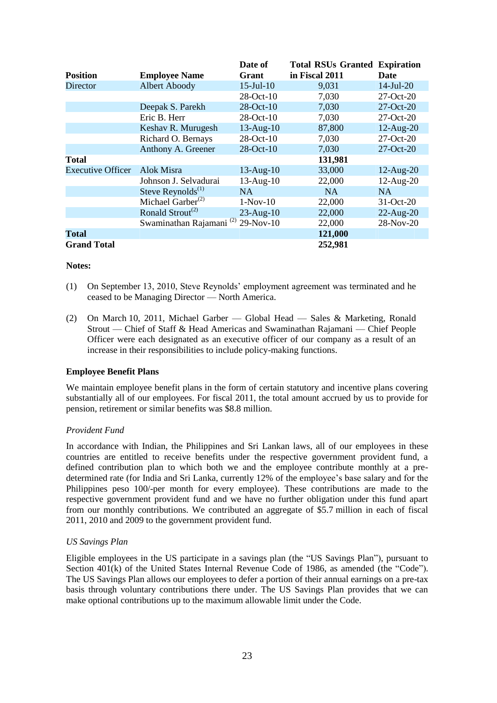|                          |                                           | Date of         | <b>Total RSUs Granted</b> | <b>Expiration</b> |
|--------------------------|-------------------------------------------|-----------------|---------------------------|-------------------|
| <b>Position</b>          | <b>Employee Name</b>                      | Grant           | in Fiscal 2011            | <b>Date</b>       |
| <b>Director</b>          | <b>Albert Aboody</b>                      | $15$ -Jul- $10$ | 9,031                     | $14$ -Jul-20      |
|                          |                                           | 28-Oct-10       | 7,030                     | 27-Oct-20         |
|                          | Deepak S. Parekh                          | 28-Oct-10       | 7,030                     | $27-Oct-20$       |
|                          | Eric B. Herr                              | 28-Oct-10       | 7,030                     | 27-Oct-20         |
|                          | Keshav R. Murugesh                        | $13$ -Aug- $10$ | 87,800                    | $12$ -Aug- $20$   |
|                          | Richard O. Bernays                        | 28-Oct-10       | 7,030                     | 27-Oct-20         |
|                          | Anthony A. Greener                        | 28-Oct-10       | 7,030                     | 27-Oct-20         |
| <b>Total</b>             |                                           |                 | 131,981                   |                   |
| <b>Executive Officer</b> | Alok Misra                                | $13$ -Aug- $10$ | 33,000                    | $12$ -Aug- $20$   |
|                          | Johnson J. Selvadurai                     | $13$ -Aug- $10$ | 22,000                    | $12$ -Aug- $20$   |
|                          | Steve Reynolds <sup>(1)</sup>             | NA              | NA.                       | NA.               |
|                          | Michael Garber $(2)$                      | $1-Nov-10$      | 22,000                    | 31-Oct-20         |
|                          | Ronald Strout <sup><math>(2)</math></sup> | $23$ -Aug-10    | 22,000                    | $22$ -Aug- $20$   |
|                          | Swaminathan Rajamani <sup>(2)</sup>       | $29-Nov-10$     | 22,000                    | 28-Nov-20         |
| <b>Total</b>             |                                           |                 | 121,000                   |                   |
| <b>Grand Total</b>       |                                           |                 | 252,981                   |                   |

#### **Notes:**

- (1) On September 13, 2010, Steve Reynolds' employment agreement was terminated and he ceased to be Managing Director — North America.
- (2) On March 10, 2011, Michael Garber Global Head Sales & Marketing, Ronald Strout — Chief of Staff & Head Americas and Swaminathan Rajamani — Chief People Officer were each designated as an executive officer of our company as a result of an increase in their responsibilities to include policy-making functions.

## **Employee Benefit Plans**

We maintain employee benefit plans in the form of certain statutory and incentive plans covering substantially all of our employees. For fiscal 2011, the total amount accrued by us to provide for pension, retirement or similar benefits was \$8.8 million.

## *Provident Fund*

In accordance with Indian, the Philippines and Sri Lankan laws, all of our employees in these countries are entitled to receive benefits under the respective government provident fund, a defined contribution plan to which both we and the employee contribute monthly at a predetermined rate (for India and Sri Lanka, currently 12% of the employee's base salary and for the Philippines peso 100/-per month for every employee). These contributions are made to the respective government provident fund and we have no further obligation under this fund apart from our monthly contributions. We contributed an aggregate of \$5.7 million in each of fiscal 2011, 2010 and 2009 to the government provident fund.

#### *US Savings Plan*

Eligible employees in the US participate in a savings plan (the "US Savings Plan"), pursuant to Section  $401(k)$  of the United States Internal Revenue Code of 1986, as amended (the "Code"). The US Savings Plan allows our employees to defer a portion of their annual earnings on a pre-tax basis through voluntary contributions there under. The US Savings Plan provides that we can make optional contributions up to the maximum allowable limit under the Code.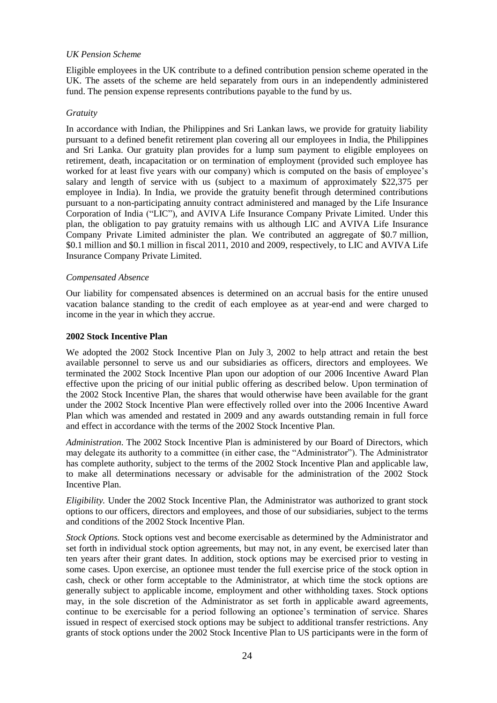#### *UK Pension Scheme*

Eligible employees in the UK contribute to a defined contribution pension scheme operated in the UK. The assets of the scheme are held separately from ours in an independently administered fund. The pension expense represents contributions payable to the fund by us.

## *Gratuity*

In accordance with Indian, the Philippines and Sri Lankan laws, we provide for gratuity liability pursuant to a defined benefit retirement plan covering all our employees in India, the Philippines and Sri Lanka. Our gratuity plan provides for a lump sum payment to eligible employees on retirement, death, incapacitation or on termination of employment (provided such employee has worked for at least five years with our company) which is computed on the basis of employee's salary and length of service with us (subject to a maximum of approximately \$22,375 per employee in India). In India, we provide the gratuity benefit through determined contributions pursuant to a non-participating annuity contract administered and managed by the Life Insurance Corporation of India ("LIC"), and AVIVA Life Insurance Company Private Limited. Under this plan, the obligation to pay gratuity remains with us although LIC and AVIVA Life Insurance Company Private Limited administer the plan. We contributed an aggregate of \$0.7 million, \$0.1 million and \$0.1 million in fiscal 2011, 2010 and 2009, respectively, to LIC and AVIVA Life Insurance Company Private Limited.

#### *Compensated Absence*

Our liability for compensated absences is determined on an accrual basis for the entire unused vacation balance standing to the credit of each employee as at year-end and were charged to income in the year in which they accrue.

#### **2002 Stock Incentive Plan**

We adopted the 2002 Stock Incentive Plan on July 3, 2002 to help attract and retain the best available personnel to serve us and our subsidiaries as officers, directors and employees. We terminated the 2002 Stock Incentive Plan upon our adoption of our 2006 Incentive Award Plan effective upon the pricing of our initial public offering as described below. Upon termination of the 2002 Stock Incentive Plan, the shares that would otherwise have been available for the grant under the 2002 Stock Incentive Plan were effectively rolled over into the 2006 Incentive Award Plan which was amended and restated in 2009 and any awards outstanding remain in full force and effect in accordance with the terms of the 2002 Stock Incentive Plan.

*Administration*. The 2002 Stock Incentive Plan is administered by our Board of Directors, which may delegate its authority to a committee (in either case, the "Administrator"). The Administrator has complete authority, subject to the terms of the 2002 Stock Incentive Plan and applicable law, to make all determinations necessary or advisable for the administration of the 2002 Stock Incentive Plan.

*Eligibility.* Under the 2002 Stock Incentive Plan, the Administrator was authorized to grant stock options to our officers, directors and employees, and those of our subsidiaries, subject to the terms and conditions of the 2002 Stock Incentive Plan.

*Stock Options.* Stock options vest and become exercisable as determined by the Administrator and set forth in individual stock option agreements, but may not, in any event, be exercised later than ten years after their grant dates. In addition, stock options may be exercised prior to vesting in some cases. Upon exercise, an optionee must tender the full exercise price of the stock option in cash, check or other form acceptable to the Administrator, at which time the stock options are generally subject to applicable income, employment and other withholding taxes. Stock options may, in the sole discretion of the Administrator as set forth in applicable award agreements, continue to be exercisable for a period following an optionee's termination of service. Shares issued in respect of exercised stock options may be subject to additional transfer restrictions. Any grants of stock options under the 2002 Stock Incentive Plan to US participants were in the form of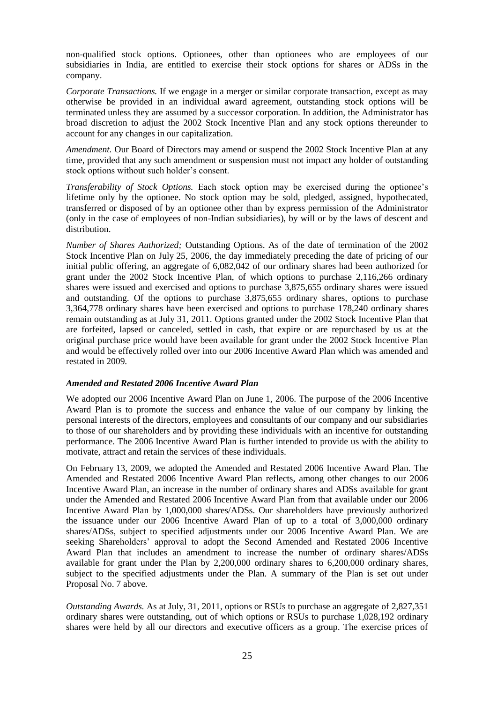non-qualified stock options. Optionees, other than optionees who are employees of our subsidiaries in India, are entitled to exercise their stock options for shares or ADSs in the company.

*Corporate Transactions.* If we engage in a merger or similar corporate transaction, except as may otherwise be provided in an individual award agreement, outstanding stock options will be terminated unless they are assumed by a successor corporation. In addition, the Administrator has broad discretion to adjust the 2002 Stock Incentive Plan and any stock options thereunder to account for any changes in our capitalization.

*Amendment.* Our Board of Directors may amend or suspend the 2002 Stock Incentive Plan at any time, provided that any such amendment or suspension must not impact any holder of outstanding stock options without such holder's consent.

*Transferability of Stock Options.* Each stock option may be exercised during the optionee's lifetime only by the optionee. No stock option may be sold, pledged, assigned, hypothecated, transferred or disposed of by an optionee other than by express permission of the Administrator (only in the case of employees of non-Indian subsidiaries), by will or by the laws of descent and distribution.

*Number of Shares Authorized;* Outstanding Options. As of the date of termination of the 2002 Stock Incentive Plan on July 25, 2006, the day immediately preceding the date of pricing of our initial public offering, an aggregate of 6,082,042 of our ordinary shares had been authorized for grant under the 2002 Stock Incentive Plan, of which options to purchase 2,116,266 ordinary shares were issued and exercised and options to purchase 3,875,655 ordinary shares were issued and outstanding. Of the options to purchase 3,875,655 ordinary shares, options to purchase 3,364,778 ordinary shares have been exercised and options to purchase 178,240 ordinary shares remain outstanding as at July 31, 2011. Options granted under the 2002 Stock Incentive Plan that are forfeited, lapsed or canceled, settled in cash, that expire or are repurchased by us at the original purchase price would have been available for grant under the 2002 Stock Incentive Plan and would be effectively rolled over into our 2006 Incentive Award Plan which was amended and restated in 2009.

## *Amended and Restated 2006 Incentive Award Plan*

We adopted our 2006 Incentive Award Plan on June 1, 2006. The purpose of the 2006 Incentive Award Plan is to promote the success and enhance the value of our company by linking the personal interests of the directors, employees and consultants of our company and our subsidiaries to those of our shareholders and by providing these individuals with an incentive for outstanding performance. The 2006 Incentive Award Plan is further intended to provide us with the ability to motivate, attract and retain the services of these individuals.

On February 13, 2009, we adopted the Amended and Restated 2006 Incentive Award Plan. The Amended and Restated 2006 Incentive Award Plan reflects, among other changes to our 2006 Incentive Award Plan, an increase in the number of ordinary shares and ADSs available for grant under the Amended and Restated 2006 Incentive Award Plan from that available under our 2006 Incentive Award Plan by 1,000,000 shares/ADSs. Our shareholders have previously authorized the issuance under our 2006 Incentive Award Plan of up to a total of 3,000,000 ordinary shares/ADSs, subject to specified adjustments under our 2006 Incentive Award Plan. We are seeking Shareholders' approval to adopt the Second Amended and Restated 2006 Incentive Award Plan that includes an amendment to increase the number of ordinary shares/ADSs available for grant under the Plan by 2,200,000 ordinary shares to 6,200,000 ordinary shares, subject to the specified adjustments under the Plan. A summary of the Plan is set out under Proposal No. 7 above.

*Outstanding Awards.* As at July, 31, 2011, options or RSUs to purchase an aggregate of 2,827,351 ordinary shares were outstanding, out of which options or RSUs to purchase 1,028,192 ordinary shares were held by all our directors and executive officers as a group. The exercise prices of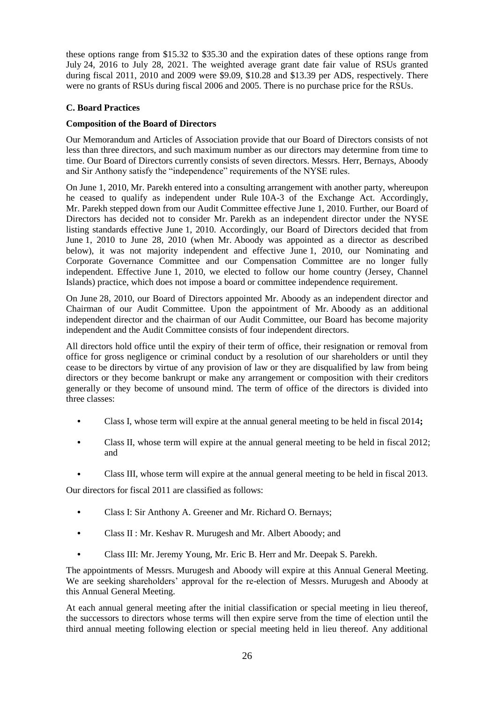these options range from \$15.32 to \$35.30 and the expiration dates of these options range from July 24, 2016 to July 28, 2021. The weighted average grant date fair value of RSUs granted during fiscal 2011, 2010 and 2009 were \$9.09, \$10.28 and \$13.39 per ADS, respectively. There were no grants of RSUs during fiscal 2006 and 2005. There is no purchase price for the RSUs.

# **C. Board Practices**

# **Composition of the Board of Directors**

Our Memorandum and Articles of Association provide that our Board of Directors consists of not less than three directors, and such maximum number as our directors may determine from time to time. Our Board of Directors currently consists of seven directors. Messrs. Herr, Bernays, Aboody and Sir Anthony satisfy the "independence" requirements of the NYSE rules.

On June 1, 2010, Mr. Parekh entered into a consulting arrangement with another party, whereupon he ceased to qualify as independent under Rule 10A-3 of the Exchange Act. Accordingly, Mr. Parekh stepped down from our Audit Committee effective June 1, 2010. Further, our Board of Directors has decided not to consider Mr. Parekh as an independent director under the NYSE listing standards effective June 1, 2010. Accordingly, our Board of Directors decided that from June 1, 2010 to June 28, 2010 (when Mr. Aboody was appointed as a director as described below), it was not majority independent and effective June 1, 2010, our Nominating and Corporate Governance Committee and our Compensation Committee are no longer fully independent. Effective June 1, 2010, we elected to follow our home country (Jersey, Channel Islands) practice, which does not impose a board or committee independence requirement.

On June 28, 2010, our Board of Directors appointed Mr. Aboody as an independent director and Chairman of our Audit Committee. Upon the appointment of Mr. Aboody as an additional independent director and the chairman of our Audit Committee, our Board has become majority independent and the Audit Committee consists of four independent directors.

All directors hold office until the expiry of their term of office, their resignation or removal from office for gross negligence or criminal conduct by a resolution of our shareholders or until they cease to be directors by virtue of any provision of law or they are disqualified by law from being directors or they become bankrupt or make any arrangement or composition with their creditors generally or they become of unsound mind. The term of office of the directors is divided into three classes:

- **•** Class I, whose term will expire at the annual general meeting to be held in fiscal 2014**;**
- **•** Class II, whose term will expire at the annual general meeting to be held in fiscal 2012; and
- Class III, whose term will expire at the annual general meeting to be held in fiscal 2013.

Our directors for fiscal 2011 are classified as follows:

- **•** Class I: Sir Anthony A. Greener and Mr. Richard O. Bernays;
- **•** Class II : Mr. Keshav R. Murugesh and Mr. Albert Aboody; and
- **•** Class III: Mr. Jeremy Young, Mr. Eric B. Herr and Mr. Deepak S. Parekh.

The appointments of Messrs. Murugesh and Aboody will expire at this Annual General Meeting. We are seeking shareholders' approval for the re-election of Messrs. Murugesh and Aboody at this Annual General Meeting.

At each annual general meeting after the initial classification or special meeting in lieu thereof, the successors to directors whose terms will then expire serve from the time of election until the third annual meeting following election or special meeting held in lieu thereof. Any additional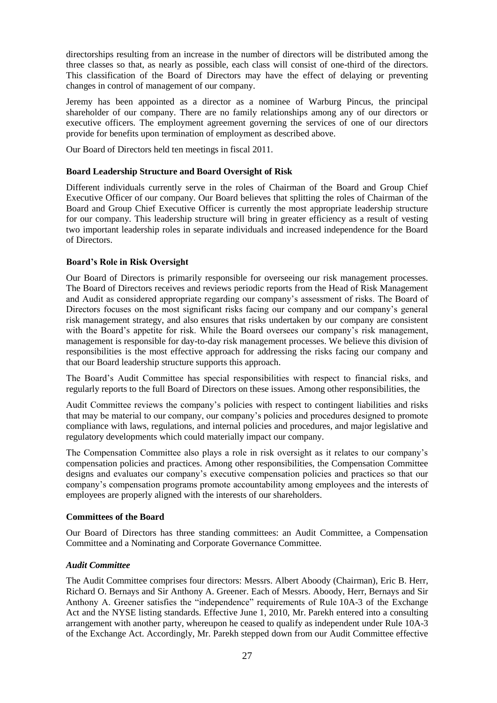directorships resulting from an increase in the number of directors will be distributed among the three classes so that, as nearly as possible, each class will consist of one-third of the directors. This classification of the Board of Directors may have the effect of delaying or preventing changes in control of management of our company.

Jeremy has been appointed as a director as a nominee of Warburg Pincus, the principal shareholder of our company. There are no family relationships among any of our directors or executive officers. The employment agreement governing the services of one of our directors provide for benefits upon termination of employment as described above.

Our Board of Directors held ten meetings in fiscal 2011.

## **Board Leadership Structure and Board Oversight of Risk**

Different individuals currently serve in the roles of Chairman of the Board and Group Chief Executive Officer of our company. Our Board believes that splitting the roles of Chairman of the Board and Group Chief Executive Officer is currently the most appropriate leadership structure for our company. This leadership structure will bring in greater efficiency as a result of vesting two important leadership roles in separate individuals and increased independence for the Board of Directors.

# **Board"s Role in Risk Oversight**

Our Board of Directors is primarily responsible for overseeing our risk management processes. The Board of Directors receives and reviews periodic reports from the Head of Risk Management and Audit as considered appropriate regarding our company's assessment of risks. The Board of Directors focuses on the most significant risks facing our company and our company's general risk management strategy, and also ensures that risks undertaken by our company are consistent with the Board's appetite for risk. While the Board oversees our company's risk management, management is responsible for day-to-day risk management processes. We believe this division of responsibilities is the most effective approach for addressing the risks facing our company and that our Board leadership structure supports this approach.

The Board's Audit Committee has special responsibilities with respect to financial risks, and regularly reports to the full Board of Directors on these issues. Among other responsibilities, the

Audit Committee reviews the company's policies with respect to contingent liabilities and risks that may be material to our company, our company's policies and procedures designed to promote compliance with laws, regulations, and internal policies and procedures, and major legislative and regulatory developments which could materially impact our company.

The Compensation Committee also plays a role in risk oversight as it relates to our company's compensation policies and practices. Among other responsibilities, the Compensation Committee designs and evaluates our company's executive compensation policies and practices so that our company's compensation programs promote accountability among employees and the interests of employees are properly aligned with the interests of our shareholders.

## **Committees of the Board**

Our Board of Directors has three standing committees: an Audit Committee, a Compensation Committee and a Nominating and Corporate Governance Committee.

## *Audit Committee*

The Audit Committee comprises four directors: Messrs. Albert Aboody (Chairman), Eric B. Herr, Richard O. Bernays and Sir Anthony A. Greener. Each of Messrs. Aboody, Herr, Bernays and Sir Anthony A. Greener satisfies the "independence" requirements of Rule 10A-3 of the Exchange Act and the NYSE listing standards. Effective June 1, 2010, Mr. Parekh entered into a consulting arrangement with another party, whereupon he ceased to qualify as independent under Rule 10A-3 of the Exchange Act. Accordingly, Mr. Parekh stepped down from our Audit Committee effective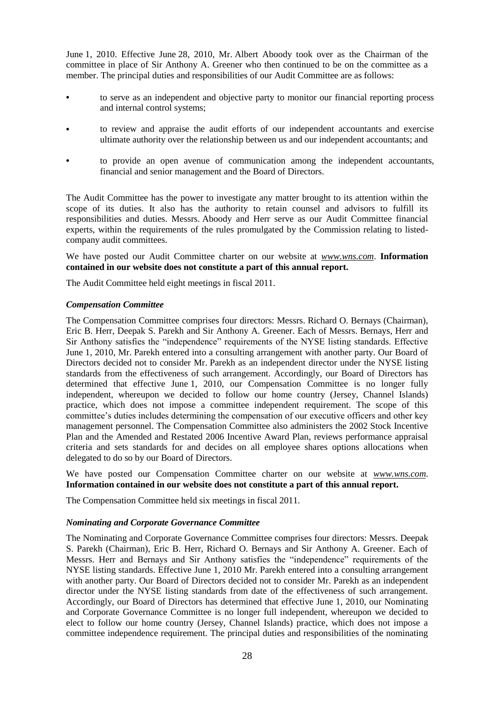June 1, 2010. Effective June 28, 2010, Mr. Albert Aboody took over as the Chairman of the committee in place of Sir Anthony A. Greener who then continued to be on the committee as a member. The principal duties and responsibilities of our Audit Committee are as follows:

- **•** to serve as an independent and objective party to monitor our financial reporting process and internal control systems;
- **•** to review and appraise the audit efforts of our independent accountants and exercise ultimate authority over the relationship between us and our independent accountants; and
- **•** to provide an open avenue of communication among the independent accountants, financial and senior management and the Board of Directors.

The Audit Committee has the power to investigate any matter brought to its attention within the scope of its duties. It also has the authority to retain counsel and advisors to fulfill its responsibilities and duties. Messrs. Aboody and Herr serve as our Audit Committee financial experts, within the requirements of the rules promulgated by the Commission relating to listedcompany audit committees.

We have posted our Audit Committee charter on our website at *www.wns.com*. **Information contained in our website does not constitute a part of this annual report.**

The Audit Committee held eight meetings in fiscal 2011.

#### *Compensation Committee*

The Compensation Committee comprises four directors: Messrs. Richard O. Bernays (Chairman), Eric B. Herr, Deepak S. Parekh and Sir Anthony A. Greener. Each of Messrs. Bernays, Herr and Sir Anthony satisfies the "independence" requirements of the NYSE listing standards. Effective June 1, 2010, Mr. Parekh entered into a consulting arrangement with another party. Our Board of Directors decided not to consider Mr. Parekh as an independent director under the NYSE listing standards from the effectiveness of such arrangement. Accordingly, our Board of Directors has determined that effective June 1, 2010, our Compensation Committee is no longer fully independent, whereupon we decided to follow our home country (Jersey, Channel Islands) practice, which does not impose a committee independent requirement. The scope of this committee's duties includes determining the compensation of our executive officers and other key management personnel. The Compensation Committee also administers the 2002 Stock Incentive Plan and the Amended and Restated 2006 Incentive Award Plan, reviews performance appraisal criteria and sets standards for and decides on all employee shares options allocations when delegated to do so by our Board of Directors.

We have posted our Compensation Committee charter on our website at *www.wns.com*. **Information contained in our website does not constitute a part of this annual report.**

The Compensation Committee held six meetings in fiscal 2011.

#### *Nominating and Corporate Governance Committee*

The Nominating and Corporate Governance Committee comprises four directors: Messrs. Deepak S. Parekh (Chairman), Eric B. Herr, Richard O. Bernays and Sir Anthony A. Greener. Each of Messrs. Herr and Bernays and Sir Anthony satisfies the "independence" requirements of the NYSE listing standards. Effective June 1, 2010 Mr. Parekh entered into a consulting arrangement with another party. Our Board of Directors decided not to consider Mr. Parekh as an independent director under the NYSE listing standards from date of the effectiveness of such arrangement. Accordingly, our Board of Directors has determined that effective June 1, 2010, our Nominating and Corporate Governance Committee is no longer full independent, whereupon we decided to elect to follow our home country (Jersey, Channel Islands) practice, which does not impose a committee independence requirement. The principal duties and responsibilities of the nominating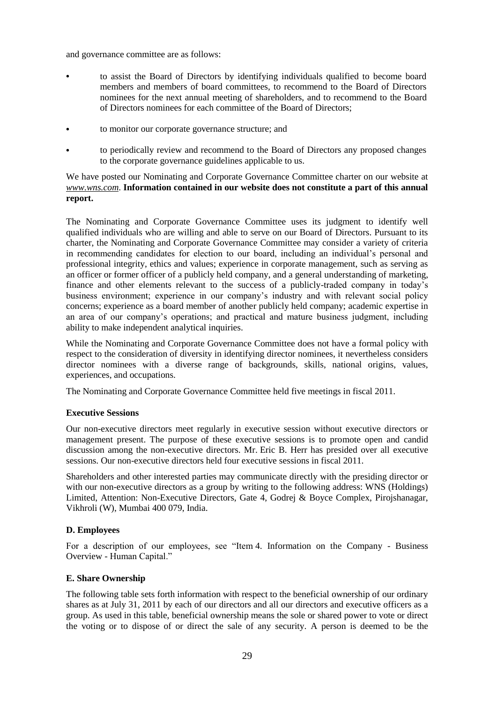and governance committee are as follows:

- **•** to assist the Board of Directors by identifying individuals qualified to become board members and members of board committees, to recommend to the Board of Directors nominees for the next annual meeting of shareholders, and to recommend to the Board of Directors nominees for each committee of the Board of Directors;
- **•** to monitor our corporate governance structure; and
- **•** to periodically review and recommend to the Board of Directors any proposed changes to the corporate governance guidelines applicable to us.

# We have posted our Nominating and Corporate Governance Committee charter on our website at *www.wns.com*. **Information contained in our website does not constitute a part of this annual report.**

The Nominating and Corporate Governance Committee uses its judgment to identify well qualified individuals who are willing and able to serve on our Board of Directors. Pursuant to its charter, the Nominating and Corporate Governance Committee may consider a variety of criteria in recommending candidates for election to our board, including an individual's personal and professional integrity, ethics and values; experience in corporate management, such as serving as an officer or former officer of a publicly held company, and a general understanding of marketing, finance and other elements relevant to the success of a publicly-traded company in today's business environment; experience in our company's industry and with relevant social policy concerns; experience as a board member of another publicly held company; academic expertise in an area of our company's operations; and practical and mature business judgment, including ability to make independent analytical inquiries.

While the Nominating and Corporate Governance Committee does not have a formal policy with respect to the consideration of diversity in identifying director nominees, it nevertheless considers director nominees with a diverse range of backgrounds, skills, national origins, values, experiences, and occupations.

The Nominating and Corporate Governance Committee held five meetings in fiscal 2011.

# **Executive Sessions**

Our non-executive directors meet regularly in executive session without executive directors or management present. The purpose of these executive sessions is to promote open and candid discussion among the non-executive directors. Mr. Eric B. Herr has presided over all executive sessions. Our non-executive directors held four executive sessions in fiscal 2011.

Shareholders and other interested parties may communicate directly with the presiding director or with our non-executive directors as a group by writing to the following address: WNS (Holdings) Limited, Attention: Non-Executive Directors, Gate 4, Godrej & Boyce Complex, Pirojshanagar, Vikhroli (W), Mumbai 400 079, India.

## **D. Employees**

For a description of our employees, see "Item 4. Information on the Company - Business Overview - Human Capital."

## **E. Share Ownership**

The following table sets forth information with respect to the beneficial ownership of our ordinary shares as at July 31, 2011 by each of our directors and all our directors and executive officers as a group. As used in this table, beneficial ownership means the sole or shared power to vote or direct the voting or to dispose of or direct the sale of any security. A person is deemed to be the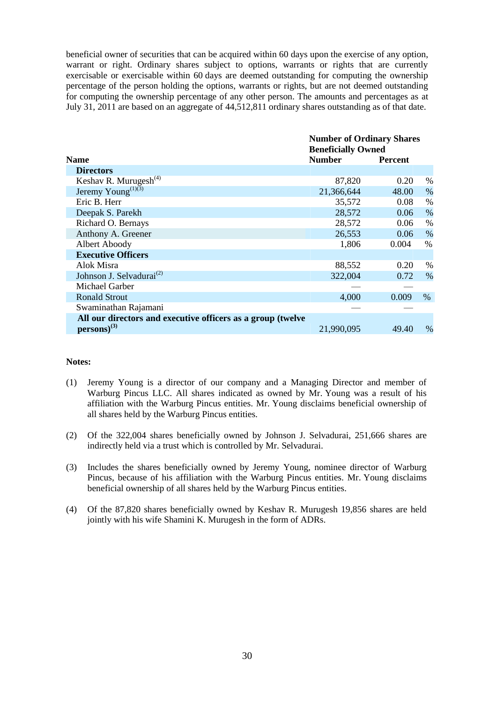beneficial owner of securities that can be acquired within 60 days upon the exercise of any option, warrant or right. Ordinary shares subject to options, warrants or rights that are currently exercisable or exercisable within 60 days are deemed outstanding for computing the ownership percentage of the person holding the options, warrants or rights, but are not deemed outstanding for computing the ownership percentage of any other person. The amounts and percentages as at July 31, 2011 are based on an aggregate of 44,512,811 ordinary shares outstanding as of that date.

|                                                             | <b>Number of Ordinary Shares</b><br><b>Beneficially Owned</b> |                |      |  |  |
|-------------------------------------------------------------|---------------------------------------------------------------|----------------|------|--|--|
| <b>Name</b>                                                 | <b>Number</b>                                                 | <b>Percent</b> |      |  |  |
| <b>Directors</b>                                            |                                                               |                |      |  |  |
| Keshav R. Murugesh <sup>(4)</sup>                           | 87,820                                                        | 0.20           | %    |  |  |
| Jeremy Young <sup>(1)(3)</sup>                              | 21,366,644                                                    | 48.00          | $\%$ |  |  |
| Eric B. Herr                                                | 35,572                                                        | 0.08           | $\%$ |  |  |
| Deepak S. Parekh                                            | 28,572                                                        | 0.06           | $\%$ |  |  |
| Richard O. Bernays                                          | 28,572                                                        | 0.06           | $\%$ |  |  |
| Anthony A. Greener                                          | 26,553                                                        | 0.06           | $\%$ |  |  |
| Albert Aboody                                               | 1,806                                                         | 0.004          | $\%$ |  |  |
| <b>Executive Officers</b>                                   |                                                               |                |      |  |  |
| Alok Misra                                                  | 88,552                                                        | 0.20           | %    |  |  |
| Johnson J. Selvadurai <sup>(2)</sup>                        | 322,004                                                       | 0.72           | $\%$ |  |  |
| Michael Garber                                              |                                                               |                |      |  |  |
| <b>Ronald Strout</b>                                        | 4,000                                                         | 0.009          | $\%$ |  |  |
| Swaminathan Rajamani                                        |                                                               |                |      |  |  |
| All our directors and executive officers as a group (twelve |                                                               |                |      |  |  |
| $persons)^{(3)}$                                            | 21,990,095                                                    | 49.40          | $\%$ |  |  |

#### **Notes:**

- (1) Jeremy Young is a director of our company and a Managing Director and member of Warburg Pincus LLC. All shares indicated as owned by Mr. Young was a result of his affiliation with the Warburg Pincus entities. Mr. Young disclaims beneficial ownership of all shares held by the Warburg Pincus entities.
- (2) Of the 322,004 shares beneficially owned by Johnson J. Selvadurai, 251,666 shares are indirectly held via a trust which is controlled by Mr. Selvadurai.
- (3) Includes the shares beneficially owned by Jeremy Young, nominee director of Warburg Pincus, because of his affiliation with the Warburg Pincus entities. Mr. Young disclaims beneficial ownership of all shares held by the Warburg Pincus entities.
- (4) Of the 87,820 shares beneficially owned by Keshav R. Murugesh 19,856 shares are held jointly with his wife Shamini K. Murugesh in the form of ADRs.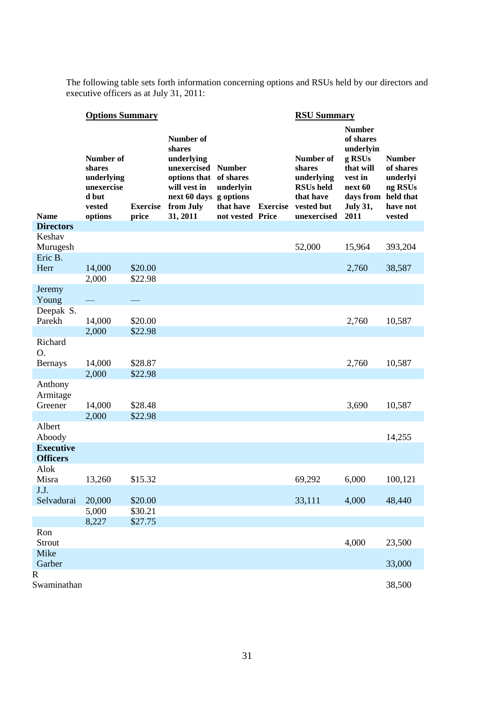The following table sets forth information concerning options and RSUs held by our directors and executive officers as at July 31, 2011:

|                         | <b>Options Summary</b>                                                        |                          |                                                                                                                                                      |                                            |                 | <b>RSU Summary</b>                                                                              |                                                                                                                              |                                                                                      |  |  |
|-------------------------|-------------------------------------------------------------------------------|--------------------------|------------------------------------------------------------------------------------------------------------------------------------------------------|--------------------------------------------|-----------------|-------------------------------------------------------------------------------------------------|------------------------------------------------------------------------------------------------------------------------------|--------------------------------------------------------------------------------------|--|--|
| <b>Name</b>             | Number of<br>shares<br>underlying<br>unexercise<br>d but<br>vested<br>options | <b>Exercise</b><br>price | Number of<br>shares<br>underlying<br>unexercised Number<br>options that of shares<br>will vest in<br>next 60 days g options<br>from July<br>31, 2011 | underlyin<br>that have<br>not vested Price | <b>Exercise</b> | Number of<br>shares<br>underlying<br><b>RSUs</b> held<br>that have<br>vested but<br>unexercised | <b>Number</b><br>of shares<br>underlyin<br>g RSUs<br>that will<br>vest in<br>next 60<br>days from<br><b>July 31,</b><br>2011 | <b>Number</b><br>of shares<br>underlyi<br>ng RSUs<br>held that<br>have not<br>vested |  |  |
| <b>Directors</b>        |                                                                               |                          |                                                                                                                                                      |                                            |                 |                                                                                                 |                                                                                                                              |                                                                                      |  |  |
| Keshav<br>Murugesh      |                                                                               |                          |                                                                                                                                                      |                                            |                 | 52,000                                                                                          | 15,964                                                                                                                       | 393,204                                                                              |  |  |
| Eric B.                 |                                                                               |                          |                                                                                                                                                      |                                            |                 |                                                                                                 |                                                                                                                              |                                                                                      |  |  |
| Herr                    | 14,000                                                                        | \$20.00<br>\$22.98       |                                                                                                                                                      |                                            |                 |                                                                                                 | 2,760                                                                                                                        | 38,587                                                                               |  |  |
| Jeremy                  | 2,000                                                                         |                          |                                                                                                                                                      |                                            |                 |                                                                                                 |                                                                                                                              |                                                                                      |  |  |
| Young                   |                                                                               |                          |                                                                                                                                                      |                                            |                 |                                                                                                 |                                                                                                                              |                                                                                      |  |  |
| Deepak S.               |                                                                               |                          |                                                                                                                                                      |                                            |                 |                                                                                                 |                                                                                                                              |                                                                                      |  |  |
| Parekh                  | 14,000                                                                        | \$20.00                  |                                                                                                                                                      |                                            |                 |                                                                                                 | 2,760                                                                                                                        | 10,587                                                                               |  |  |
|                         | 2,000                                                                         | \$22.98                  |                                                                                                                                                      |                                            |                 |                                                                                                 |                                                                                                                              |                                                                                      |  |  |
| Richard<br>O.           |                                                                               |                          |                                                                                                                                                      |                                            |                 |                                                                                                 |                                                                                                                              |                                                                                      |  |  |
| <b>Bernays</b>          | 14,000                                                                        | \$28.87                  |                                                                                                                                                      |                                            |                 |                                                                                                 | 2,760                                                                                                                        | 10,587                                                                               |  |  |
|                         | 2,000                                                                         | \$22.98                  |                                                                                                                                                      |                                            |                 |                                                                                                 |                                                                                                                              |                                                                                      |  |  |
| Anthony<br>Armitage     |                                                                               |                          |                                                                                                                                                      |                                            |                 |                                                                                                 |                                                                                                                              |                                                                                      |  |  |
| Greener                 | 14,000                                                                        | \$28.48                  |                                                                                                                                                      |                                            |                 |                                                                                                 | 3,690                                                                                                                        | 10,587                                                                               |  |  |
|                         | 2,000                                                                         | \$22.98                  |                                                                                                                                                      |                                            |                 |                                                                                                 |                                                                                                                              |                                                                                      |  |  |
| Albert<br>Aboody        |                                                                               |                          |                                                                                                                                                      |                                            |                 |                                                                                                 |                                                                                                                              | 14,255                                                                               |  |  |
| <b>Executive</b>        |                                                                               |                          |                                                                                                                                                      |                                            |                 |                                                                                                 |                                                                                                                              |                                                                                      |  |  |
| <b>Officers</b><br>Alok |                                                                               |                          |                                                                                                                                                      |                                            |                 |                                                                                                 |                                                                                                                              |                                                                                      |  |  |
| Misra<br>J.J.           | 13,260                                                                        | \$15.32                  |                                                                                                                                                      |                                            |                 | 69,292                                                                                          | 6,000                                                                                                                        | 100,121                                                                              |  |  |
| Selvadurai              | 20,000                                                                        | \$20.00                  |                                                                                                                                                      |                                            |                 | 33,111                                                                                          | 4,000                                                                                                                        | 48,440                                                                               |  |  |
|                         | 5,000                                                                         | \$30.21                  |                                                                                                                                                      |                                            |                 |                                                                                                 |                                                                                                                              |                                                                                      |  |  |
|                         | 8,227                                                                         | \$27.75                  |                                                                                                                                                      |                                            |                 |                                                                                                 |                                                                                                                              |                                                                                      |  |  |
| Ron<br>Strout           |                                                                               |                          |                                                                                                                                                      |                                            |                 |                                                                                                 | 4,000                                                                                                                        | 23,500                                                                               |  |  |
| Mike<br>Garber          |                                                                               |                          |                                                                                                                                                      |                                            |                 |                                                                                                 |                                                                                                                              | 33,000                                                                               |  |  |
| R                       |                                                                               |                          |                                                                                                                                                      |                                            |                 |                                                                                                 |                                                                                                                              |                                                                                      |  |  |
| Swaminathan             |                                                                               |                          |                                                                                                                                                      |                                            |                 |                                                                                                 |                                                                                                                              | 38,500                                                                               |  |  |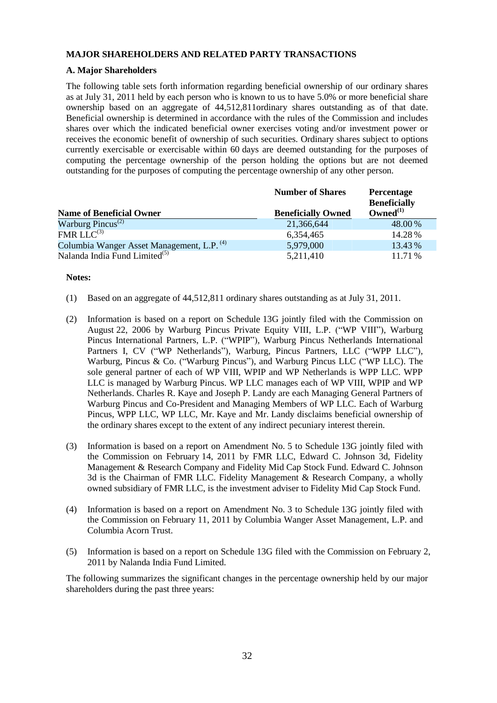# **MAJOR SHAREHOLDERS AND RELATED PARTY TRANSACTIONS**

# **A. Major Shareholders**

The following table sets forth information regarding beneficial ownership of our ordinary shares as at July 31, 2011 held by each person who is known to us to have 5.0% or more beneficial share ownership based on an aggregate of 44,512,811ordinary shares outstanding as of that date. Beneficial ownership is determined in accordance with the rules of the Commission and includes shares over which the indicated beneficial owner exercises voting and/or investment power or receives the economic benefit of ownership of such securities. Ordinary shares subject to options currently exercisable or exercisable within 60 days are deemed outstanding for the purposes of computing the percentage ownership of the person holding the options but are not deemed outstanding for the purposes of computing the percentage ownership of any other person.

|                                                       | <b>Number of Shares</b>   | <b>Percentage</b><br><b>Beneficially</b> |
|-------------------------------------------------------|---------------------------|------------------------------------------|
| <b>Name of Beneficial Owner</b>                       | <b>Beneficially Owned</b> | Owned $^{(1)}$                           |
| Warburg Pincus <sup>(2)</sup>                         | 21,366,644                | 48.00%                                   |
| $FMR LLC^{(3)}$                                       | 6,354,465                 | 14.28%                                   |
| Columbia Wanger Asset Management, L.P. <sup>(4)</sup> | 5,979,000                 | 13.43 %                                  |
| Nalanda India Fund Limited <sup>(5)</sup>             | 5,211,410                 | 11.71 %                                  |

## **Notes:**

- (1) Based on an aggregate of 44,512,811 ordinary shares outstanding as at July 31, 2011.
- (2) Information is based on a report on Schedule 13G jointly filed with the Commission on August 22, 2006 by Warburg Pincus Private Equity VIII, L.P. ("WP VIII"), Warburg Pincus International Partners, L.P. ("WPIP"), Warburg Pincus Netherlands International Partners I, CV ("WP Netherlands"), Warburg, Pincus Partners, LLC ("WPP LLC"), Warburg, Pincus & Co. ("Warburg Pincus"), and Warburg Pincus LLC ("WP LLC). The sole general partner of each of WP VIII, WPIP and WP Netherlands is WPP LLC. WPP LLC is managed by Warburg Pincus. WP LLC manages each of WP VIII, WPIP and WP Netherlands. Charles R. Kaye and Joseph P. Landy are each Managing General Partners of Warburg Pincus and Co-President and Managing Members of WP LLC. Each of Warburg Pincus, WPP LLC, WP LLC, Mr. Kaye and Mr. Landy disclaims beneficial ownership of the ordinary shares except to the extent of any indirect pecuniary interest therein.
- (3) Information is based on a report on Amendment No. 5 to Schedule 13G jointly filed with the Commission on February 14, 2011 by FMR LLC, Edward C. Johnson 3d, Fidelity Management & Research Company and Fidelity Mid Cap Stock Fund. Edward C. Johnson 3d is the Chairman of FMR LLC. Fidelity Management & Research Company, a wholly owned subsidiary of FMR LLC, is the investment adviser to Fidelity Mid Cap Stock Fund.
- (4) Information is based on a report on Amendment No. 3 to Schedule 13G jointly filed with the Commission on February 11, 2011 by Columbia Wanger Asset Management, L.P. and Columbia Acorn Trust.
- (5) Information is based on a report on Schedule 13G filed with the Commission on February 2, 2011 by Nalanda India Fund Limited.

The following summarizes the significant changes in the percentage ownership held by our major shareholders during the past three years: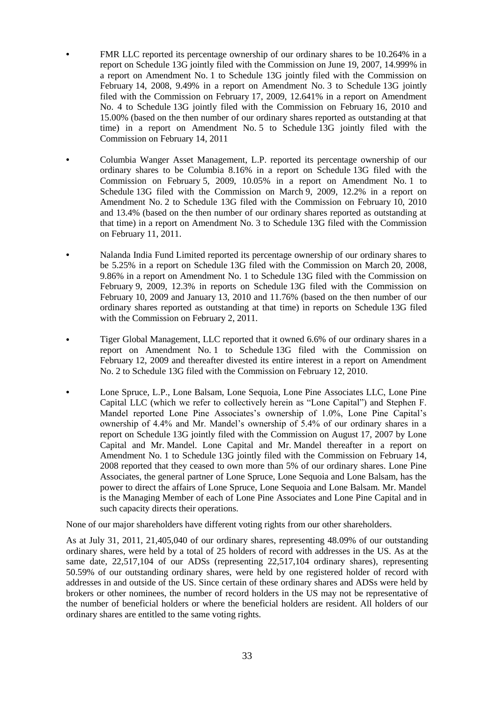- **•** FMR LLC reported its percentage ownership of our ordinary shares to be 10.264% in a report on Schedule 13G jointly filed with the Commission on June 19, 2007, 14.999% in a report on Amendment No. 1 to Schedule 13G jointly filed with the Commission on February 14, 2008, 9.49% in a report on Amendment No. 3 to Schedule 13G jointly filed with the Commission on February 17, 2009, 12.641% in a report on Amendment No. 4 to Schedule 13G jointly filed with the Commission on February 16, 2010 and 15.00% (based on the then number of our ordinary shares reported as outstanding at that time) in a report on Amendment No. 5 to Schedule 13G jointly filed with the Commission on February 14, 2011
- **•** Columbia Wanger Asset Management, L.P. reported its percentage ownership of our ordinary shares to be Columbia 8.16% in a report on Schedule 13G filed with the Commission on February 5, 2009, 10.05% in a report on Amendment No. 1 to Schedule 13G filed with the Commission on March 9, 2009, 12.2% in a report on Amendment No. 2 to Schedule 13G filed with the Commission on February 10, 2010 and 13.4% (based on the then number of our ordinary shares reported as outstanding at that time) in a report on Amendment No. 3 to Schedule 13G filed with the Commission on February 11, 2011.
- **•** Nalanda India Fund Limited reported its percentage ownership of our ordinary shares to be 5.25% in a report on Schedule 13G filed with the Commission on March 20, 2008, 9.86% in a report on Amendment No. 1 to Schedule 13G filed with the Commission on February 9, 2009, 12.3% in reports on Schedule 13G filed with the Commission on February 10, 2009 and January 13, 2010 and 11.76% (based on the then number of our ordinary shares reported as outstanding at that time) in reports on Schedule 13G filed with the Commission on February 2, 2011.
- **•** Tiger Global Management, LLC reported that it owned 6.6% of our ordinary shares in a report on Amendment No. 1 to Schedule 13G filed with the Commission on February 12, 2009 and thereafter divested its entire interest in a report on Amendment No. 2 to Schedule 13G filed with the Commission on February 12, 2010.
- **•** Lone Spruce, L.P., Lone Balsam, Lone Sequoia, Lone Pine Associates LLC, Lone Pine Capital LLC (which we refer to collectively herein as "Lone Capital") and Stephen F. Mandel reported Lone Pine Associates's ownership of 1.0%, Lone Pine Capital's ownership of 4.4% and Mr. Mandel's ownership of 5.4% of our ordinary shares in a report on Schedule 13G jointly filed with the Commission on August 17, 2007 by Lone Capital and Mr. Mandel. Lone Capital and Mr. Mandel thereafter in a report on Amendment No. 1 to Schedule 13G jointly filed with the Commission on February 14, 2008 reported that they ceased to own more than 5% of our ordinary shares. Lone Pine Associates, the general partner of Lone Spruce, Lone Sequoia and Lone Balsam, has the power to direct the affairs of Lone Spruce, Lone Sequoia and Lone Balsam. Mr. Mandel is the Managing Member of each of Lone Pine Associates and Lone Pine Capital and in such capacity directs their operations.

None of our major shareholders have different voting rights from our other shareholders.

As at July 31, 2011, 21,405,040 of our ordinary shares, representing 48.09% of our outstanding ordinary shares, were held by a total of 25 holders of record with addresses in the US. As at the same date, 22,517,104 of our ADSs (representing 22,517,104 ordinary shares), representing 50.59% of our outstanding ordinary shares, were held by one registered holder of record with addresses in and outside of the US. Since certain of these ordinary shares and ADSs were held by brokers or other nominees, the number of record holders in the US may not be representative of the number of beneficial holders or where the beneficial holders are resident. All holders of our ordinary shares are entitled to the same voting rights.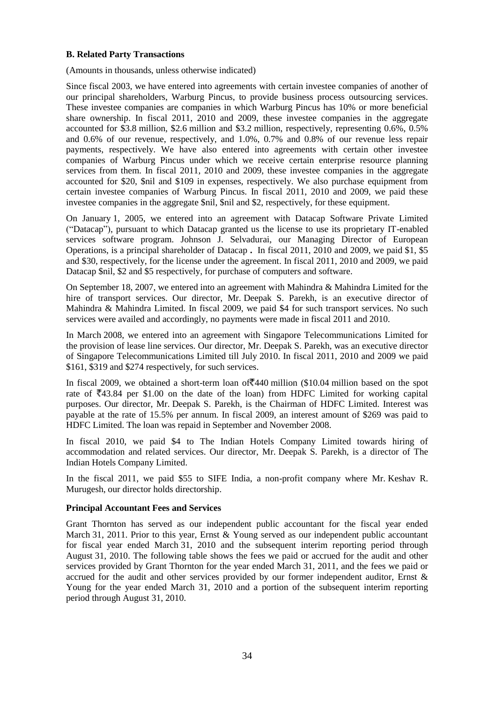#### **B. Related Party Transactions**

(Amounts in thousands, unless otherwise indicated)

Since fiscal 2003, we have entered into agreements with certain investee companies of another of our principal shareholders, Warburg Pincus, to provide business process outsourcing services. These investee companies are companies in which Warburg Pincus has 10% or more beneficial share ownership. In fiscal 2011, 2010 and 2009, these investee companies in the aggregate accounted for \$3.8 million, \$2.6 million and \$3.2 million, respectively, representing 0.6%, 0.5% and 0.6% of our revenue, respectively, and 1.0%, 0.7% and 0.8% of our revenue less repair payments, respectively. We have also entered into agreements with certain other investee companies of Warburg Pincus under which we receive certain enterprise resource planning services from them. In fiscal 2011, 2010 and 2009, these investee companies in the aggregate accounted for \$20, \$nil and \$109 in expenses, respectively. We also purchase equipment from certain investee companies of Warburg Pincus. In fiscal 2011, 2010 and 2009, we paid these investee companies in the aggregate \$nil, \$nil and \$2, respectively, for these equipment.

On January 1, 2005, we entered into an agreement with Datacap Software Private Limited (―Datacap‖), pursuant to which Datacap granted us the license to use its proprietary IT-enabled services software program. Johnson J. Selvadurai, our Managing Director of European Operations, is a principal shareholder of Datacap **.** In fiscal 2011, 2010 and 2009, we paid \$1, \$5 and \$30, respectively, for the license under the agreement. In fiscal 2011, 2010 and 2009, we paid Datacap \$nil, \$2 and \$5 respectively, for purchase of computers and software.

On September 18, 2007, we entered into an agreement with Mahindra & Mahindra Limited for the hire of transport services. Our director, Mr. Deepak S. Parekh, is an executive director of Mahindra & Mahindra Limited. In fiscal 2009, we paid \$4 for such transport services. No such services were availed and accordingly, no payments were made in fiscal 2011 and 2010.

In March 2008, we entered into an agreement with Singapore Telecommunications Limited for the provision of lease line services. Our director, Mr. Deepak S. Parekh, was an executive director of Singapore Telecommunications Limited till July 2010. In fiscal 2011, 2010 and 2009 we paid \$161, \$319 and \$274 respectively, for such services.

In fiscal 2009, we obtained a short-term loan of  $\overline{440}$  million (\$10.04 million based on the spot rate of  $\overline{343.84}$  per \$1.00 on the date of the loan) from HDFC Limited for working capital purposes. Our director, Mr. Deepak S. Parekh, is the Chairman of HDFC Limited. Interest was payable at the rate of 15.5% per annum. In fiscal 2009, an interest amount of \$269 was paid to HDFC Limited. The loan was repaid in September and November 2008.

In fiscal 2010, we paid \$4 to The Indian Hotels Company Limited towards hiring of accommodation and related services. Our director, Mr. Deepak S. Parekh, is a director of The Indian Hotels Company Limited.

In the fiscal 2011, we paid \$55 to SIFE India, a non-profit company where Mr. Keshav R. Murugesh, our director holds directorship.

## **Principal Accountant Fees and Services**

Grant Thornton has served as our independent public accountant for the fiscal year ended March 31, 2011. Prior to this year, Ernst & Young served as our independent public accountant for fiscal year ended March 31, 2010 and the subsequent interim reporting period through August 31, 2010. The following table shows the fees we paid or accrued for the audit and other services provided by Grant Thornton for the year ended March 31, 2011, and the fees we paid or accrued for the audit and other services provided by our former independent auditor, Ernst & Young for the year ended March 31, 2010 and a portion of the subsequent interim reporting period through August 31, 2010.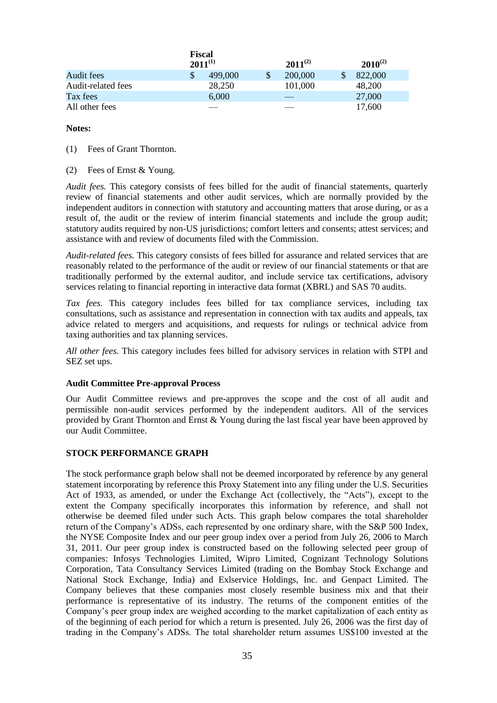|                    | <b>Fiscal</b><br>$2011^{(1)}$ |         |    | $2011^{(2)}$ | $2010^{(2)}$ |  |
|--------------------|-------------------------------|---------|----|--------------|--------------|--|
| Audit fees         |                               | 499,000 | \$ | 200,000      | 822,000      |  |
| Audit-related fees |                               | 28,250  |    | 101,000      | 48,200       |  |
| Tax fees           |                               | 6,000   |    |              | 27,000       |  |
| All other fees     |                               |         |    |              | 17,600       |  |

#### **Notes:**

(1) Fees of Grant Thornton.

(2) Fees of Ernst & Young.

*Audit fees.* This category consists of fees billed for the audit of financial statements, quarterly review of financial statements and other audit services, which are normally provided by the independent auditors in connection with statutory and accounting matters that arose during, or as a result of, the audit or the review of interim financial statements and include the group audit; statutory audits required by non-US jurisdictions; comfort letters and consents; attest services; and assistance with and review of documents filed with the Commission.

*Audit-related fees.* This category consists of fees billed for assurance and related services that are reasonably related to the performance of the audit or review of our financial statements or that are traditionally performed by the external auditor, and include service tax certifications, advisory services relating to financial reporting in interactive data format (XBRL) and SAS 70 audits.

*Tax fees.* This category includes fees billed for tax compliance services, including tax consultations, such as assistance and representation in connection with tax audits and appeals, tax advice related to mergers and acquisitions, and requests for rulings or technical advice from taxing authorities and tax planning services.

*All other fees.* This category includes fees billed for advisory services in relation with STPI and SEZ set ups.

## **Audit Committee Pre-approval Process**

Our Audit Committee reviews and pre-approves the scope and the cost of all audit and permissible non-audit services performed by the independent auditors. All of the services provided by Grant Thornton and Ernst & Young during the last fiscal year have been approved by our Audit Committee.

## **STOCK PERFORMANCE GRAPH**

The stock performance graph below shall not be deemed incorporated by reference by any general statement incorporating by reference this Proxy Statement into any filing under the U.S. Securities Act of 1933, as amended, or under the Exchange Act (collectively, the "Acts"), except to the extent the Company specifically incorporates this information by reference, and shall not otherwise be deemed filed under such Acts. This graph below compares the total shareholder return of the Company's ADSs, each represented by one ordinary share, with the S&P 500 Index, the NYSE Composite Index and our peer group index over a period from July 26, 2006 to March 31, 2011. Our peer group index is constructed based on the following selected peer group of companies: Infosys Technologies Limited, Wipro Limited, Cognizant Technology Solutions Corporation, Tata Consultancy Services Limited (trading on the Bombay Stock Exchange and National Stock Exchange, India) and Exlservice Holdings, Inc. and Genpact Limited. The Company believes that these companies most closely resemble business mix and that their performance is representative of its industry. The returns of the component entities of the Company's peer group index are weighed according to the market capitalization of each entity as of the beginning of each period for which a return is presented. July 26, 2006 was the first day of trading in the Company's ADSs. The total shareholder return assumes US\$100 invested at the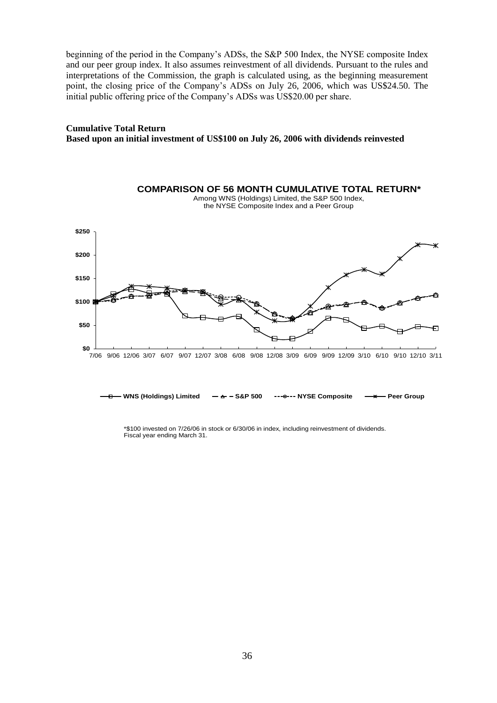beginning of the period in the Company's ADSs, the S&P 500 Index, the NYSE composite Index and our peer group index. It also assumes reinvestment of all dividends. Pursuant to the rules and interpretations of the Commission, the graph is calculated using, as the beginning measurement point, the closing price of the Company's ADSs on July 26, 2006, which was US\$24.50. The initial public offering price of the Company's ADSs was US\$20.00 per share.

## **Cumulative Total Return Based upon an initial investment of US\$100 on July 26, 2006 with dividends reinvested**



\*\$100 invested on 7/26/06 in stock or 6/30/06 in index, including reinvestment of dividends. Fiscal year ending March 31.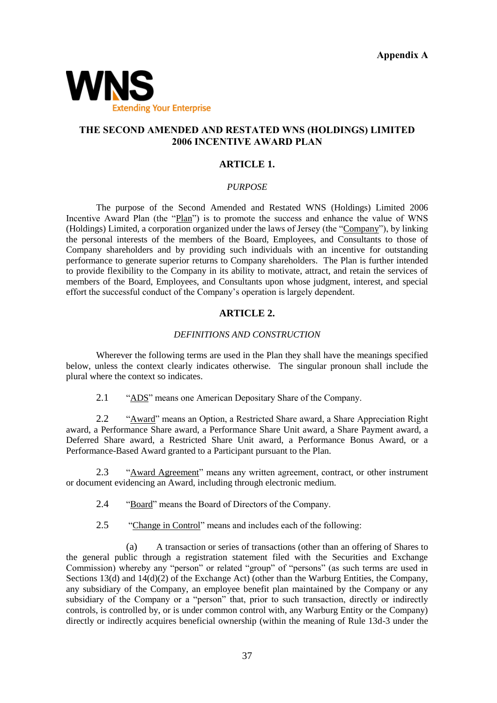**Appendix A**



# **THE SECOND AMENDED AND RESTATED WNS (HOLDINGS) LIMITED 2006 INCENTIVE AWARD PLAN**

#### **ARTICLE 1.**

#### *PURPOSE*

The purpose of the Second Amended and Restated WNS (Holdings) Limited 2006 Incentive Award Plan (the "Plan") is to promote the success and enhance the value of WNS (Holdings) Limited, a corporation organized under the laws of Jersey (the "Company"), by linking the personal interests of the members of the Board, Employees, and Consultants to those of Company shareholders and by providing such individuals with an incentive for outstanding performance to generate superior returns to Company shareholders. The Plan is further intended to provide flexibility to the Company in its ability to motivate, attract, and retain the services of members of the Board, Employees, and Consultants upon whose judgment, interest, and special effort the successful conduct of the Company's operation is largely dependent.

#### **ARTICLE 2.**

#### *DEFINITIONS AND CONSTRUCTION*

Wherever the following terms are used in the Plan they shall have the meanings specified below, unless the context clearly indicates otherwise. The singular pronoun shall include the plural where the context so indicates.

2.1 **ADS**" means one American Depositary Share of the Company.

2.2 **•• "Award"** means an Option, a Restricted Share award, a Share Appreciation Right award, a Performance Share award, a Performance Share Unit award, a Share Payment award, a Deferred Share award, a Restricted Share Unit award, a Performance Bonus Award, or a Performance-Based Award granted to a Participant pursuant to the Plan.

2.3 **•• "Award Agreement" means any written agreement, contract, or other instrument** or document evidencing an Award, including through electronic medium.

2.4 **Example 2.4 Example 3.4 We are Solved Structure Structure Structure Structure Company.** 

2.5 
"Change in Control" means and includes each of the following:

(a) A transaction or series of transactions (other than an offering of Shares to the general public through a registration statement filed with the Securities and Exchange Commission) whereby any "person" or related "group" of "persons" (as such terms are used in Sections 13(d) and 14(d)(2) of the Exchange Act) (other than the Warburg Entities, the Company, any subsidiary of the Company, an employee benefit plan maintained by the Company or any subsidiary of the Company or a "person" that, prior to such transaction, directly or indirectly controls, is controlled by, or is under common control with, any Warburg Entity or the Company) directly or indirectly acquires beneficial ownership (within the meaning of Rule 13d-3 under the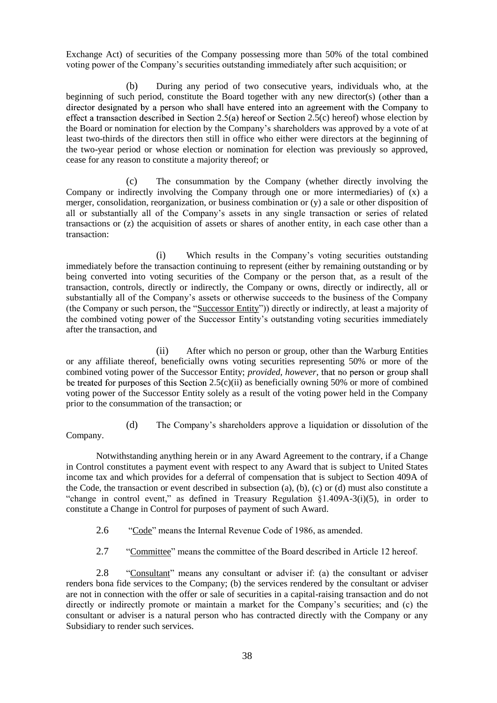Exchange Act) of securities of the Company possessing more than 50% of the total combined voting power of the Company's securities outstanding immediately after such acquisition; or

(b) During any period of two consecutive years, individuals who, at the beginning of such period, constitute the Board together with any new director(s) ( director designated by a person who shall have entered into an agreement with the Company to effect a transaction described in Section 2.5(a) hereof or Section 2.5(c) hereof) whose election by the Board or nomination for election by the Company's shareholders was approved by a vote of at least two-thirds of the directors then still in office who either were directors at the beginning of the two-year period or whose election or nomination for election was previously so approved, cease for any reason to constitute a majority thereof; or

(c) The consummation by the Company (whether directly involving the Company or indirectly involving the Company through one or more intermediaries) of (x) a merger, consolidation, reorganization, or business combination or (y) a sale or other disposition of all or substantially all of the Company's assets in any single transaction or series of related transactions or (z) the acquisition of assets or shares of another entity, in each case other than a transaction:

(i) Which results in the Company's voting securities outstanding immediately before the transaction continuing to represent (either by remaining outstanding or by being converted into voting securities of the Company or the person that, as a result of the transaction, controls, directly or indirectly, the Company or owns, directly or indirectly, all or substantially all of the Company's assets or otherwise succeeds to the business of the Company (the Company or such person, the "Successor Entity")) directly or indirectly, at least a majority of the combined voting power of the Successor Entity's outstanding voting securities immediately after the transaction, and

(ii) After which no person or group, other than the Warburg Entities or any affiliate thereof, beneficially owns voting securities representing 50% or more of the combined voting power of the Successor Entity; *provided, however,* be treated for purposes of this Section  $2.5(c)(ii)$  as beneficially owning 50% or more of combined voting power of the Successor Entity solely as a result of the voting power held in the Company prior to the consummation of the transaction; or

Company.

(d) The Company's shareholders approve a liquidation or dissolution of the

Notwithstanding anything herein or in any Award Agreement to the contrary, if a Change in Control constitutes a payment event with respect to any Award that is subject to United States income tax and which provides for a deferral of compensation that is subject to Section 409A of the Code, the transaction or event described in subsection (a), (b), (c) or (d) must also constitute a "change in control event," as defined in Treasury Regulation  $\S1.409A-3(i)(5)$ , in order to constitute a Change in Control for purposes of payment of such Award.

2.6 — "Code" means the Internal Revenue Code of 1986, as amended.

2.7 
"Committee" means the committee of the Board described in Article 12 hereof.

2.8 • "Consultant" means any consultant or adviser if: (a) the consultant or adviser renders bona fide services to the Company; (b) the services rendered by the consultant or adviser are not in connection with the offer or sale of securities in a capital-raising transaction and do not directly or indirectly promote or maintain a market for the Company's securities; and (c) the consultant or adviser is a natural person who has contracted directly with the Company or any Subsidiary to render such services.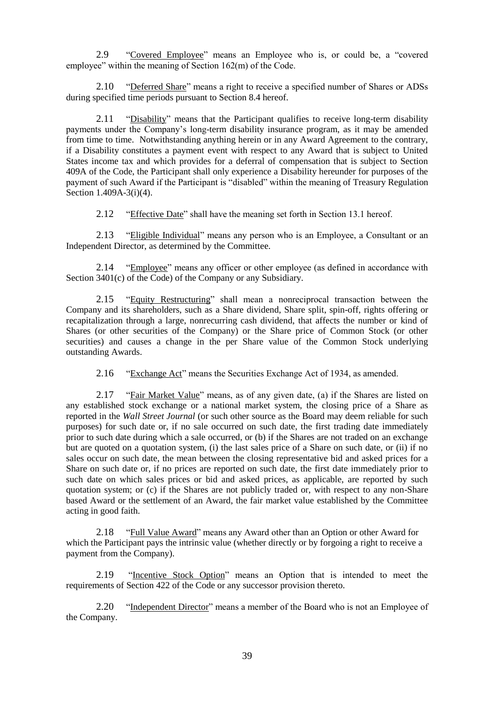2.9 
"Covered Employee" means an Employee who is, or could be, a "covered employee" within the meaning of Section  $162(m)$  of the Code.

2.10 — "Deferred Share" means a right to receive a specified number of Shares or ADSs during specified time periods pursuant to Section 8.4 hereof.

2.11 **The Solution** means that the Participant qualifies to receive long-term disability payments under the Company's long-term disability insurance program, as it may be amended from time to time. Notwithstanding anything herein or in any Award Agreement to the contrary, if a Disability constitutes a payment event with respect to any Award that is subject to United States income tax and which provides for a deferral of compensation that is subject to Section 409A of the Code, the Participant shall only experience a Disability hereunder for purposes of the payment of such Award if the Participant is "disabled" within the meaning of Treasury Regulation Section 1.409A-3(i)(4).

2.12 "Effective Date" shall have the meaning set forth in Section 13.1 hereof.

2.13 • "Eligible Individual" means any person who is an Employee, a Consultant or an Independent Director, as determined by the Committee.

2.14 — "Employee" means any officer or other employee (as defined in accordance with Section 3401(c) of the Code) of the Company or any Subsidiary.

2.15 "Equity Restructuring" shall mean a nonreciprocal transaction between the Company and its shareholders, such as a Share dividend, Share split, spin-off, rights offering or recapitalization through a large, nonrecurring cash dividend, that affects the number or kind of Shares (or other securities of the Company) or the Share price of Common Stock (or other securities) and causes a change in the per Share value of the Common Stock underlying outstanding Awards.

2.16 — "Exchange Act" means the Securities Exchange Act of 1934, as amended.

2.17 "Fair Market Value" means, as of any given date, (a) if the Shares are listed on any established stock exchange or a national market system, the closing price of a Share as reported in the *Wall Street Journal* (or such other source as the Board may deem reliable for such purposes) for such date or, if no sale occurred on such date, the first trading date immediately prior to such date during which a sale occurred, or (b) if the Shares are not traded on an exchange but are quoted on a quotation system, (i) the last sales price of a Share on such date, or (ii) if no sales occur on such date, the mean between the closing representative bid and asked prices for a Share on such date or, if no prices are reported on such date, the first date immediately prior to such date on which sales prices or bid and asked prices, as applicable, are reported by such quotation system; or (c) if the Shares are not publicly traded or, with respect to any non-Share based Award or the settlement of an Award, the fair market value established by the Committee acting in good faith.

2.18 ―Full Value Award‖ means any Award other than an Option or other Award for which the Participant pays the intrinsic value (whether directly or by forgoing a right to receive a payment from the Company).

2.19 ―Incentive Stock Option‖ means an Option that is intended to meet the requirements of Section 422 of the Code or any successor provision thereto.

2.20 • "Independent Director" means a member of the Board who is not an Employee of the Company.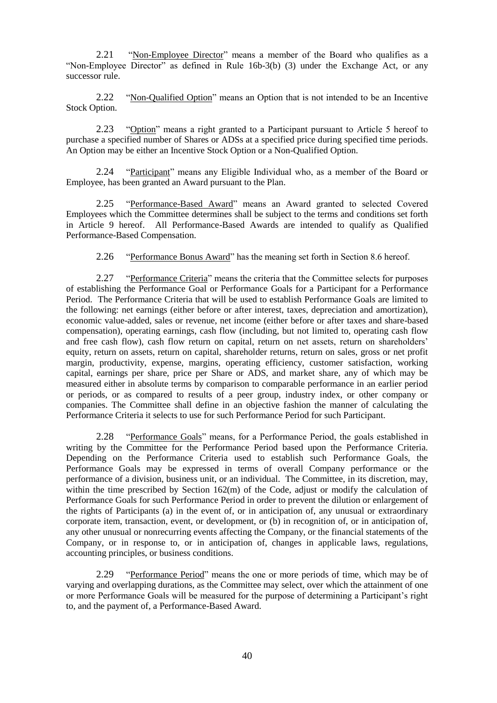2.21 • "Non-Employee Director" means a member of the Board who qualifies as a "Non-Employee Director" as defined in Rule  $16b-3(b)$  (3) under the Exchange Act, or any successor rule.

2.22 ―Non-Qualified Option‖ means an Option that is not intended to be an Incentive Stock Option.

2.23 ―Option‖ means a right granted to a Participant pursuant to Article 5 hereof to purchase a specified number of Shares or ADSs at a specified price during specified time periods. An Option may be either an Incentive Stock Option or a Non-Qualified Option.

2.24 **••** "Participant" means any Eligible Individual who, as a member of the Board or Employee, has been granted an Award pursuant to the Plan.

2.25 ―Performance-Based Award‖ means an Award granted to selected Covered Employees which the Committee determines shall be subject to the terms and conditions set forth in Article 9 hereof. All Performance-Based Awards are intended to qualify as Qualified Performance-Based Compensation.

2.26 ―Performance Bonus Award‖ has the meaning set forth in Section 8.6 hereof.

2.27 ―Performance Criteria‖ means the criteria that the Committee selects for purposes of establishing the Performance Goal or Performance Goals for a Participant for a Performance Period. The Performance Criteria that will be used to establish Performance Goals are limited to the following: net earnings (either before or after interest, taxes, depreciation and amortization), economic value-added, sales or revenue, net income (either before or after taxes and share-based compensation), operating earnings, cash flow (including, but not limited to, operating cash flow and free cash flow), cash flow return on capital, return on net assets, return on shareholders' equity, return on assets, return on capital, shareholder returns, return on sales, gross or net profit margin, productivity, expense, margins, operating efficiency, customer satisfaction, working capital, earnings per share, price per Share or ADS, and market share, any of which may be measured either in absolute terms by comparison to comparable performance in an earlier period or periods, or as compared to results of a peer group, industry index, or other company or companies. The Committee shall define in an objective fashion the manner of calculating the Performance Criteria it selects to use for such Performance Period for such Participant.

2.28 ―Performance Goals‖ means, for a Performance Period, the goals established in writing by the Committee for the Performance Period based upon the Performance Criteria. Depending on the Performance Criteria used to establish such Performance Goals, the Performance Goals may be expressed in terms of overall Company performance or the performance of a division, business unit, or an individual. The Committee, in its discretion, may, within the time prescribed by Section 162(m) of the Code, adjust or modify the calculation of Performance Goals for such Performance Period in order to prevent the dilution or enlargement of the rights of Participants (a) in the event of, or in anticipation of, any unusual or extraordinary corporate item, transaction, event, or development, or (b) in recognition of, or in anticipation of, any other unusual or nonrecurring events affecting the Company, or the financial statements of the Company, or in response to, or in anticipation of, changes in applicable laws, regulations, accounting principles, or business conditions.

2.29 ―Performance Period‖ means the one or more periods of time, which may be of varying and overlapping durations, as the Committee may select, over which the attainment of one or more Performance Goals will be measured for the purpose of determining a Participant's right to, and the payment of, a Performance-Based Award.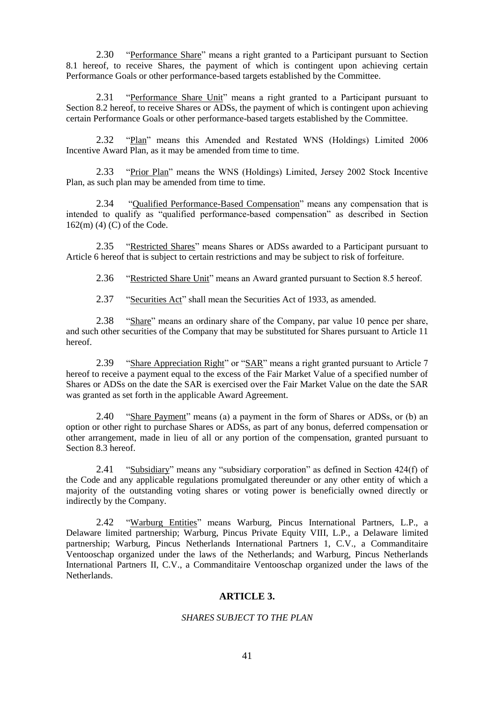2.30 **••** Performance Share" means a right granted to a Participant pursuant to Section 8.1 hereof, to receive Shares, the payment of which is contingent upon achieving certain Performance Goals or other performance-based targets established by the Committee.

2.31 **••** "Performance Share Unit" means a right granted to a Participant pursuant to Section 8.2 hereof, to receive Shares or ADSs, the payment of which is contingent upon achieving certain Performance Goals or other performance-based targets established by the Committee.

2.32 "Plan" means this Amended and Restated WNS (Holdings) Limited 2006 Incentive Award Plan, as it may be amended from time to time.

2.33 **••** "Prior Plan" means the WNS (Holdings) Limited, Jersey 2002 Stock Incentive Plan, as such plan may be amended from time to time.

2.34 — "Qualified Performance-Based Compensation" means any compensation that is intended to qualify as "qualified performance-based compensation" as described in Section 162(m) (4) (C) of the Code.

2.35 **•• "Restricted Shares"** means Shares or ADSs awarded to a Participant pursuant to Article 6 hereof that is subject to certain restrictions and may be subject to risk of forfeiture.

2.36 • "Restricted Share Unit" means an Award granted pursuant to Section 8.5 hereof.

2.37 **Securities Act**" shall mean the Securities Act of 1933, as amended.

2.38 — "Share" means an ordinary share of the Company, par value 10 pence per share, and such other securities of the Company that may be substituted for Shares pursuant to Article 11 hereof.

2.39 — "Share Appreciation Right" or "SAR" means a right granted pursuant to Article 7 hereof to receive a payment equal to the excess of the Fair Market Value of a specified number of Shares or ADSs on the date the SAR is exercised over the Fair Market Value on the date the SAR was granted as set forth in the applicable Award Agreement.

2.40 **••** Share Payment" means (a) a payment in the form of Shares or ADSs, or (b) an option or other right to purchase Shares or ADSs, as part of any bonus, deferred compensation or other arrangement, made in lieu of all or any portion of the compensation, granted pursuant to Section 8.3 hereof.

2.41 **Subsidiary** means any "subsidiary corporation" as defined in Section 424(f) of the Code and any applicable regulations promulgated thereunder or any other entity of which a majority of the outstanding voting shares or voting power is beneficially owned directly or indirectly by the Company.

2.42 ―Warburg Entities‖ means Warburg, Pincus International Partners, L.P., a Delaware limited partnership; Warburg, Pincus Private Equity VIII, L.P., a Delaware limited partnership; Warburg, Pincus Netherlands International Partners 1, C.V., a Commanditaire Ventooschap organized under the laws of the Netherlands; and Warburg, Pincus Netherlands International Partners II, C.V., a Commanditaire Ventooschap organized under the laws of the **Netherlands** 

## **ARTICLE 3.**

#### *SHARES SUBJECT TO THE PLAN*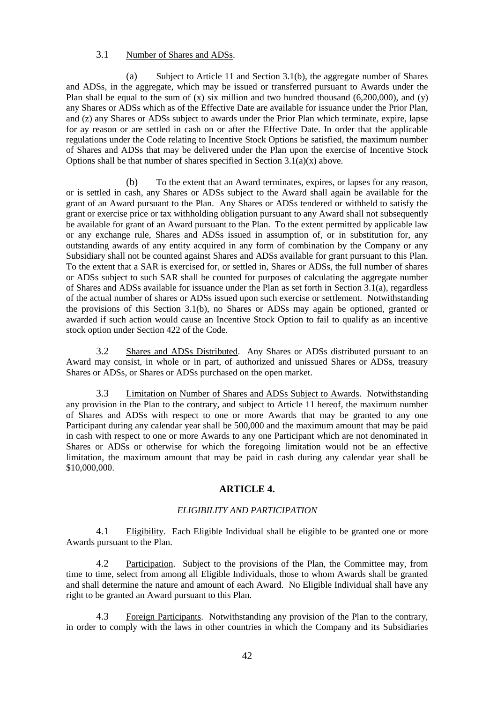# 3.1 Number of Shares and ADSs.

(a) Subject to Article 11 and Section 3.1(b), the aggregate number of Shares and ADSs, in the aggregate, which may be issued or transferred pursuant to Awards under the Plan shall be equal to the sum of (x) six million and two hundred thousand (6,200,000), and (y) any Shares or ADSs which as of the Effective Date are available for issuance under the Prior Plan, and (z) any Shares or ADSs subject to awards under the Prior Plan which terminate, expire, lapse for ay reason or are settled in cash on or after the Effective Date. In order that the applicable regulations under the Code relating to Incentive Stock Options be satisfied, the maximum number of Shares and ADSs that may be delivered under the Plan upon the exercise of Incentive Stock Options shall be that number of shares specified in Section  $3.\overline{1}(a)(x)$  above.

(b) To the extent that an Award terminates, expires, or lapses for any reason, or is settled in cash, any Shares or ADSs subject to the Award shall again be available for the grant of an Award pursuant to the Plan. Any Shares or ADSs tendered or withheld to satisfy the grant or exercise price or tax withholding obligation pursuant to any Award shall not subsequently be available for grant of an Award pursuant to the Plan. To the extent permitted by applicable law or any exchange rule, Shares and ADSs issued in assumption of, or in substitution for, any outstanding awards of any entity acquired in any form of combination by the Company or any Subsidiary shall not be counted against Shares and ADSs available for grant pursuant to this Plan. To the extent that a SAR is exercised for, or settled in, Shares or ADSs, the full number of shares or ADSs subject to such SAR shall be counted for purposes of calculating the aggregate number of Shares and ADSs available for issuance under the Plan as set forth in Section 3.1(a), regardless of the actual number of shares or ADSs issued upon such exercise or settlement. Notwithstanding the provisions of this Section 3.1(b), no Shares or ADSs may again be optioned, granted or awarded if such action would cause an Incentive Stock Option to fail to qualify as an incentive stock option under Section 422 of the Code.

3.2 Shares and ADSs Distributed. Any Shares or ADSs distributed pursuant to an Award may consist, in whole or in part, of authorized and unissued Shares or ADSs, treasury Shares or ADSs, or Shares or ADSs purchased on the open market.

3.3 Limitation on Number of Shares and ADSs Subject to Awards. Notwithstanding any provision in the Plan to the contrary, and subject to Article 11 hereof, the maximum number of Shares and ADSs with respect to one or more Awards that may be granted to any one Participant during any calendar year shall be 500,000 and the maximum amount that may be paid in cash with respect to one or more Awards to any one Participant which are not denominated in Shares or ADSs or otherwise for which the foregoing limitation would not be an effective limitation, the maximum amount that may be paid in cash during any calendar year shall be \$10,000,000.

# **ARTICLE 4.**

## *ELIGIBILITY AND PARTICIPATION*

4.1 Eligibility. Each Eligible Individual shall be eligible to be granted one or more Awards pursuant to the Plan.

4.2 Participation. Subject to the provisions of the Plan, the Committee may, from time to time, select from among all Eligible Individuals, those to whom Awards shall be granted and shall determine the nature and amount of each Award. No Eligible Individual shall have any right to be granted an Award pursuant to this Plan.

4.3 Foreign Participants. Notwithstanding any provision of the Plan to the contrary, in order to comply with the laws in other countries in which the Company and its Subsidiaries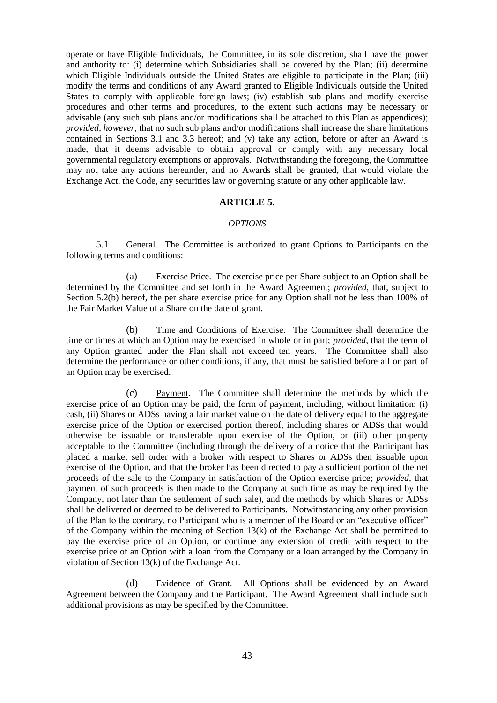operate or have Eligible Individuals, the Committee, in its sole discretion, shall have the power and authority to: (i) determine which Subsidiaries shall be covered by the Plan; (ii) determine which Eligible Individuals outside the United States are eligible to participate in the Plan; (iii) modify the terms and conditions of any Award granted to Eligible Individuals outside the United States to comply with applicable foreign laws; (iv) establish sub plans and modify exercise procedures and other terms and procedures, to the extent such actions may be necessary or advisable (any such sub plans and/or modifications shall be attached to this Plan as appendices); *provided, however*, that no such sub plans and/or modifications shall increase the share limitations contained in Sections 3.1 and 3.3 hereof; and (v) take any action, before or after an Award is made, that it deems advisable to obtain approval or comply with any necessary local governmental regulatory exemptions or approvals. Notwithstanding the foregoing, the Committee may not take any actions hereunder, and no Awards shall be granted, that would violate the Exchange Act, the Code, any securities law or governing statute or any other applicable law.

#### **ARTICLE 5.**

#### *OPTIONS*

5.1 General. The Committee is authorized to grant Options to Participants on the following terms and conditions:

(a) Exercise Price. The exercise price per Share subject to an Option shall be determined by the Committee and set forth in the Award Agreement; *provided*, that, subject to Section 5.2(b) hereof, the per share exercise price for any Option shall not be less than 100% of the Fair Market Value of a Share on the date of grant.

(b) Time and Conditions of Exercise. The Committee shall determine the time or times at which an Option may be exercised in whole or in part; *provided*, that the term of any Option granted under the Plan shall not exceed ten years. The Committee shall also determine the performance or other conditions, if any, that must be satisfied before all or part of an Option may be exercised.

(c) Payment. The Committee shall determine the methods by which the exercise price of an Option may be paid, the form of payment, including, without limitation: (i) cash, (ii) Shares or ADSs having a fair market value on the date of delivery equal to the aggregate exercise price of the Option or exercised portion thereof, including shares or ADSs that would otherwise be issuable or transferable upon exercise of the Option, or (iii) other property acceptable to the Committee (including through the delivery of a notice that the Participant has placed a market sell order with a broker with respect to Shares or ADSs then issuable upon exercise of the Option, and that the broker has been directed to pay a sufficient portion of the net proceeds of the sale to the Company in satisfaction of the Option exercise price; *provided*, that payment of such proceeds is then made to the Company at such time as may be required by the Company, not later than the settlement of such sale), and the methods by which Shares or ADSs shall be delivered or deemed to be delivered to Participants. Notwithstanding any other provision of the Plan to the contrary, no Participant who is a member of the Board or an "executive officer" of the Company within the meaning of Section 13(k) of the Exchange Act shall be permitted to pay the exercise price of an Option, or continue any extension of credit with respect to the exercise price of an Option with a loan from the Company or a loan arranged by the Company in violation of Section 13(k) of the Exchange Act.

(d) Evidence of Grant. All Options shall be evidenced by an Award Agreement between the Company and the Participant. The Award Agreement shall include such additional provisions as may be specified by the Committee.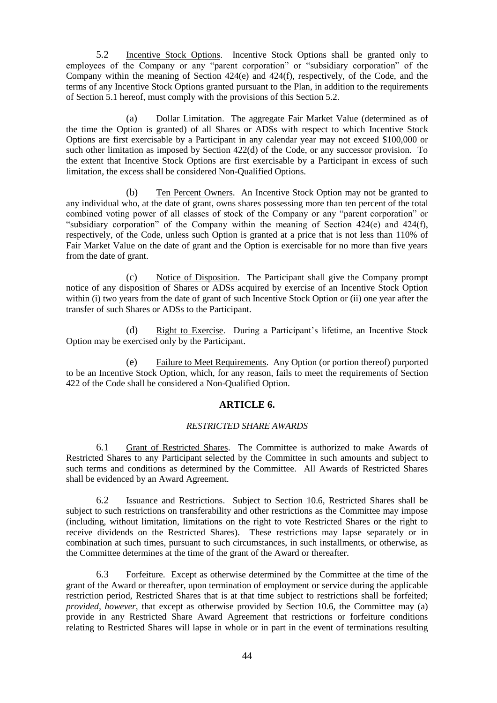5.2 Incentive Stock Options. Incentive Stock Options shall be granted only to employees of the Company or any "parent corporation" or "subsidiary corporation" of the Company within the meaning of Section 424(e) and 424(f), respectively, of the Code, and the terms of any Incentive Stock Options granted pursuant to the Plan, in addition to the requirements of Section 5.1 hereof, must comply with the provisions of this Section 5.2.

(a) Dollar Limitation. The aggregate Fair Market Value (determined as of the time the Option is granted) of all Shares or ADSs with respect to which Incentive Stock Options are first exercisable by a Participant in any calendar year may not exceed \$100,000 or such other limitation as imposed by Section 422(d) of the Code, or any successor provision. To the extent that Incentive Stock Options are first exercisable by a Participant in excess of such limitation, the excess shall be considered Non-Qualified Options.

(b) Ten Percent Owners. An Incentive Stock Option may not be granted to any individual who, at the date of grant, owns shares possessing more than ten percent of the total combined voting power of all classes of stock of the Company or any "parent corporation" or "subsidiary corporation" of the Company within the meaning of Section  $424(e)$  and  $424(f)$ , respectively, of the Code, unless such Option is granted at a price that is not less than 110% of Fair Market Value on the date of grant and the Option is exercisable for no more than five years from the date of grant.

(c) Notice of Disposition. The Participant shall give the Company prompt notice of any disposition of Shares or ADSs acquired by exercise of an Incentive Stock Option within (i) two years from the date of grant of such Incentive Stock Option or (ii) one year after the transfer of such Shares or ADSs to the Participant.

(d) Right to Exercise. During a Participant's lifetime, an Incentive Stock Option may be exercised only by the Participant.

(e) Failure to Meet Requirements. Any Option (or portion thereof) purported to be an Incentive Stock Option, which, for any reason, fails to meet the requirements of Section 422 of the Code shall be considered a Non-Qualified Option.

## **ARTICLE 6.**

## *RESTRICTED SHARE AWARDS*

6.1 Grant of Restricted Shares. The Committee is authorized to make Awards of Restricted Shares to any Participant selected by the Committee in such amounts and subject to such terms and conditions as determined by the Committee. All Awards of Restricted Shares shall be evidenced by an Award Agreement.

6.2 Issuance and Restrictions. Subject to Section 10.6, Restricted Shares shall be subject to such restrictions on transferability and other restrictions as the Committee may impose (including, without limitation, limitations on the right to vote Restricted Shares or the right to receive dividends on the Restricted Shares). These restrictions may lapse separately or in combination at such times, pursuant to such circumstances, in such installments, or otherwise, as the Committee determines at the time of the grant of the Award or thereafter.

6.3 Forfeiture. Except as otherwise determined by the Committee at the time of the grant of the Award or thereafter, upon termination of employment or service during the applicable restriction period, Restricted Shares that is at that time subject to restrictions shall be forfeited; *provided, however*, that except as otherwise provided by Section 10.6, the Committee may (a) provide in any Restricted Share Award Agreement that restrictions or forfeiture conditions relating to Restricted Shares will lapse in whole or in part in the event of terminations resulting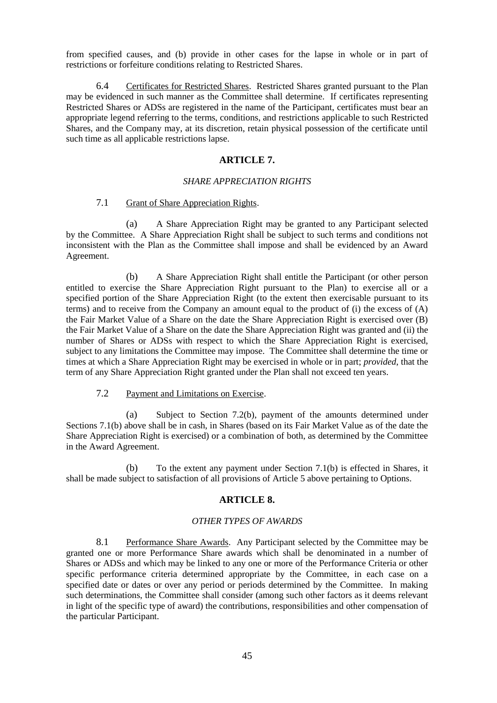from specified causes, and (b) provide in other cases for the lapse in whole or in part of restrictions or forfeiture conditions relating to Restricted Shares.

6.4 Certificates for Restricted Shares. Restricted Shares granted pursuant to the Plan may be evidenced in such manner as the Committee shall determine. If certificates representing Restricted Shares or ADSs are registered in the name of the Participant, certificates must bear an appropriate legend referring to the terms, conditions, and restrictions applicable to such Restricted Shares, and the Company may, at its discretion, retain physical possession of the certificate until such time as all applicable restrictions lapse.

# **ARTICLE 7.**

### *SHARE APPRECIATION RIGHTS*

## 7.1 Grant of Share Appreciation Rights.

(a) A Share Appreciation Right may be granted to any Participant selected by the Committee. A Share Appreciation Right shall be subject to such terms and conditions not inconsistent with the Plan as the Committee shall impose and shall be evidenced by an Award Agreement.

(b) A Share Appreciation Right shall entitle the Participant (or other person entitled to exercise the Share Appreciation Right pursuant to the Plan) to exercise all or a specified portion of the Share Appreciation Right (to the extent then exercisable pursuant to its terms) and to receive from the Company an amount equal to the product of (i) the excess of (A) the Fair Market Value of a Share on the date the Share Appreciation Right is exercised over (B) the Fair Market Value of a Share on the date the Share Appreciation Right was granted and (ii) the number of Shares or ADSs with respect to which the Share Appreciation Right is exercised, subject to any limitations the Committee may impose. The Committee shall determine the time or times at which a Share Appreciation Right may be exercised in whole or in part; *provided*, that the term of any Share Appreciation Right granted under the Plan shall not exceed ten years.

7.2 Payment and Limitations on Exercise.

(a) Subject to Section 7.2(b), payment of the amounts determined under Sections 7.1(b) above shall be in cash, in Shares (based on its Fair Market Value as of the date the Share Appreciation Right is exercised) or a combination of both, as determined by the Committee in the Award Agreement.

(b) To the extent any payment under Section 7.1(b) is effected in Shares, it shall be made subject to satisfaction of all provisions of Article 5 above pertaining to Options.

#### **ARTICLE 8.**

#### *OTHER TYPES OF AWARDS*

8.1 Performance Share Awards. Any Participant selected by the Committee may be granted one or more Performance Share awards which shall be denominated in a number of Shares or ADSs and which may be linked to any one or more of the Performance Criteria or other specific performance criteria determined appropriate by the Committee, in each case on a specified date or dates or over any period or periods determined by the Committee. In making such determinations, the Committee shall consider (among such other factors as it deems relevant in light of the specific type of award) the contributions, responsibilities and other compensation of the particular Participant.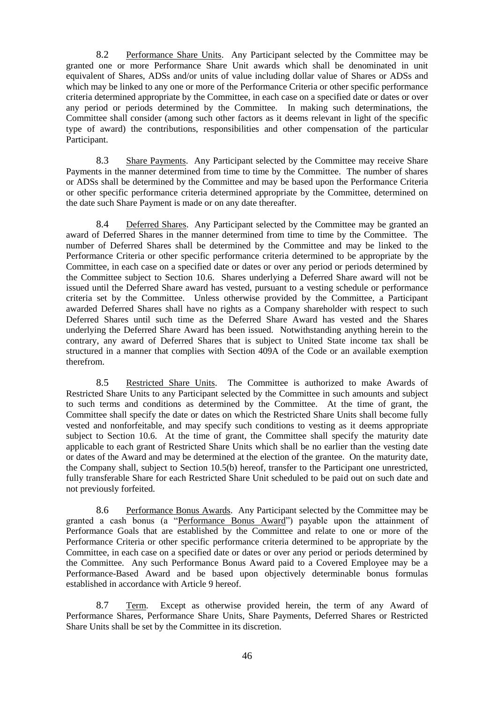8.2 Performance Share Units. Any Participant selected by the Committee may be granted one or more Performance Share Unit awards which shall be denominated in unit equivalent of Shares, ADSs and/or units of value including dollar value of Shares or ADSs and which may be linked to any one or more of the Performance Criteria or other specific performance criteria determined appropriate by the Committee, in each case on a specified date or dates or over any period or periods determined by the Committee. In making such determinations, the Committee shall consider (among such other factors as it deems relevant in light of the specific type of award) the contributions, responsibilities and other compensation of the particular Participant.

8.3 Share Payments. Any Participant selected by the Committee may receive Share Payments in the manner determined from time to time by the Committee. The number of shares or ADSs shall be determined by the Committee and may be based upon the Performance Criteria or other specific performance criteria determined appropriate by the Committee, determined on the date such Share Payment is made or on any date thereafter.

8.4 Deferred Shares. Any Participant selected by the Committee may be granted an award of Deferred Shares in the manner determined from time to time by the Committee. The number of Deferred Shares shall be determined by the Committee and may be linked to the Performance Criteria or other specific performance criteria determined to be appropriate by the Committee, in each case on a specified date or dates or over any period or periods determined by the Committee subject to Section 10.6. Shares underlying a Deferred Share award will not be issued until the Deferred Share award has vested, pursuant to a vesting schedule or performance criteria set by the Committee. Unless otherwise provided by the Committee, a Participant awarded Deferred Shares shall have no rights as a Company shareholder with respect to such Deferred Shares until such time as the Deferred Share Award has vested and the Shares underlying the Deferred Share Award has been issued. Notwithstanding anything herein to the contrary, any award of Deferred Shares that is subject to United State income tax shall be structured in a manner that complies with Section 409A of the Code or an available exemption therefrom.

8.5 Restricted Share Units. The Committee is authorized to make Awards of Restricted Share Units to any Participant selected by the Committee in such amounts and subject to such terms and conditions as determined by the Committee. At the time of grant, the Committee shall specify the date or dates on which the Restricted Share Units shall become fully vested and nonforfeitable, and may specify such conditions to vesting as it deems appropriate subject to Section 10.6. At the time of grant, the Committee shall specify the maturity date applicable to each grant of Restricted Share Units which shall be no earlier than the vesting date or dates of the Award and may be determined at the election of the grantee. On the maturity date, the Company shall, subject to Section 10.5(b) hereof, transfer to the Participant one unrestricted, fully transferable Share for each Restricted Share Unit scheduled to be paid out on such date and not previously forfeited.

8.6 Performance Bonus Awards. Any Participant selected by the Committee may be granted a cash bonus (a "Performance Bonus Award") payable upon the attainment of Performance Goals that are established by the Committee and relate to one or more of the Performance Criteria or other specific performance criteria determined to be appropriate by the Committee, in each case on a specified date or dates or over any period or periods determined by the Committee. Any such Performance Bonus Award paid to a Covered Employee may be a Performance-Based Award and be based upon objectively determinable bonus formulas established in accordance with Article 9 hereof.

8.7 Term. Except as otherwise provided herein, the term of any Award of Performance Shares, Performance Share Units, Share Payments, Deferred Shares or Restricted Share Units shall be set by the Committee in its discretion.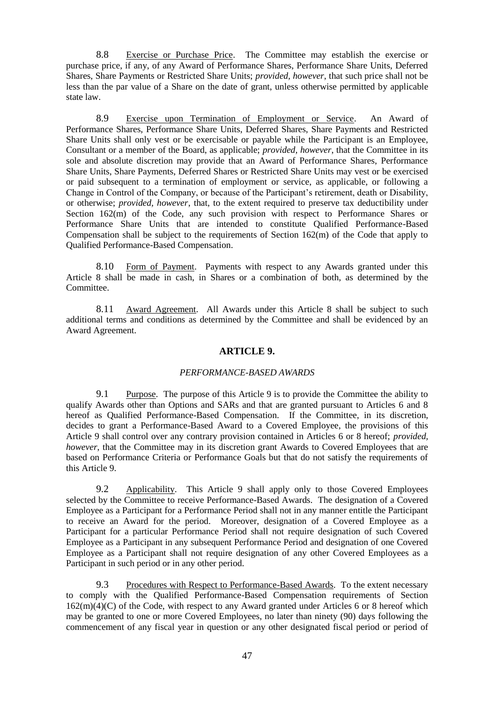8.8 Exercise or Purchase Price. The Committee may establish the exercise or purchase price, if any, of any Award of Performance Shares, Performance Share Units, Deferred Shares, Share Payments or Restricted Share Units; *provided, however*, that such price shall not be less than the par value of a Share on the date of grant, unless otherwise permitted by applicable state law.

8.9 Exercise upon Termination of Employment or Service. An Award of Performance Shares, Performance Share Units, Deferred Shares, Share Payments and Restricted Share Units shall only vest or be exercisable or payable while the Participant is an Employee, Consultant or a member of the Board, as applicable; *provided, however*, that the Committee in its sole and absolute discretion may provide that an Award of Performance Shares, Performance Share Units, Share Payments, Deferred Shares or Restricted Share Units may vest or be exercised or paid subsequent to a termination of employment or service, as applicable, or following a Change in Control of the Company, or because of the Participant's retirement, death or Disability, or otherwise; *provided, however*, that, to the extent required to preserve tax deductibility under Section 162(m) of the Code, any such provision with respect to Performance Shares or Performance Share Units that are intended to constitute Qualified Performance-Based Compensation shall be subject to the requirements of Section 162(m) of the Code that apply to Qualified Performance-Based Compensation.

8.10 Form of Payment. Payments with respect to any Awards granted under this Article 8 shall be made in cash, in Shares or a combination of both, as determined by the Committee.

8.11 Award Agreement. All Awards under this Article 8 shall be subject to such additional terms and conditions as determined by the Committee and shall be evidenced by an Award Agreement.

#### **ARTICLE 9.**

#### *PERFORMANCE-BASED AWARDS*

9.1 Purpose. The purpose of this Article 9 is to provide the Committee the ability to qualify Awards other than Options and SARs and that are granted pursuant to Articles 6 and 8 hereof as Qualified Performance-Based Compensation. If the Committee, in its discretion, decides to grant a Performance-Based Award to a Covered Employee, the provisions of this Article 9 shall control over any contrary provision contained in Articles 6 or 8 hereof; *provided, however*, that the Committee may in its discretion grant Awards to Covered Employees that are based on Performance Criteria or Performance Goals but that do not satisfy the requirements of this Article 9.

9.2 Applicability. This Article 9 shall apply only to those Covered Employees selected by the Committee to receive Performance-Based Awards. The designation of a Covered Employee as a Participant for a Performance Period shall not in any manner entitle the Participant to receive an Award for the period. Moreover, designation of a Covered Employee as a Participant for a particular Performance Period shall not require designation of such Covered Employee as a Participant in any subsequent Performance Period and designation of one Covered Employee as a Participant shall not require designation of any other Covered Employees as a Participant in such period or in any other period.

9.3 Procedures with Respect to Performance-Based Awards. To the extent necessary to comply with the Qualified Performance-Based Compensation requirements of Section 162(m)(4)(C) of the Code, with respect to any Award granted under Articles 6 or 8 hereof which may be granted to one or more Covered Employees, no later than ninety (90) days following the commencement of any fiscal year in question or any other designated fiscal period or period of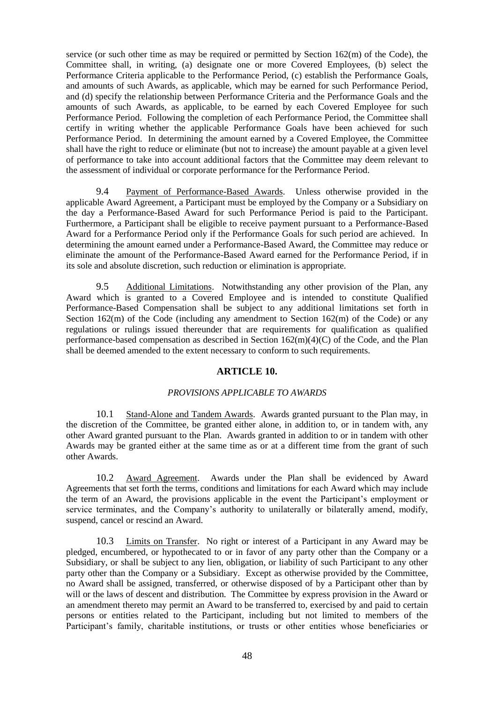service (or such other time as may be required or permitted by Section 162(m) of the Code), the Committee shall, in writing, (a) designate one or more Covered Employees, (b) select the Performance Criteria applicable to the Performance Period, (c) establish the Performance Goals, and amounts of such Awards, as applicable, which may be earned for such Performance Period, and (d) specify the relationship between Performance Criteria and the Performance Goals and the amounts of such Awards, as applicable, to be earned by each Covered Employee for such Performance Period. Following the completion of each Performance Period, the Committee shall certify in writing whether the applicable Performance Goals have been achieved for such Performance Period. In determining the amount earned by a Covered Employee, the Committee shall have the right to reduce or eliminate (but not to increase) the amount payable at a given level of performance to take into account additional factors that the Committee may deem relevant to the assessment of individual or corporate performance for the Performance Period.

9.4 Payment of Performance-Based Awards. Unless otherwise provided in the applicable Award Agreement, a Participant must be employed by the Company or a Subsidiary on the day a Performance-Based Award for such Performance Period is paid to the Participant. Furthermore, a Participant shall be eligible to receive payment pursuant to a Performance-Based Award for a Performance Period only if the Performance Goals for such period are achieved. In determining the amount earned under a Performance-Based Award, the Committee may reduce or eliminate the amount of the Performance-Based Award earned for the Performance Period, if in its sole and absolute discretion, such reduction or elimination is appropriate.

9.5 Additional Limitations. Notwithstanding any other provision of the Plan, any Award which is granted to a Covered Employee and is intended to constitute Qualified Performance-Based Compensation shall be subject to any additional limitations set forth in Section  $162(m)$  of the Code (including any amendment to Section  $162(m)$  of the Code) or any regulations or rulings issued thereunder that are requirements for qualification as qualified performance-based compensation as described in Section 162(m)(4)(C) of the Code, and the Plan shall be deemed amended to the extent necessary to conform to such requirements.

# **ARTICLE 10.**

#### *PROVISIONS APPLICABLE TO AWARDS*

10.1 Stand-Alone and Tandem Awards. Awards granted pursuant to the Plan may, in the discretion of the Committee, be granted either alone, in addition to, or in tandem with, any other Award granted pursuant to the Plan. Awards granted in addition to or in tandem with other Awards may be granted either at the same time as or at a different time from the grant of such other Awards.

10.2 Award Agreement. Awards under the Plan shall be evidenced by Award Agreements that set forth the terms, conditions and limitations for each Award which may include the term of an Award, the provisions applicable in the event the Participant's employment or service terminates, and the Company's authority to unilaterally or bilaterally amend, modify, suspend, cancel or rescind an Award.

10.3 Limits on Transfer. No right or interest of a Participant in any Award may be pledged, encumbered, or hypothecated to or in favor of any party other than the Company or a Subsidiary, or shall be subject to any lien, obligation, or liability of such Participant to any other party other than the Company or a Subsidiary. Except as otherwise provided by the Committee, no Award shall be assigned, transferred, or otherwise disposed of by a Participant other than by will or the laws of descent and distribution. The Committee by express provision in the Award or an amendment thereto may permit an Award to be transferred to, exercised by and paid to certain persons or entities related to the Participant, including but not limited to members of the Participant's family, charitable institutions, or trusts or other entities whose beneficiaries or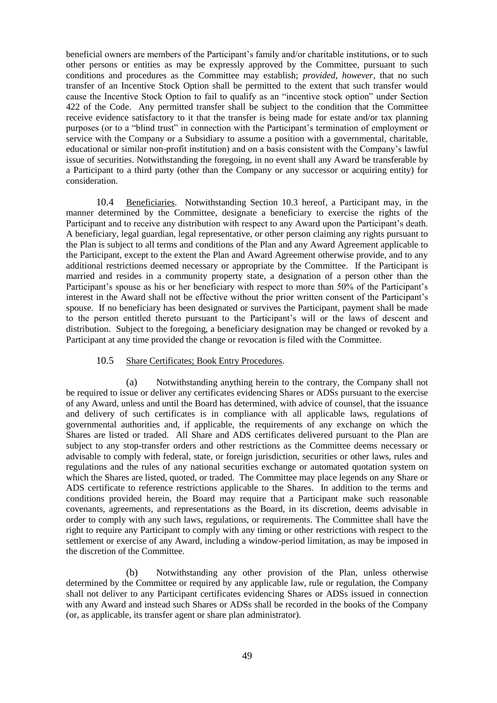beneficial owners are members of the Participant's family and/or charitable institutions, or to such other persons or entities as may be expressly approved by the Committee, pursuant to such conditions and procedures as the Committee may establish; *provided, however,* that no such transfer of an Incentive Stock Option shall be permitted to the extent that such transfer would cause the Incentive Stock Option to fail to qualify as an "incentive stock option" under Section 422 of the Code. Any permitted transfer shall be subject to the condition that the Committee receive evidence satisfactory to it that the transfer is being made for estate and/or tax planning purposes (or to a "blind trust" in connection with the Participant's termination of employment or service with the Company or a Subsidiary to assume a position with a governmental, charitable, educational or similar non-profit institution) and on a basis consistent with the Company's lawful issue of securities. Notwithstanding the foregoing, in no event shall any Award be transferable by a Participant to a third party (other than the Company or any successor or acquiring entity) for consideration.

10.4 Beneficiaries. Notwithstanding Section 10.3 hereof, a Participant may, in the manner determined by the Committee, designate a beneficiary to exercise the rights of the Participant and to receive any distribution with respect to any Award upon the Participant's death. A beneficiary, legal guardian, legal representative, or other person claiming any rights pursuant to the Plan is subject to all terms and conditions of the Plan and any Award Agreement applicable to the Participant, except to the extent the Plan and Award Agreement otherwise provide, and to any additional restrictions deemed necessary or appropriate by the Committee. If the Participant is married and resides in a community property state, a designation of a person other than the Participant's spouse as his or her beneficiary with respect to more than 50% of the Participant's interest in the Award shall not be effective without the prior written consent of the Participant's spouse. If no beneficiary has been designated or survives the Participant, payment shall be made to the person entitled thereto pursuant to the Participant's will or the laws of descent and distribution. Subject to the foregoing, a beneficiary designation may be changed or revoked by a Participant at any time provided the change or revocation is filed with the Committee.

## 10.5 Share Certificates; Book Entry Procedures.

(a) Notwithstanding anything herein to the contrary, the Company shall not be required to issue or deliver any certificates evidencing Shares or ADSs pursuant to the exercise of any Award, unless and until the Board has determined, with advice of counsel, that the issuance and delivery of such certificates is in compliance with all applicable laws, regulations of governmental authorities and, if applicable, the requirements of any exchange on which the Shares are listed or traded. All Share and ADS certificates delivered pursuant to the Plan are subject to any stop-transfer orders and other restrictions as the Committee deems necessary or advisable to comply with federal, state, or foreign jurisdiction, securities or other laws, rules and regulations and the rules of any national securities exchange or automated quotation system on which the Shares are listed, quoted, or traded. The Committee may place legends on any Share or ADS certificate to reference restrictions applicable to the Shares. In addition to the terms and conditions provided herein, the Board may require that a Participant make such reasonable covenants, agreements, and representations as the Board, in its discretion, deems advisable in order to comply with any such laws, regulations, or requirements. The Committee shall have the right to require any Participant to comply with any timing or other restrictions with respect to the settlement or exercise of any Award, including a window-period limitation, as may be imposed in the discretion of the Committee.

(b) Notwithstanding any other provision of the Plan, unless otherwise determined by the Committee or required by any applicable law, rule or regulation, the Company shall not deliver to any Participant certificates evidencing Shares or ADSs issued in connection with any Award and instead such Shares or ADSs shall be recorded in the books of the Company (or, as applicable, its transfer agent or share plan administrator).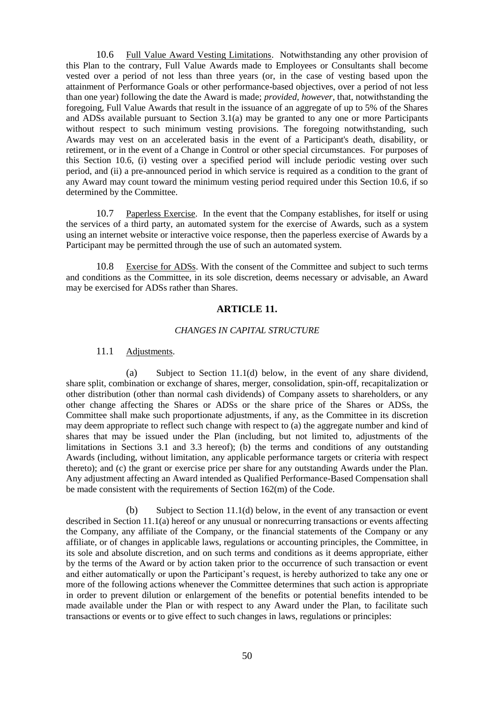10.6 Full Value Award Vesting Limitations. Notwithstanding any other provision of this Plan to the contrary, Full Value Awards made to Employees or Consultants shall become vested over a period of not less than three years (or, in the case of vesting based upon the attainment of Performance Goals or other performance-based objectives, over a period of not less than one year) following the date the Award is made; *provided, however,* that, notwithstanding the foregoing, Full Value Awards that result in the issuance of an aggregate of up to 5% of the Shares and ADSs available pursuant to Section 3.1(a) may be granted to any one or more Participants without respect to such minimum vesting provisions. The foregoing notwithstanding, such Awards may vest on an accelerated basis in the event of a Participant's death, disability, or retirement, or in the event of a Change in Control or other special circumstances. For purposes of this Section 10.6, (i) vesting over a specified period will include periodic vesting over such period, and (ii) a pre-announced period in which service is required as a condition to the grant of any Award may count toward the minimum vesting period required under this Section 10.6, if so determined by the Committee.

10.7 Paperless Exercise. In the event that the Company establishes, for itself or using the services of a third party, an automated system for the exercise of Awards, such as a system using an internet website or interactive voice response, then the paperless exercise of Awards by a Participant may be permitted through the use of such an automated system.

10.8 Exercise for ADSs. With the consent of the Committee and subject to such terms and conditions as the Committee, in its sole discretion, deems necessary or advisable, an Award may be exercised for ADSs rather than Shares.

#### **ARTICLE 11.**

#### *CHANGES IN CAPITAL STRUCTURE*

#### 11.1 Adjustments.

(a) Subject to Section 11.1(d) below, in the event of any share dividend, share split, combination or exchange of shares, merger, consolidation, spin-off, recapitalization or other distribution (other than normal cash dividends) of Company assets to shareholders, or any other change affecting the Shares or ADSs or the share price of the Shares or ADSs, the Committee shall make such proportionate adjustments, if any, as the Committee in its discretion may deem appropriate to reflect such change with respect to (a) the aggregate number and kind of shares that may be issued under the Plan (including, but not limited to, adjustments of the limitations in Sections 3.1 and 3.3 hereof); (b) the terms and conditions of any outstanding Awards (including, without limitation, any applicable performance targets or criteria with respect thereto); and (c) the grant or exercise price per share for any outstanding Awards under the Plan. Any adjustment affecting an Award intended as Qualified Performance-Based Compensation shall be made consistent with the requirements of Section 162(m) of the Code.

(b) Subject to Section 11.1(d) below, in the event of any transaction or event described in Section 11.1(a) hereof or any unusual or nonrecurring transactions or events affecting the Company, any affiliate of the Company, or the financial statements of the Company or any affiliate, or of changes in applicable laws, regulations or accounting principles, the Committee, in its sole and absolute discretion, and on such terms and conditions as it deems appropriate, either by the terms of the Award or by action taken prior to the occurrence of such transaction or event and either automatically or upon the Participant's request, is hereby authorized to take any one or more of the following actions whenever the Committee determines that such action is appropriate in order to prevent dilution or enlargement of the benefits or potential benefits intended to be made available under the Plan or with respect to any Award under the Plan, to facilitate such transactions or events or to give effect to such changes in laws, regulations or principles: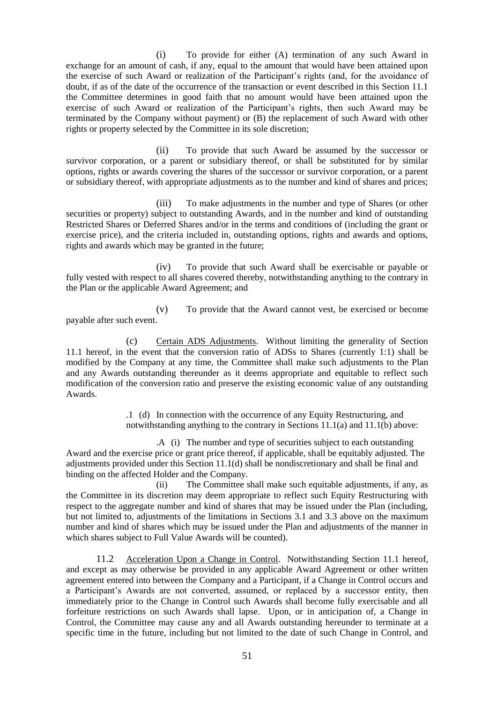(i) To provide for either (A) termination of any such Award in exchange for an amount of cash, if any, equal to the amount that would have been attained upon the exercise of such Award or realization of the Participant's rights (and, for the avoidance of doubt, if as of the date of the occurrence of the transaction or event described in this Section 11.1 the Committee determines in good faith that no amount would have been attained upon the exercise of such Award or realization of the Participant's rights, then such Award may be terminated by the Company without payment) or (B) the replacement of such Award with other rights or property selected by the Committee in its sole discretion;

(ii) To provide that such Award be assumed by the successor or survivor corporation, or a parent or subsidiary thereof, or shall be substituted for by similar options, rights or awards covering the shares of the successor or survivor corporation, or a parent or subsidiary thereof, with appropriate adjustments as to the number and kind of shares and prices;

(iii) To make adjustments in the number and type of Shares (or other securities or property) subject to outstanding Awards, and in the number and kind of outstanding Restricted Shares or Deferred Shares and/or in the terms and conditions of (including the grant or exercise price), and the criteria included in, outstanding options, rights and awards and options, rights and awards which may be granted in the future;

(iv) To provide that such Award shall be exercisable or payable or fully vested with respect to all shares covered thereby, notwithstanding anything to the contrary in the Plan or the applicable Award Agreement; and

(v) To provide that the Award cannot vest, be exercised or become payable after such event.

(c) Certain ADS Adjustments. Without limiting the generality of Section 11.1 hereof, in the event that the conversion ratio of ADSs to Shares (currently 1:1) shall be modified by the Company at any time, the Committee shall make such adjustments to the Plan and any Awards outstanding thereunder as it deems appropriate and equitable to reflect such modification of the conversion ratio and preserve the existing economic value of any outstanding Awards.

> .1 (d) In connection with the occurrence of any Equity Restructuring, and notwithstanding anything to the contrary in Sections 11.1(a) and 11.1(b) above:

.A (i) The number and type of securities subject to each outstanding Award and the exercise price or grant price thereof, if applicable, shall be equitably adjusted. The adjustments provided under this Section 11.1(d) shall be nondiscretionary and shall be final and binding on the affected Holder and the Company.

(ii) The Committee shall make such equitable adjustments, if any, as the Committee in its discretion may deem appropriate to reflect such Equity Restructuring with respect to the aggregate number and kind of shares that may be issued under the Plan (including, but not limited to, adjustments of the limitations in Sections 3.1 and 3.3 above on the maximum number and kind of shares which may be issued under the Plan and adjustments of the manner in which shares subject to Full Value Awards will be counted).

11.2 Acceleration Upon a Change in Control. Notwithstanding Section 11.1 hereof, and except as may otherwise be provided in any applicable Award Agreement or other written agreement entered into between the Company and a Participant, if a Change in Control occurs and a Participant's Awards are not converted, assumed, or replaced by a successor entity, then immediately prior to the Change in Control such Awards shall become fully exercisable and all forfeiture restrictions on such Awards shall lapse. Upon, or in anticipation of, a Change in Control, the Committee may cause any and all Awards outstanding hereunder to terminate at a specific time in the future, including but not limited to the date of such Change in Control, and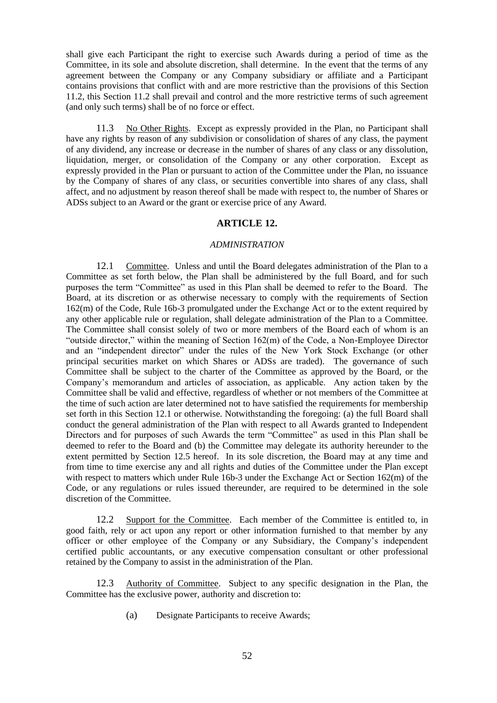shall give each Participant the right to exercise such Awards during a period of time as the Committee, in its sole and absolute discretion, shall determine. In the event that the terms of any agreement between the Company or any Company subsidiary or affiliate and a Participant contains provisions that conflict with and are more restrictive than the provisions of this Section 11.2, this Section 11.2 shall prevail and control and the more restrictive terms of such agreement (and only such terms) shall be of no force or effect.

11.3 No Other Rights. Except as expressly provided in the Plan, no Participant shall have any rights by reason of any subdivision or consolidation of shares of any class, the payment of any dividend, any increase or decrease in the number of shares of any class or any dissolution, liquidation, merger, or consolidation of the Company or any other corporation. Except as expressly provided in the Plan or pursuant to action of the Committee under the Plan, no issuance by the Company of shares of any class, or securities convertible into shares of any class, shall affect, and no adjustment by reason thereof shall be made with respect to, the number of Shares or ADSs subject to an Award or the grant or exercise price of any Award.

#### **ARTICLE 12.**

#### *ADMINISTRATION*

12.1 Committee. Unless and until the Board delegates administration of the Plan to a Committee as set forth below, the Plan shall be administered by the full Board, and for such purposes the term "Committee" as used in this Plan shall be deemed to refer to the Board. The Board, at its discretion or as otherwise necessary to comply with the requirements of Section 162(m) of the Code, Rule 16b-3 promulgated under the Exchange Act or to the extent required by any other applicable rule or regulation, shall delegate administration of the Plan to a Committee. The Committee shall consist solely of two or more members of the Board each of whom is an "outside director," within the meaning of Section  $162(m)$  of the Code, a Non-Employee Director and an "independent director" under the rules of the New York Stock Exchange (or other principal securities market on which Shares or ADSs are traded). The governance of such Committee shall be subject to the charter of the Committee as approved by the Board, or the Company's memorandum and articles of association, as applicable. Any action taken by the Committee shall be valid and effective, regardless of whether or not members of the Committee at the time of such action are later determined not to have satisfied the requirements for membership set forth in this Section 12.1 or otherwise. Notwithstanding the foregoing: (a) the full Board shall conduct the general administration of the Plan with respect to all Awards granted to Independent Directors and for purposes of such Awards the term "Committee" as used in this Plan shall be deemed to refer to the Board and (b) the Committee may delegate its authority hereunder to the extent permitted by Section 12.5 hereof. In its sole discretion, the Board may at any time and from time to time exercise any and all rights and duties of the Committee under the Plan except with respect to matters which under Rule 16b-3 under the Exchange Act or Section 162(m) of the Code, or any regulations or rules issued thereunder, are required to be determined in the sole discretion of the Committee.

12.2 Support for the Committee. Each member of the Committee is entitled to, in good faith, rely or act upon any report or other information furnished to that member by any officer or other employee of the Company or any Subsidiary, the Company's independent certified public accountants, or any executive compensation consultant or other professional retained by the Company to assist in the administration of the Plan.

12.3 Authority of Committee. Subject to any specific designation in the Plan, the Committee has the exclusive power, authority and discretion to:

(a) Designate Participants to receive Awards;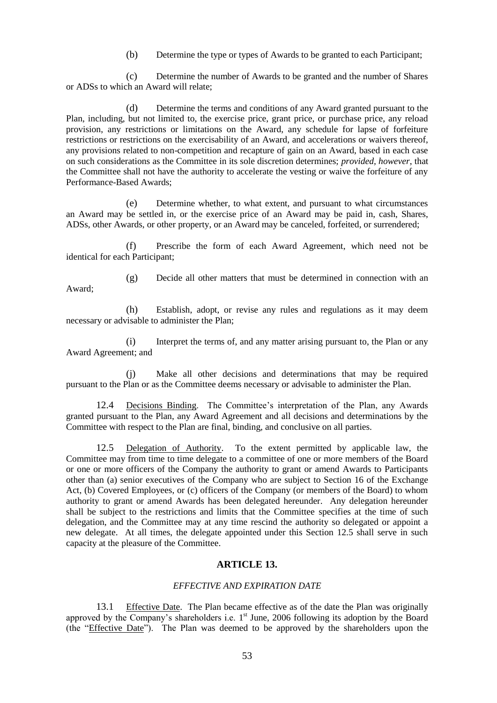(b) Determine the type or types of Awards to be granted to each Participant;

(c) Determine the number of Awards to be granted and the number of Shares or ADSs to which an Award will relate;

(d) Determine the terms and conditions of any Award granted pursuant to the Plan, including, but not limited to, the exercise price, grant price, or purchase price, any reload provision, any restrictions or limitations on the Award, any schedule for lapse of forfeiture restrictions or restrictions on the exercisability of an Award, and accelerations or waivers thereof, any provisions related to non-competition and recapture of gain on an Award, based in each case on such considerations as the Committee in its sole discretion determines; *provided, however*, that the Committee shall not have the authority to accelerate the vesting or waive the forfeiture of any Performance-Based Awards;

(e) Determine whether, to what extent, and pursuant to what circumstances an Award may be settled in, or the exercise price of an Award may be paid in, cash, Shares, ADSs, other Awards, or other property, or an Award may be canceled, forfeited, or surrendered;

(f) Prescribe the form of each Award Agreement, which need not be identical for each Participant;

Award;

(g) Decide all other matters that must be determined in connection with an

(h) Establish, adopt, or revise any rules and regulations as it may deem necessary or advisable to administer the Plan;

(i) Interpret the terms of, and any matter arising pursuant to, the Plan or any Award Agreement; and

(j) Make all other decisions and determinations that may be required pursuant to the Plan or as the Committee deems necessary or advisable to administer the Plan.

12.4 Decisions Binding. The Committee's interpretation of the Plan, any Awards granted pursuant to the Plan, any Award Agreement and all decisions and determinations by the Committee with respect to the Plan are final, binding, and conclusive on all parties.

12.5 Delegation of Authority. To the extent permitted by applicable law, the Committee may from time to time delegate to a committee of one or more members of the Board or one or more officers of the Company the authority to grant or amend Awards to Participants other than (a) senior executives of the Company who are subject to Section 16 of the Exchange Act, (b) Covered Employees, or (c) officers of the Company (or members of the Board) to whom authority to grant or amend Awards has been delegated hereunder. Any delegation hereunder shall be subject to the restrictions and limits that the Committee specifies at the time of such delegation, and the Committee may at any time rescind the authority so delegated or appoint a new delegate. At all times, the delegate appointed under this Section 12.5 shall serve in such capacity at the pleasure of the Committee.

# **ARTICLE 13.**

#### *EFFECTIVE AND EXPIRATION DATE*

13.1 Effective Date. The Plan became effective as of the date the Plan was originally approved by the Company's shareholders i.e.  $1<sup>st</sup>$  June, 2006 following its adoption by the Board (the "Effective Date"). The Plan was deemed to be approved by the shareholders upon the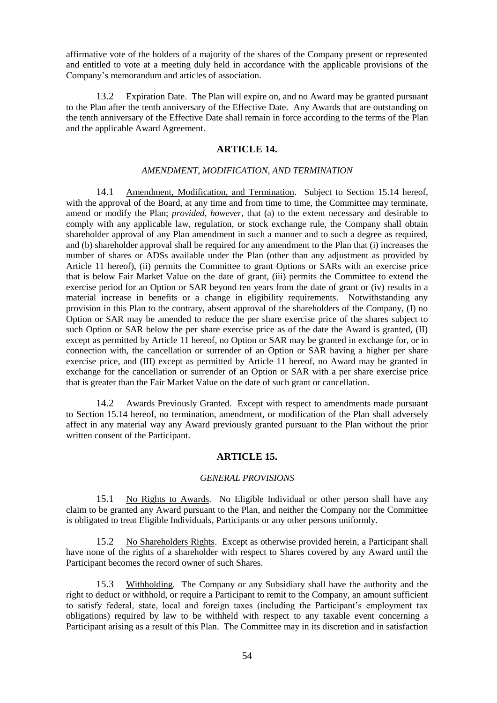affirmative vote of the holders of a majority of the shares of the Company present or represented and entitled to vote at a meeting duly held in accordance with the applicable provisions of the Company's memorandum and articles of association.

13.2 Expiration Date. The Plan will expire on, and no Award may be granted pursuant to the Plan after the tenth anniversary of the Effective Date. Any Awards that are outstanding on the tenth anniversary of the Effective Date shall remain in force according to the terms of the Plan and the applicable Award Agreement.

# **ARTICLE 14.**

### *AMENDMENT, MODIFICATION, AND TERMINATION*

14.1 Amendment, Modification, and Termination. Subject to Section 15.14 hereof, with the approval of the Board, at any time and from time to time, the Committee may terminate, amend or modify the Plan; *provided, however*, that (a) to the extent necessary and desirable to comply with any applicable law, regulation, or stock exchange rule, the Company shall obtain shareholder approval of any Plan amendment in such a manner and to such a degree as required, and (b) shareholder approval shall be required for any amendment to the Plan that (i) increases the number of shares or ADSs available under the Plan (other than any adjustment as provided by Article 11 hereof), (ii) permits the Committee to grant Options or SARs with an exercise price that is below Fair Market Value on the date of grant, (iii) permits the Committee to extend the exercise period for an Option or SAR beyond ten years from the date of grant or (iv) results in a material increase in benefits or a change in eligibility requirements. Notwithstanding any provision in this Plan to the contrary, absent approval of the shareholders of the Company, (I) no Option or SAR may be amended to reduce the per share exercise price of the shares subject to such Option or SAR below the per share exercise price as of the date the Award is granted, (II) except as permitted by Article 11 hereof, no Option or SAR may be granted in exchange for, or in connection with, the cancellation or surrender of an Option or SAR having a higher per share exercise price, and (III) except as permitted by Article 11 hereof, no Award may be granted in exchange for the cancellation or surrender of an Option or SAR with a per share exercise price that is greater than the Fair Market Value on the date of such grant or cancellation.

14.2 Awards Previously Granted. Except with respect to amendments made pursuant to Section 15.14 hereof, no termination, amendment, or modification of the Plan shall adversely affect in any material way any Award previously granted pursuant to the Plan without the prior written consent of the Participant.

# **ARTICLE 15.**

#### *GENERAL PROVISIONS*

15.1 No Rights to Awards. No Eligible Individual or other person shall have any claim to be granted any Award pursuant to the Plan, and neither the Company nor the Committee is obligated to treat Eligible Individuals, Participants or any other persons uniformly.

15.2 No Shareholders Rights. Except as otherwise provided herein, a Participant shall have none of the rights of a shareholder with respect to Shares covered by any Award until the Participant becomes the record owner of such Shares.

15.3 Withholding. The Company or any Subsidiary shall have the authority and the right to deduct or withhold, or require a Participant to remit to the Company, an amount sufficient to satisfy federal, state, local and foreign taxes (including the Participant's employment tax obligations) required by law to be withheld with respect to any taxable event concerning a Participant arising as a result of this Plan. The Committee may in its discretion and in satisfaction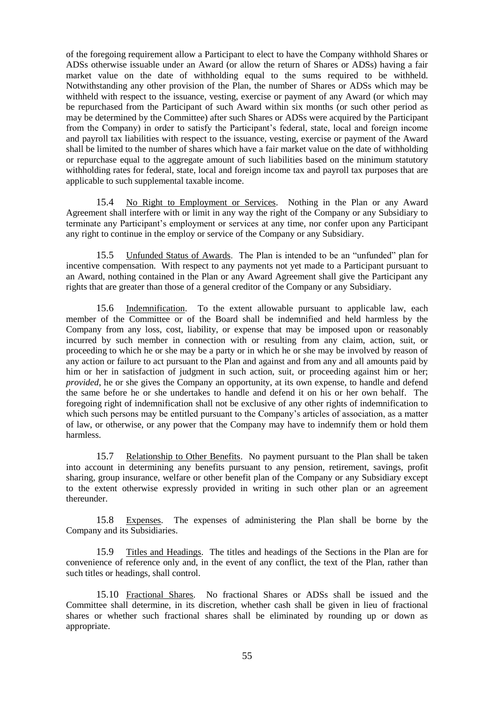of the foregoing requirement allow a Participant to elect to have the Company withhold Shares or ADSs otherwise issuable under an Award (or allow the return of Shares or ADSs) having a fair market value on the date of withholding equal to the sums required to be withheld. Notwithstanding any other provision of the Plan, the number of Shares or ADSs which may be withheld with respect to the issuance, vesting, exercise or payment of any Award (or which may be repurchased from the Participant of such Award within six months (or such other period as may be determined by the Committee) after such Shares or ADSs were acquired by the Participant from the Company) in order to satisfy the Participant's federal, state, local and foreign income and payroll tax liabilities with respect to the issuance, vesting, exercise or payment of the Award shall be limited to the number of shares which have a fair market value on the date of withholding or repurchase equal to the aggregate amount of such liabilities based on the minimum statutory withholding rates for federal, state, local and foreign income tax and payroll tax purposes that are applicable to such supplemental taxable income.

15.4 No Right to Employment or Services. Nothing in the Plan or any Award Agreement shall interfere with or limit in any way the right of the Company or any Subsidiary to terminate any Participant's employment or services at any time, nor confer upon any Participant any right to continue in the employ or service of the Company or any Subsidiary.

15.5 Unfunded Status of Awards. The Plan is intended to be an "unfunded" plan for incentive compensation. With respect to any payments not yet made to a Participant pursuant to an Award, nothing contained in the Plan or any Award Agreement shall give the Participant any rights that are greater than those of a general creditor of the Company or any Subsidiary.

15.6 Indemnification. To the extent allowable pursuant to applicable law, each member of the Committee or of the Board shall be indemnified and held harmless by the Company from any loss, cost, liability, or expense that may be imposed upon or reasonably incurred by such member in connection with or resulting from any claim, action, suit, or proceeding to which he or she may be a party or in which he or she may be involved by reason of any action or failure to act pursuant to the Plan and against and from any and all amounts paid by him or her in satisfaction of judgment in such action, suit, or proceeding against him or her; *provided*, he or she gives the Company an opportunity, at its own expense, to handle and defend the same before he or she undertakes to handle and defend it on his or her own behalf. The foregoing right of indemnification shall not be exclusive of any other rights of indemnification to which such persons may be entitled pursuant to the Company's articles of association, as a matter of law, or otherwise, or any power that the Company may have to indemnify them or hold them harmless.

15.7 Relationship to Other Benefits. No payment pursuant to the Plan shall be taken into account in determining any benefits pursuant to any pension, retirement, savings, profit sharing, group insurance, welfare or other benefit plan of the Company or any Subsidiary except to the extent otherwise expressly provided in writing in such other plan or an agreement thereunder.

15.8 Expenses. The expenses of administering the Plan shall be borne by the Company and its Subsidiaries.

15.9 Titles and Headings. The titles and headings of the Sections in the Plan are for convenience of reference only and, in the event of any conflict, the text of the Plan, rather than such titles or headings, shall control.

15.10 Fractional Shares. No fractional Shares or ADSs shall be issued and the Committee shall determine, in its discretion, whether cash shall be given in lieu of fractional shares or whether such fractional shares shall be eliminated by rounding up or down as appropriate.